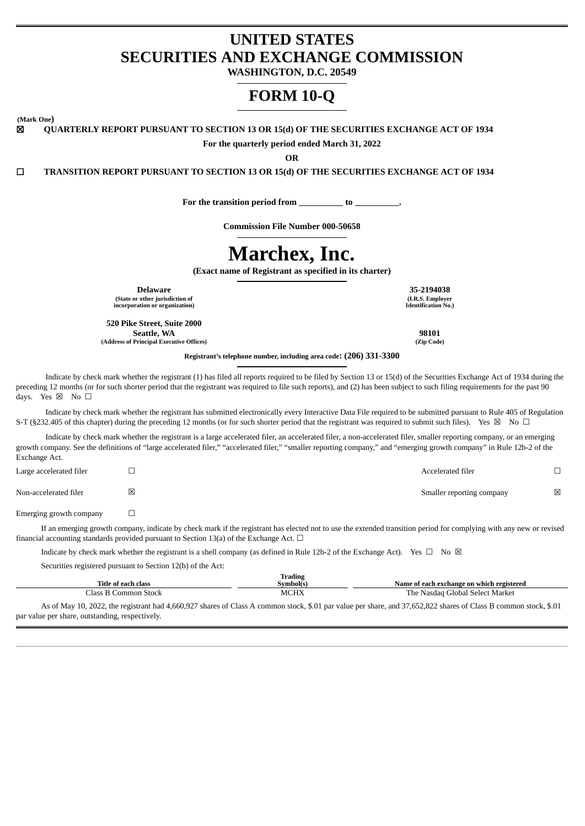# **UNITED STATES SECURITIES AND EXCHANGE COMMISSION**

**WASHINGTON, D.C. 20549**

# **FORM 10-Q**

**(Mark One)**

☒ **QUARTERLY REPORT PURSUANT TO SECTION 13 OR 15(d) OF THE SECURITIES EXCHANGE ACT OF 1934**

**For the quarterly period ended March 31, 2022**

**OR**

☐ **TRANSITION REPORT PURSUANT TO SECTION 13 OR 15(d) OF THE SECURITIES EXCHANGE ACT OF 1934**

**For the transition period from to .**

**Commission File Number 000-50658**

# **Marchex, Inc.**

**(Exact name of Registrant as specified in its charter)**

**Delaware 35-2194038 (State or other jurisdiction of incorporation or organization)**

**520 Pike Street, Suite 2000 Seattle, WA (Address of Principal Executive Offices)** **(I.R.S. Employer Identification No.)**

**98101 (Zip Code)**

**Registrant's telephone number, including area code: (206) 331-3300**

Indicate by check mark whether the registrant (1) has filed all reports required to be filed by Section 13 or 15(d) of the Securities Exchange Act of 1934 during the preceding 12 months (or for such shorter period that the registrant was required to file such reports), and (2) has been subject to such filing requirements for the past 90 days. Yes  $\boxtimes$  No  $\square$ 

Indicate by check mark whether the registrant has submitted electronically every Interactive Data File required to be submitted pursuant to Rule 405 of Regulation S-T (§232.405 of this chapter) during the preceding 12 months (or for such shorter period that the registrant was required to submit such files). Yes  $\boxtimes$  No  $\Box$ 

Indicate by check mark whether the registrant is a large accelerated filer, an accelerated filer, a non-accelerated filer, smaller reporting company, or an emerging growth company. See the definitions of "large accelerated filer," "accelerated filer," "smaller reporting company," and "emerging growth company" in Rule 12b-2 of the Exchange Act.

| Large accelerated filer |   | Accelerated filer         |   |
|-------------------------|---|---------------------------|---|
| Non-accelerated filer   | 図 | Smaller reporting company | ⊠ |

Emerging growth company  $\Box$ 

If an emerging growth company, indicate by check mark if the registrant has elected not to use the extended transition period for complying with any new or revised financial accounting standards provided pursuant to Section 13(a) of the Exchange Act.  $\Box$ 

Indicate by check mark whether the registrant is a shell company (as defined in Rule 12b-2 of the Exchange Act). Yes  $\Box$  No  $\boxtimes$ 

Securities registered pursuant to Section 12(b) of the Act:

| Title of each class    | <b>Trading</b><br>Symbol(s) | Name of each exchange on which registered |
|------------------------|-----------------------------|-------------------------------------------|
| Class.<br>Common Stock | MCHX                        | The Nasdag Global Select Market           |

As of May 10, 2022, the registrant had 4,660,927 shares of Class A common stock, \$.01 par value per share, and 37,652,822 shares of Class B common stock, \$.01 par value per share, outstanding, respectively.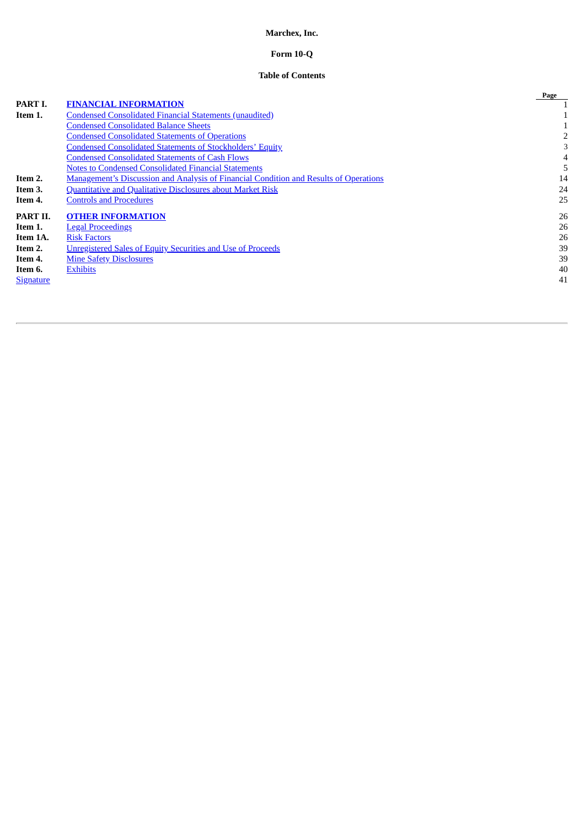# **Marchex, Inc.**

# **Form 10-Q**

# **Table of Contents**

|                  |                                                                                              | Page |
|------------------|----------------------------------------------------------------------------------------------|------|
| PART I.          | <b>FINANCIAL INFORMATION</b>                                                                 |      |
| Item 1.          | <b>Condensed Consolidated Financial Statements (unaudited)</b>                               |      |
|                  | <b>Condensed Consolidated Balance Sheets</b>                                                 |      |
|                  | <b>Condensed Consolidated Statements of Operations</b>                                       |      |
|                  | <b>Condensed Consolidated Statements of Stockholders' Equity</b>                             |      |
|                  | <b>Condensed Consolidated Statements of Cash Flows</b>                                       | 4    |
|                  | <b>Notes to Condensed Consolidated Financial Statements</b>                                  |      |
| Item 2.          | <b>Management's Discussion and Analysis of Financial Condition and Results of Operations</b> | 14   |
| Item 3.          | <b>Quantitative and Qualitative Disclosures about Market Risk</b>                            | 24   |
| Item 4.          | <b>Controls and Procedures</b>                                                               | 25   |
| PART II.         | <b>OTHER INFORMATION</b>                                                                     | 26   |
| Item 1.          | <b>Legal Proceedings</b>                                                                     | 26   |
| Item 1A.         | <b>Risk Factors</b>                                                                          | 26   |
| Item 2.          | <b>Unregistered Sales of Equity Securities and Use of Proceeds</b>                           | 39   |
| Item 4.          | <b>Mine Safety Disclosures</b>                                                               | 39   |
| Item 6.          | <b>Exhibits</b>                                                                              | 40   |
| <b>Signature</b> |                                                                                              | 41   |
|                  |                                                                                              |      |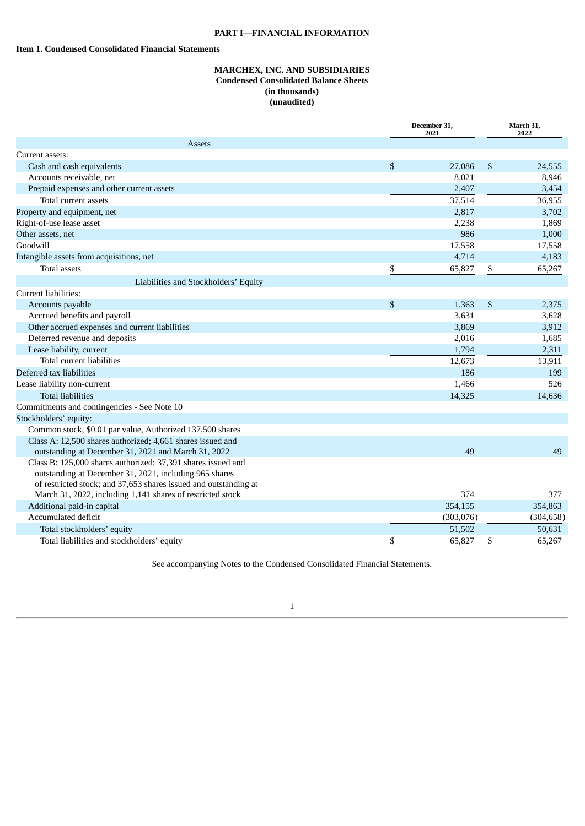# **PART I—FINANCIAL INFORMATION**

# <span id="page-2-2"></span><span id="page-2-1"></span><span id="page-2-0"></span>**Item 1. Condensed Consolidated Financial Statements**

# **MARCHEX, INC. AND SUBSIDIARIES Condensed Consolidated Balance Sheets (in thousands) (unaudited)**

|                                                                                                                                                                                            | December 31,<br>2021 |    | March 31,<br>2022 |  |
|--------------------------------------------------------------------------------------------------------------------------------------------------------------------------------------------|----------------------|----|-------------------|--|
| <b>Assets</b>                                                                                                                                                                              |                      |    |                   |  |
| Current assets:                                                                                                                                                                            |                      |    |                   |  |
| Cash and cash equivalents                                                                                                                                                                  | \$<br>27,086         | \$ | 24,555            |  |
| Accounts receivable, net                                                                                                                                                                   | 8,021                |    | 8,946             |  |
| Prepaid expenses and other current assets                                                                                                                                                  | 2,407                |    | 3,454             |  |
| Total current assets                                                                                                                                                                       | 37,514               |    | 36,955            |  |
| Property and equipment, net                                                                                                                                                                | 2,817                |    | 3,702             |  |
| Right-of-use lease asset                                                                                                                                                                   | 2,238                |    | 1,869             |  |
| Other assets, net                                                                                                                                                                          | 986                  |    | 1,000             |  |
| Goodwill                                                                                                                                                                                   | 17,558               |    | 17,558            |  |
| Intangible assets from acquisitions, net                                                                                                                                                   | 4,714                |    | 4,183             |  |
| <b>Total assets</b>                                                                                                                                                                        | \$<br>65,827         | \$ | 65,267            |  |
| Liabilities and Stockholders' Equity                                                                                                                                                       |                      |    |                   |  |
| Current liabilities:                                                                                                                                                                       |                      |    |                   |  |
| Accounts payable                                                                                                                                                                           | \$<br>1,363          | \$ | 2,375             |  |
| Accrued benefits and payroll                                                                                                                                                               | 3,631                |    | 3,628             |  |
| Other accrued expenses and current liabilities                                                                                                                                             | 3,869                |    | 3,912             |  |
| Deferred revenue and deposits                                                                                                                                                              | 2,016                |    | 1,685             |  |
| Lease liability, current                                                                                                                                                                   | 1,794                |    | 2,311             |  |
| Total current liabilities                                                                                                                                                                  | 12,673               |    | 13,911            |  |
| Deferred tax liabilities                                                                                                                                                                   | 186                  |    | 199               |  |
| Lease liability non-current                                                                                                                                                                | 1,466                |    | 526               |  |
| <b>Total liabilities</b>                                                                                                                                                                   | 14,325               |    | 14,636            |  |
| Commitments and contingencies - See Note 10                                                                                                                                                |                      |    |                   |  |
| Stockholders' equity:                                                                                                                                                                      |                      |    |                   |  |
| Common stock, \$0.01 par value, Authorized 137,500 shares                                                                                                                                  |                      |    |                   |  |
| Class A: 12,500 shares authorized; 4,661 shares issued and                                                                                                                                 |                      |    |                   |  |
| outstanding at December 31, 2021 and March 31, 2022                                                                                                                                        | 49                   |    | 49                |  |
| Class B: 125,000 shares authorized; 37,391 shares issued and<br>outstanding at December 31, 2021, including 965 shares<br>of restricted stock; and 37,653 shares issued and outstanding at |                      |    |                   |  |
| March 31, 2022, including 1,141 shares of restricted stock                                                                                                                                 | 374                  |    | 377               |  |
| Additional paid-in capital                                                                                                                                                                 | 354,155              |    | 354,863           |  |
| Accumulated deficit                                                                                                                                                                        | (303,076)            |    | (304, 658)        |  |
| Total stockholders' equity                                                                                                                                                                 | 51,502               |    | 50,631            |  |
| Total liabilities and stockholders' equity                                                                                                                                                 | \$<br>65,827         | \$ | 65,267            |  |

See accompanying Notes to the Condensed Consolidated Financial Statements.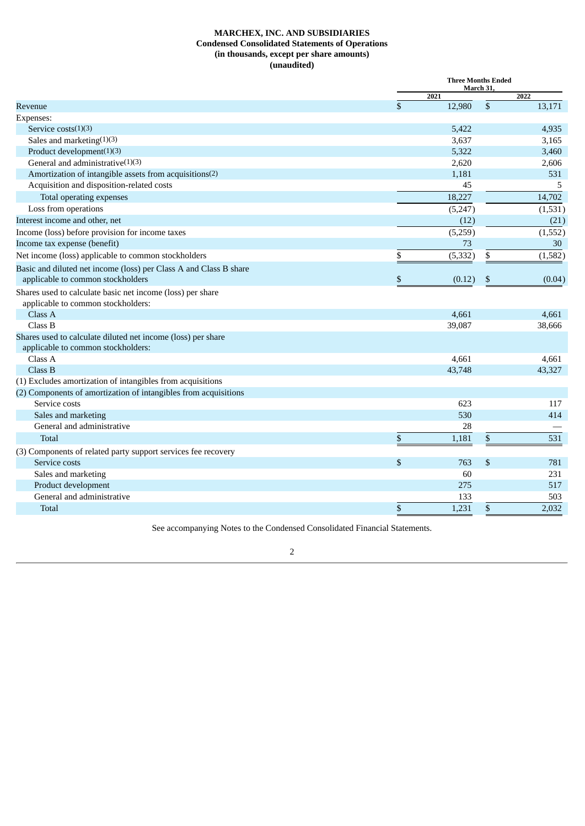# **MARCHEX, INC. AND SUBSIDIARIES Condensed Consolidated Statements of Operations (in thousands, except per share amounts) (unaudited)**

<span id="page-3-0"></span>

|                                                                   | <b>Three Months Ended</b><br>March 31, |          |    |          |
|-------------------------------------------------------------------|----------------------------------------|----------|----|----------|
|                                                                   |                                        | 2021     |    | 2022     |
| Revenue                                                           | $\mathbb{S}$                           | 12,980   | \$ | 13,171   |
| Expenses:                                                         |                                        |          |    |          |
| Service $costs(1)(3)$                                             |                                        | 5,422    |    | 4,935    |
| Sales and marketing $(1)(3)$                                      |                                        | 3,637    |    | 3,165    |
| Product development(1)(3)                                         |                                        | 5,322    |    | 3,460    |
| General and administrative $(1)(3)$                               |                                        | 2,620    |    | 2,606    |
| Amortization of intangible assets from acquisitions(2)            |                                        | 1,181    |    | 531      |
| Acquisition and disposition-related costs                         |                                        | 45       |    | .5       |
| Total operating expenses                                          |                                        | 18,227   |    | 14,702   |
| Loss from operations                                              |                                        | (5,247)  |    | (1,531)  |
| Interest income and other, net                                    |                                        | (12)     |    | (21)     |
| Income (loss) before provision for income taxes                   |                                        | (5,259)  |    | (1, 552) |
| Income tax expense (benefit)                                      |                                        | 73       |    | 30       |
| Net income (loss) applicable to common stockholders               | \$                                     | (5, 332) | \$ | (1,582)  |
| Basic and diluted net income (loss) per Class A and Class B share |                                        |          |    |          |
| applicable to common stockholders                                 | \$                                     | (0.12)   | \$ | (0.04)   |
| Shares used to calculate basic net income (loss) per share        |                                        |          |    |          |
| applicable to common stockholders:                                |                                        |          |    |          |
| Class A                                                           |                                        | 4,661    |    | 4,661    |
| Class B                                                           |                                        | 39,087   |    | 38,666   |
| Shares used to calculate diluted net income (loss) per share      |                                        |          |    |          |
| applicable to common stockholders:                                |                                        |          |    |          |
| Class A                                                           |                                        | 4,661    |    | 4,661    |
| Class B                                                           |                                        | 43,748   |    | 43,327   |
| (1) Excludes amortization of intangibles from acquisitions        |                                        |          |    |          |
| (2) Components of amortization of intangibles from acquisitions   |                                        |          |    |          |
| Service costs                                                     |                                        | 623      |    | 117      |
| Sales and marketing                                               |                                        | 530      |    | 414      |
| General and administrative                                        |                                        | 28       |    |          |
| Total                                                             | \$                                     | 1,181    | \$ | 531      |
| (3) Components of related party support services fee recovery     |                                        |          |    |          |
| Service costs                                                     | $\mathbb{S}$                           | 763      | \$ | 781      |
| Sales and marketing                                               |                                        | 60       |    | 231      |
| Product development                                               |                                        | 275      |    | 517      |
| General and administrative                                        |                                        | 133      |    | 503      |
| Total                                                             | \$                                     | 1,231    | \$ | 2,032    |
|                                                                   |                                        |          |    |          |

See accompanying Notes to the Condensed Consolidated Financial Statements.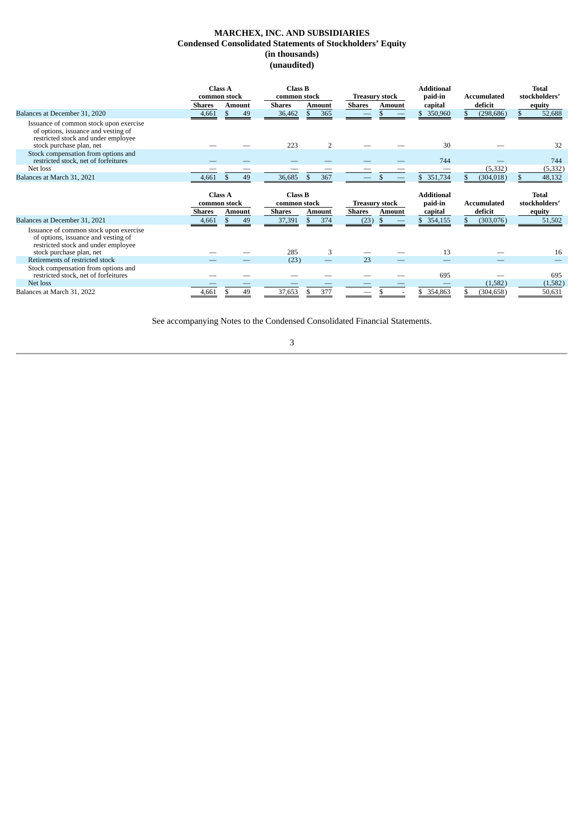# **MARCHEX, INC. AND SUBSIDIARIES Condensed Consolidated Statements of Stockholders' Equity (in thousands) (unaudited)**

<span id="page-4-0"></span>

|                                                                                                                                                  | <b>Class A</b><br>common stock<br><b>Shares</b> | <b>Amount</b> | <b>Class B</b><br>common stock<br><b>Shares</b> | Amount | <b>Shares</b> | <b>Treasury stock</b><br><b>Amount</b> | <b>Additional</b><br>paid-in<br>capital | Accumulated<br>deficit | <b>Total</b><br>stockholders'<br>equity |
|--------------------------------------------------------------------------------------------------------------------------------------------------|-------------------------------------------------|---------------|-------------------------------------------------|--------|---------------|----------------------------------------|-----------------------------------------|------------------------|-----------------------------------------|
| Balances at December 31, 2020                                                                                                                    | 4,661                                           | 49            | 36,462                                          | 365    |               |                                        | 350,960                                 | (298, 686)             | 52,688                                  |
| Issuance of common stock upon exercise<br>of options, issuance and vesting of<br>restricted stock and under employee<br>stock purchase plan, net |                                                 |               | 223                                             | 2      |               |                                        | 30                                      |                        | 32                                      |
| Stock compensation from options and<br>restricted stock, net of forfeitures                                                                      |                                                 |               |                                                 |        |               |                                        | 744                                     |                        | 744                                     |
| Net loss                                                                                                                                         |                                                 |               |                                                 |        |               |                                        |                                         | (5, 332)               | (5, 332)                                |
| Balances at March 31, 2021                                                                                                                       | 4,661                                           | 49<br>\$.     | 36,685                                          | 367    |               |                                        | 351,734                                 | (304, 018)             | 48,132                                  |
|                                                                                                                                                  | <b>Class A</b><br>common stock<br><b>Shares</b> | <b>Amount</b> | <b>Class B</b><br>common stock<br><b>Shares</b> | Amount | <b>Shares</b> | <b>Treasury stock</b><br><b>Amount</b> | <b>Additional</b><br>paid-in<br>capital | Accumulated<br>deficit | <b>Total</b><br>stockholders'<br>equity |
| Balances at December 31, 2021                                                                                                                    | 4,661                                           | 49            | 37,391                                          | 374    | (23           |                                        | 354,155                                 | (303,076)              | 51,502                                  |
| Issuance of common stock upon exercise<br>of options, issuance and vesting of<br>restricted stock and under employee<br>stock purchase plan, net |                                                 |               | 285                                             | 3      |               |                                        | 13                                      |                        | 16                                      |
| Retirements of restricted stock                                                                                                                  |                                                 |               | (23)                                            |        | 23            |                                        |                                         |                        |                                         |
| Stock compensation from options and<br>restricted stock, net of forfeitures<br>Net loss                                                          |                                                 |               |                                                 |        |               |                                        | 695                                     | (1,582)                | 695<br>(1,582)                          |
| Balances at March 31, 2022                                                                                                                       | .661                                            | 49            | 37,653                                          | 377    |               |                                        | 354,863                                 | (304, 658)             | 50,631                                  |

See accompanying Notes to the Condensed Consolidated Financial Statements.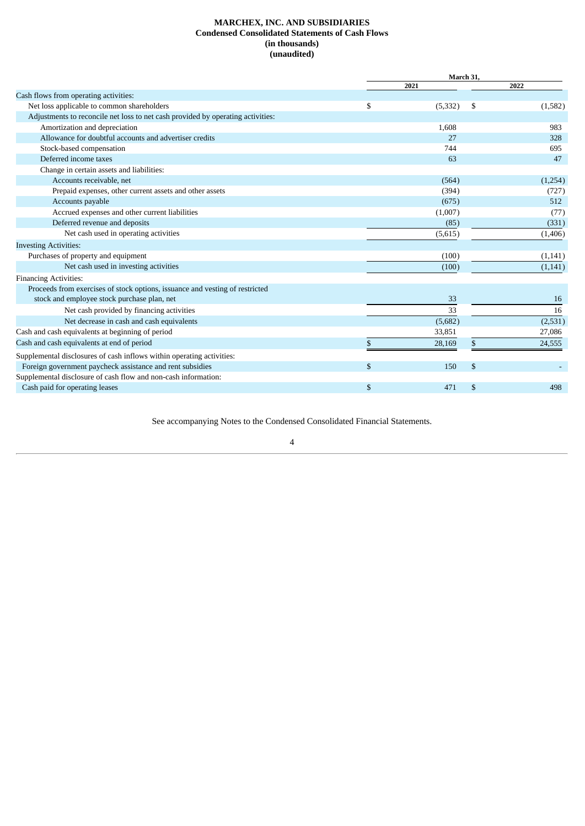# **MARCHEX, INC. AND SUBSIDIARIES Condensed Consolidated Statements of Cash Flows (in thousands) (unaudited)**

<span id="page-5-0"></span>

|                                                                                 | March 31,      |    |          |  |
|---------------------------------------------------------------------------------|----------------|----|----------|--|
|                                                                                 | 2021           |    | 2022     |  |
| Cash flows from operating activities:                                           |                |    |          |  |
| Net loss applicable to common shareholders                                      | \$<br>(5, 332) | \$ | (1,582)  |  |
| Adjustments to reconcile net loss to net cash provided by operating activities: |                |    |          |  |
| Amortization and depreciation                                                   | 1,608          |    | 983      |  |
| Allowance for doubtful accounts and advertiser credits                          | 27             |    | 328      |  |
| Stock-based compensation                                                        | 744            |    | 695      |  |
| Deferred income taxes                                                           | 63             |    | 47       |  |
| Change in certain assets and liabilities:                                       |                |    |          |  |
| Accounts receivable, net                                                        | (564)          |    | (1,254)  |  |
| Prepaid expenses, other current assets and other assets                         | (394)          |    | (727)    |  |
| Accounts payable                                                                | (675)          |    | 512      |  |
| Accrued expenses and other current liabilities                                  | (1,007)        |    | (77)     |  |
| Deferred revenue and deposits                                                   | (85)           |    | (331)    |  |
| Net cash used in operating activities                                           | (5,615)        |    | (1,406)  |  |
| <b>Investing Activities:</b>                                                    |                |    |          |  |
| Purchases of property and equipment                                             | (100)          |    | (1,141)  |  |
| Net cash used in investing activities                                           | (100)          |    | (1, 141) |  |
| <b>Financing Activities:</b>                                                    |                |    |          |  |
| Proceeds from exercises of stock options, issuance and vesting of restricted    |                |    |          |  |
| stock and employee stock purchase plan, net                                     | 33             |    | 16       |  |
| Net cash provided by financing activities                                       | 33             |    | 16       |  |
| Net decrease in cash and cash equivalents                                       | (5,682)        |    | (2, 531) |  |
| Cash and cash equivalents at beginning of period                                | 33,851         |    | 27,086   |  |
| Cash and cash equivalents at end of period                                      | \$<br>28,169   | \$ | 24,555   |  |
| Supplemental disclosures of cash inflows within operating activities:           |                |    |          |  |
| Foreign government paycheck assistance and rent subsidies                       | \$<br>150      | \$ |          |  |
| Supplemental disclosure of cash flow and non-cash information:                  |                |    |          |  |
| Cash paid for operating leases                                                  | \$<br>471      | \$ | 498      |  |

See accompanying Notes to the Condensed Consolidated Financial Statements.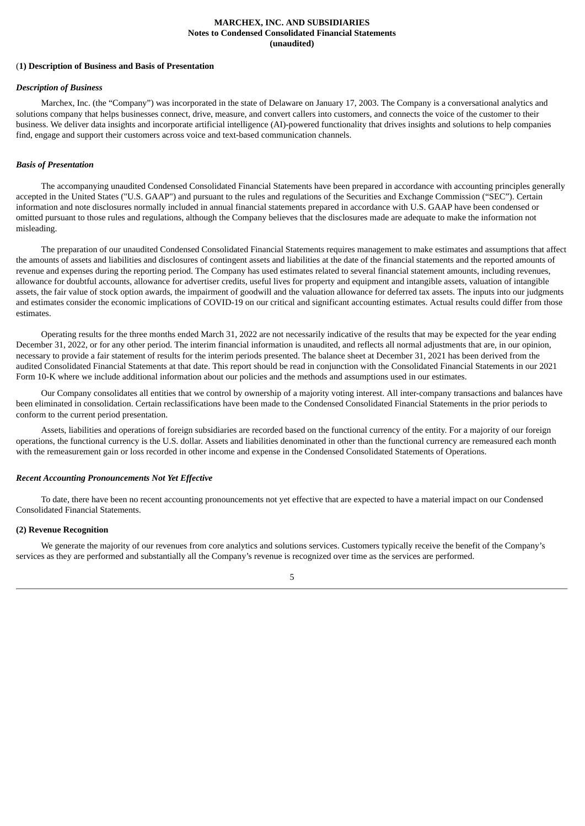# **MARCHEX, INC. AND SUBSIDIARIES Notes to Condensed Consolidated Financial Statements (unaudited)**

# <span id="page-6-0"></span>(**1) Description of Business and Basis of Presentation**

#### *Description of Business*

Marchex, Inc. (the "Company") was incorporated in the state of Delaware on January 17, 2003. The Company is a conversational analytics and solutions company that helps businesses connect, drive, measure, and convert callers into customers, and connects the voice of the customer to their business. We deliver data insights and incorporate artificial intelligence (AI)-powered functionality that drives insights and solutions to help companies find, engage and support their customers across voice and text-based communication channels.

#### *Basis of Presentation*

The accompanying unaudited Condensed Consolidated Financial Statements have been prepared in accordance with accounting principles generally accepted in the United States ("U.S. GAAP") and pursuant to the rules and regulations of the Securities and Exchange Commission ("SEC"). Certain information and note disclosures normally included in annual financial statements prepared in accordance with U.S. GAAP have been condensed or omitted pursuant to those rules and regulations, although the Company believes that the disclosures made are adequate to make the information not misleading.

The preparation of our unaudited Condensed Consolidated Financial Statements requires management to make estimates and assumptions that affect the amounts of assets and liabilities and disclosures of contingent assets and liabilities at the date of the financial statements and the reported amounts of revenue and expenses during the reporting period. The Company has used estimates related to several financial statement amounts, including revenues, allowance for doubtful accounts, allowance for advertiser credits, useful lives for property and equipment and intangible assets, valuation of intangible assets, the fair value of stock option awards, the impairment of goodwill and the valuation allowance for deferred tax assets. The inputs into our judgments and estimates consider the economic implications of COVID-19 on our critical and significant accounting estimates. Actual results could differ from those estimates.

Operating results for the three months ended March 31, 2022 are not necessarily indicative of the results that may be expected for the year ending December 31, 2022, or for any other period. The interim financial information is unaudited, and reflects all normal adjustments that are, in our opinion, necessary to provide a fair statement of results for the interim periods presented. The balance sheet at December 31, 2021 has been derived from the audited Consolidated Financial Statements at that date. This report should be read in conjunction with the Consolidated Financial Statements in our 2021 Form 10-K where we include additional information about our policies and the methods and assumptions used in our estimates.

Our Company consolidates all entities that we control by ownership of a majority voting interest. All inter-company transactions and balances have been eliminated in consolidation. Certain reclassifications have been made to the Condensed Consolidated Financial Statements in the prior periods to conform to the current period presentation.

Assets, liabilities and operations of foreign subsidiaries are recorded based on the functional currency of the entity. For a majority of our foreign operations, the functional currency is the U.S. dollar. Assets and liabilities denominated in other than the functional currency are remeasured each month with the remeasurement gain or loss recorded in other income and expense in the Condensed Consolidated Statements of Operations.

# *Recent Accounting Pronouncements Not Yet Effective*

To date, there have been no recent accounting pronouncements not yet effective that are expected to have a material impact on our Condensed Consolidated Financial Statements.

#### **(2) Revenue Recognition**

We generate the majority of our revenues from core analytics and solutions services. Customers typically receive the benefit of the Company's services as they are performed and substantially all the Company's revenue is recognized over time as the services are performed.

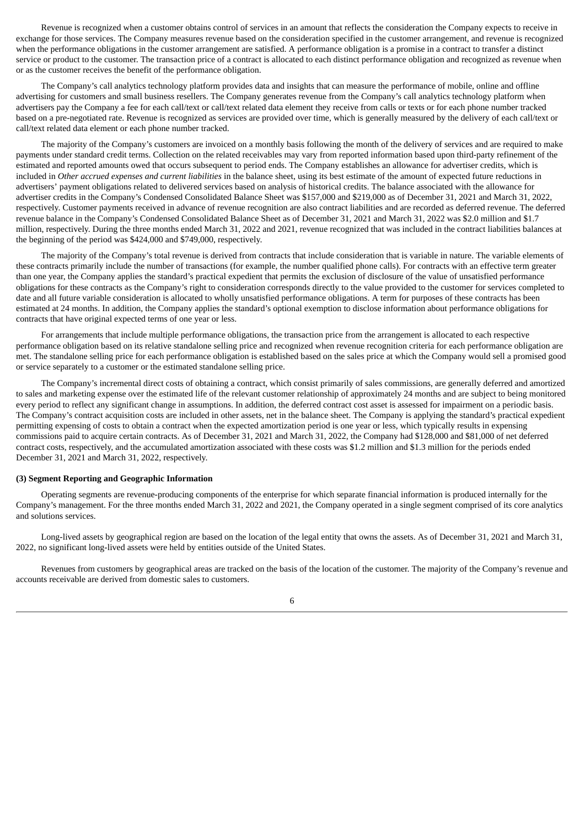Revenue is recognized when a customer obtains control of services in an amount that reflects the consideration the Company expects to receive in exchange for those services. The Company measures revenue based on the consideration specified in the customer arrangement, and revenue is recognized when the performance obligations in the customer arrangement are satisfied. A performance obligation is a promise in a contract to transfer a distinct service or product to the customer. The transaction price of a contract is allocated to each distinct performance obligation and recognized as revenue when or as the customer receives the benefit of the performance obligation.

The Company's call analytics technology platform provides data and insights that can measure the performance of mobile, online and offline advertising for customers and small business resellers. The Company generates revenue from the Company's call analytics technology platform when advertisers pay the Company a fee for each call/text or call/text related data element they receive from calls or texts or for each phone number tracked based on a pre-negotiated rate. Revenue is recognized as services are provided over time, which is generally measured by the delivery of each call/text or call/text related data element or each phone number tracked.

The majority of the Company's customers are invoiced on a monthly basis following the month of the delivery of services and are required to make payments under standard credit terms. Collection on the related receivables may vary from reported information based upon third-party refinement of the estimated and reported amounts owed that occurs subsequent to period ends. The Company establishes an allowance for advertiser credits, which is included in *Other accrued expenses and current liabilities* in the balance sheet, using its best estimate of the amount of expected future reductions in advertisers' payment obligations related to delivered services based on analysis of historical credits. The balance associated with the allowance for advertiser credits in the Company's Condensed Consolidated Balance Sheet was \$157,000 and \$219,000 as of December 31, 2021 and March 31, 2022, respectively. Customer payments received in advance of revenue recognition are also contract liabilities and are recorded as deferred revenue. The deferred revenue balance in the Company's Condensed Consolidated Balance Sheet as of December 31, 2021 and March 31, 2022 was \$2.0 million and \$1.7 million, respectively. During the three months ended March 31, 2022 and 2021, revenue recognized that was included in the contract liabilities balances at the beginning of the period was \$424,000 and \$749,000, respectively.

The majority of the Company's total revenue is derived from contracts that include consideration that is variable in nature. The variable elements of these contracts primarily include the number of transactions (for example, the number qualified phone calls). For contracts with an effective term greater than one year, the Company applies the standard's practical expedient that permits the exclusion of disclosure of the value of unsatisfied performance obligations for these contracts as the Company's right to consideration corresponds directly to the value provided to the customer for services completed to date and all future variable consideration is allocated to wholly unsatisfied performance obligations. A term for purposes of these contracts has been estimated at 24 months. In addition, the Company applies the standard's optional exemption to disclose information about performance obligations for contracts that have original expected terms of one year or less.

For arrangements that include multiple performance obligations, the transaction price from the arrangement is allocated to each respective performance obligation based on its relative standalone selling price and recognized when revenue recognition criteria for each performance obligation are met. The standalone selling price for each performance obligation is established based on the sales price at which the Company would sell a promised good or service separately to a customer or the estimated standalone selling price.

The Company's incremental direct costs of obtaining a contract, which consist primarily of sales commissions, are generally deferred and amortized to sales and marketing expense over the estimated life of the relevant customer relationship of approximately 24 months and are subject to being monitored every period to reflect any significant change in assumptions. In addition, the deferred contract cost asset is assessed for impairment on a periodic basis. The Company's contract acquisition costs are included in other assets, net in the balance sheet. The Company is applying the standard's practical expedient permitting expensing of costs to obtain a contract when the expected amortization period is one year or less, which typically results in expensing commissions paid to acquire certain contracts. As of December 31, 2021 and March 31, 2022, the Company had \$128,000 and \$81,000 of net deferred contract costs, respectively, and the accumulated amortization associated with these costs was \$1.2 million and \$1.3 million for the periods ended December 31, 2021 and March 31, 2022, respectively.

# **(3) Segment Reporting and Geographic Information**

Operating segments are revenue-producing components of the enterprise for which separate financial information is produced internally for the Company's management. For the three months ended March 31, 2022 and 2021, the Company operated in a single segment comprised of its core analytics and solutions services.

Long-lived assets by geographical region are based on the location of the legal entity that owns the assets. As of December 31, 2021 and March 31, 2022, no significant long-lived assets were held by entities outside of the United States.

Revenues from customers by geographical areas are tracked on the basis of the location of the customer. The majority of the Company's revenue and accounts receivable are derived from domestic sales to customers.

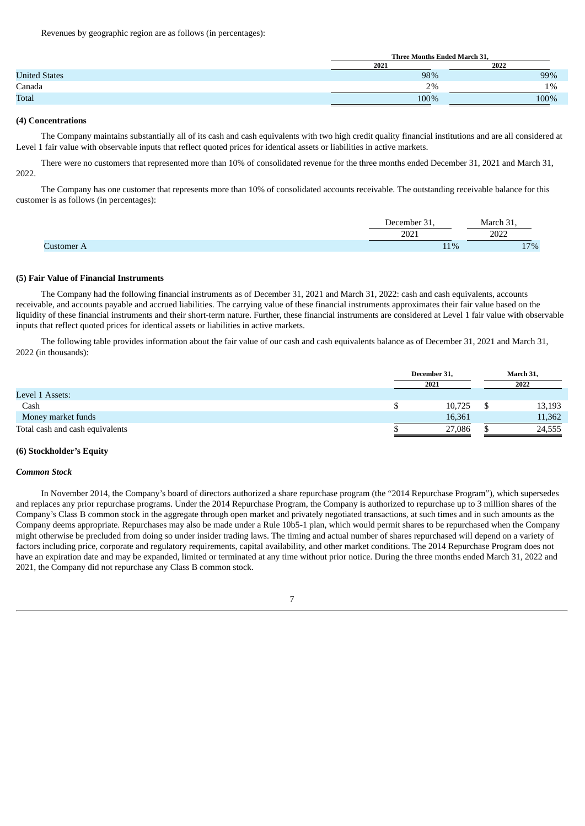Revenues by geographic region are as follows (in percentages):

|                      | Three Months Ended March 31, |      |  |  |
|----------------------|------------------------------|------|--|--|
|                      | 2021                         | 2022 |  |  |
| <b>United States</b> | 98%                          | 99%  |  |  |
| Canada               | 2%                           | 1%   |  |  |
| <b>Total</b>         | 100%                         | 100% |  |  |

#### **(4) Concentrations**

The Company maintains substantially all of its cash and cash equivalents with two high credit quality financial institutions and are all considered at Level 1 fair value with observable inputs that reflect quoted prices for identical assets or liabilities in active markets.

There were no customers that represented more than 10% of consolidated revenue for the three months ended December 31, 2021 and March 31, 2022.

The Company has one customer that represents more than 10% of consolidated accounts receivable. The outstanding receivable balance for this customer is as follows (in percentages):

| $\sim$<br>Jecember | al arc'                      |
|--------------------|------------------------------|
| ר∩ר<br>40Z         | $\sim$ $\sim$ $\sim$<br>LULL |
| $1\%$              | 170/<br>%<br>$\pm$           |

## **(5) Fair Value of Financial Instruments**

The Company had the following financial instruments as of December 31, 2021 and March 31, 2022: cash and cash equivalents, accounts receivable, and accounts payable and accrued liabilities. The carrying value of these financial instruments approximates their fair value based on the liquidity of these financial instruments and their short-term nature. Further, these financial instruments are considered at Level 1 fair value with observable inputs that reflect quoted prices for identical assets or liabilities in active markets.

The following table provides information about the fair value of our cash and cash equivalents balance as of December 31, 2021 and March 31, 2022 (in thousands):

|                                 | December 31, |  | March 31, |  |
|---------------------------------|--------------|--|-----------|--|
|                                 | 2021         |  | 2022      |  |
| Level 1 Assets:                 |              |  |           |  |
| Cash                            | 10,725       |  | 13,193    |  |
| Money market funds              | 16,361       |  | 11,362    |  |
| Total cash and cash equivalents | 27,086       |  | 24,555    |  |

#### **(6) Stockholder's Equity**

#### *Common Stock*

In November 2014, the Company's board of directors authorized a share repurchase program (the "2014 Repurchase Program"), which supersedes and replaces any prior repurchase programs. Under the 2014 Repurchase Program, the Company is authorized to repurchase up to 3 million shares of the Company's Class B common stock in the aggregate through open market and privately negotiated transactions, at such times and in such amounts as the Company deems appropriate. Repurchases may also be made under a Rule 10b5-1 plan, which would permit shares to be repurchased when the Company might otherwise be precluded from doing so under insider trading laws. The timing and actual number of shares repurchased will depend on a variety of factors including price, corporate and regulatory requirements, capital availability, and other market conditions. The 2014 Repurchase Program does not have an expiration date and may be expanded, limited or terminated at any time without prior notice. During the three months ended March 31, 2022 and 2021, the Company did not repurchase any Class B common stock.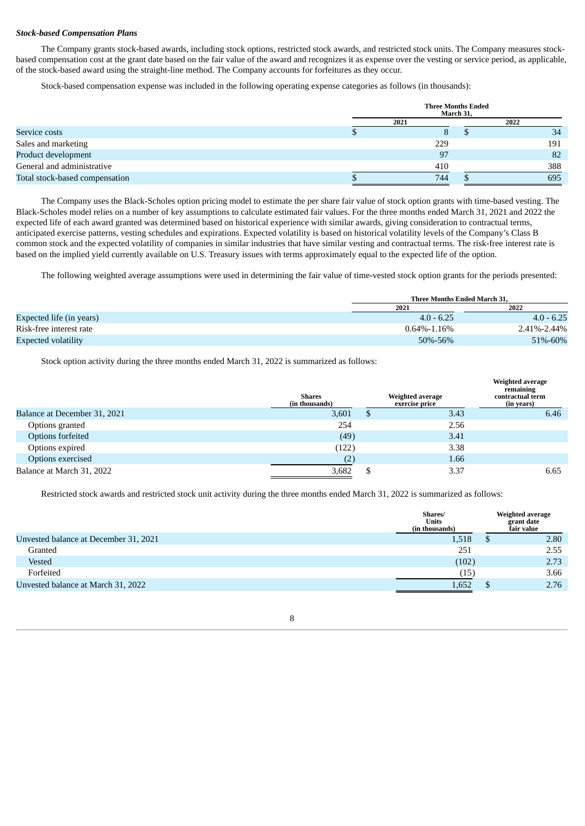## *Stock-based Compensation Plans*

The Company grants stock-based awards, including stock options, restricted stock awards, and restricted stock units. The Company measures stockbased compensation cost at the grant date based on the fair value of the award and recognizes it as expense over the vesting or service period, as applicable, of the stock-based award using the straight-line method. The Company accounts for forfeitures as they occur.

Stock-based compensation expense was included in the following operating expense categories as follows (in thousands):

|                                | <b>Three Months Ended</b><br>March 31, |     |  |      |  |
|--------------------------------|----------------------------------------|-----|--|------|--|
|                                | 2021                                   |     |  | 2022 |  |
| Service costs                  |                                        | O   |  | 34   |  |
| Sales and marketing            |                                        | 229 |  | 191  |  |
| Product development            |                                        | 97  |  | 82   |  |
| General and administrative     |                                        | 410 |  | 388  |  |
| Total stock-based compensation |                                        | 744 |  | 695  |  |

The Company uses the Black-Scholes option pricing model to estimate the per share fair value of stock option grants with time-based vesting. The Black-Scholes model relies on a number of key assumptions to calculate estimated fair values. For the three months ended March 31, 2021 and 2022 the expected life of each award granted was determined based on historical experience with similar awards, giving consideration to contractual terms, anticipated exercise patterns, vesting schedules and expirations. Expected volatility is based on historical volatility levels of the Company's Class B common stock and the expected volatility of companies in similar industries that have similar vesting and contractual terms. The risk-free interest rate is based on the implied yield currently available on U.S. Treasury issues with terms approximately equal to the expected life of the option.

The following weighted average assumptions were used in determining the fair value of time-vested stock option grants for the periods presented:

|                          | Three Months Ended March 31. |              |  |
|--------------------------|------------------------------|--------------|--|
|                          | 2021                         | 2022         |  |
| Expected life (in years) | $4.0 - 6.25$                 | $4.0 - 6.25$ |  |
| Risk-free interest rate  | $0.64\% - 1.16\%$            | 2.41%-2.44%  |  |
| Expected volatility      | 50%-56%                      | 51%-60%      |  |

Stock option activity during the three months ended March 31, 2022 is summarized as follows:

|                              | <b>Shares</b><br>(in thousands) |   | <b>Weighted average</b><br>exercise price | <b>Weighted average</b><br>remaining<br>contractual term<br>(in years) |
|------------------------------|---------------------------------|---|-------------------------------------------|------------------------------------------------------------------------|
| Balance at December 31, 2021 | 3,601                           | D | 3.43                                      | 6.46                                                                   |
| Options granted              | 254                             |   | 2.56                                      |                                                                        |
| Options forfeited            | (49)                            |   | 3.41                                      |                                                                        |
| Options expired              | (122)                           |   | 3.38                                      |                                                                        |
| Options exercised            | (2)                             |   | 1.66                                      |                                                                        |
| Balance at March 31, 2022    | 3,682                           | D | 3.37                                      | 6.65                                                                   |

Restricted stock awards and restricted stock unit activity during the three months ended March 31, 2022 is summarized as follows:

|                                       | Shares/<br><b>Units</b><br>(in thousands) | <b>Weighted average</b><br>grant date<br>fair value |
|---------------------------------------|-------------------------------------------|-----------------------------------------------------|
| Unvested balance at December 31, 2021 | 1,518                                     | 2.80                                                |
| Granted                               | 251                                       | 2.55                                                |
| Vested                                | (102)                                     | 2.73                                                |
| Forfeited                             | (15)                                      | 3.66                                                |
| Unvested balance at March 31, 2022    | 1.652                                     | 2.76                                                |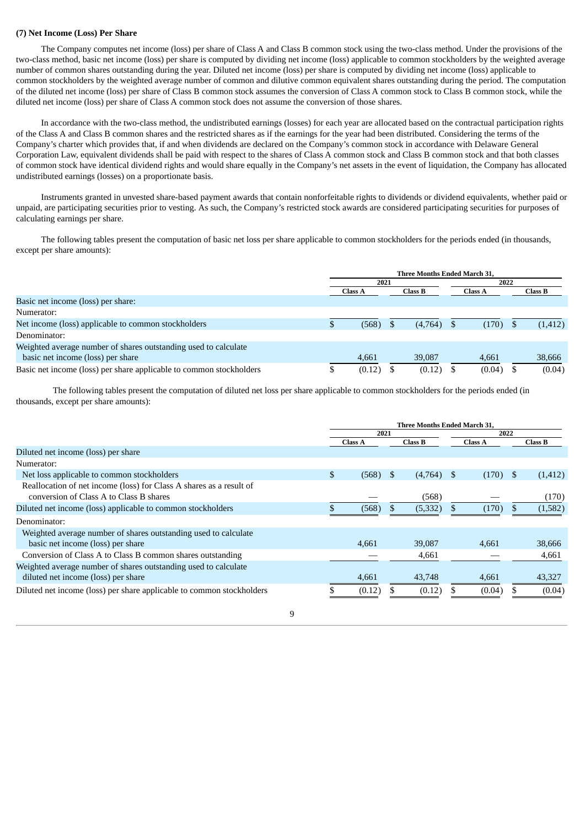# **(7) Net Income (Loss) Per Share**

The Company computes net income (loss) per share of Class A and Class B common stock using the two-class method. Under the provisions of the two-class method, basic net income (loss) per share is computed by dividing net income (loss) applicable to common stockholders by the weighted average number of common shares outstanding during the year. Diluted net income (loss) per share is computed by dividing net income (loss) applicable to common stockholders by the weighted average number of common and dilutive common equivalent shares outstanding during the period. The computation of the diluted net income (loss) per share of Class B common stock assumes the conversion of Class A common stock to Class B common stock, while the diluted net income (loss) per share of Class A common stock does not assume the conversion of those shares.

In accordance with the two-class method, the undistributed earnings (losses) for each year are allocated based on the contractual participation rights of the Class A and Class B common shares and the restricted shares as if the earnings for the year had been distributed. Considering the terms of the Company's charter which provides that, if and when dividends are declared on the Company's common stock in accordance with Delaware General Corporation Law, equivalent dividends shall be paid with respect to the shares of Class A common stock and Class B common stock and that both classes of common stock have identical dividend rights and would share equally in the Company's net assets in the event of liquidation, the Company has allocated undistributed earnings (losses) on a proportionate basis.

Instruments granted in unvested share-based payment awards that contain nonforfeitable rights to dividends or dividend equivalents, whether paid or unpaid, are participating securities prior to vesting. As such, the Company's restricted stock awards are considered participating securities for purposes of calculating earnings per share.

The following tables present the computation of basic net loss per share applicable to common stockholders for the periods ended (in thousands, except per share amounts):

|                                                                     | <b>Three Months Ended March 31.</b> |  |                |      |                |  |          |  |
|---------------------------------------------------------------------|-------------------------------------|--|----------------|------|----------------|--|----------|--|
|                                                                     | 2021                                |  |                | 2022 |                |  |          |  |
|                                                                     | <b>Class A</b>                      |  | <b>Class B</b> |      | <b>Class A</b> |  | Class B  |  |
| Basic net income (loss) per share:                                  |                                     |  |                |      |                |  |          |  |
| Numerator:                                                          |                                     |  |                |      |                |  |          |  |
| Net income (loss) applicable to common stockholders                 | (568)                               |  | (4,764)        |      | (170)          |  | (1, 412) |  |
| Denominator:                                                        |                                     |  |                |      |                |  |          |  |
| Weighted average number of shares outstanding used to calculate     |                                     |  |                |      |                |  |          |  |
| basic net income (loss) per share                                   | 4,661                               |  | 39,087         |      | 4,661          |  | 38,666   |  |
| Basic net income (loss) per share applicable to common stockholders | (0.12)                              |  | (0.12)         |      | (0.04)         |  | (0.04)   |  |

The following tables present the computation of diluted net loss per share applicable to common stockholders for the periods ended (in thousands, except per share amounts):

|                                                                       | <b>Three Months Ended March 31.</b> |                |   |                |    |                |  |                |
|-----------------------------------------------------------------------|-------------------------------------|----------------|---|----------------|----|----------------|--|----------------|
|                                                                       | 2021                                |                |   | 2022           |    |                |  |                |
|                                                                       |                                     | <b>Class A</b> |   | <b>Class B</b> |    | <b>Class A</b> |  | <b>Class B</b> |
| Diluted net income (loss) per share                                   |                                     |                |   |                |    |                |  |                |
| Numerator:                                                            |                                     |                |   |                |    |                |  |                |
| Net loss applicable to common stockholders                            | \$                                  | (568)          | S | (4,764)        | -S | $(170)$ \$     |  | (1, 412)       |
| Reallocation of net income (loss) for Class A shares as a result of   |                                     |                |   |                |    |                |  |                |
| conversion of Class A to Class B shares                               |                                     |                |   | (568)          |    |                |  | (170)          |
| Diluted net income (loss) applicable to common stockholders           |                                     | (568)          |   | (5, 332)       |    | (170)          |  | (1,582)        |
| Denominator:                                                          |                                     |                |   |                |    |                |  |                |
| Weighted average number of shares outstanding used to calculate       |                                     |                |   |                |    |                |  |                |
| basic net income (loss) per share                                     |                                     | 4.661          |   | 39,087         |    | 4.661          |  | 38,666         |
| Conversion of Class A to Class B common shares outstanding            |                                     |                |   | 4,661          |    |                |  | 4,661          |
| Weighted average number of shares outstanding used to calculate       |                                     |                |   |                |    |                |  |                |
| diluted net income (loss) per share                                   |                                     | 4,661          |   | 43,748         |    | 4,661          |  | 43,327         |
| Diluted net income (loss) per share applicable to common stockholders |                                     | (0.12)         |   | (0.12)         |    | (0.04)         |  | (0.04)         |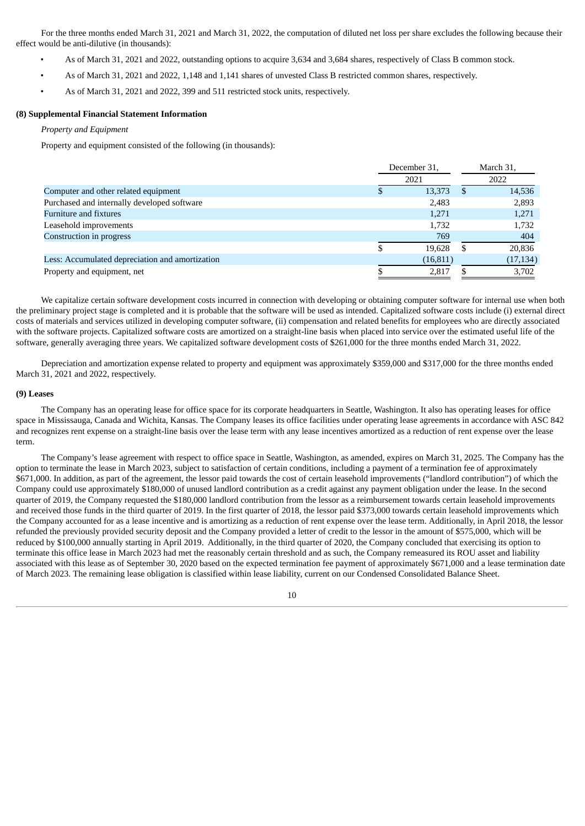For the three months ended March 31, 2021 and March 31, 2022, the computation of diluted net loss per share excludes the following because their effect would be anti-dilutive (in thousands):

- As of March 31, 2021 and 2022, outstanding options to acquire 3,634 and 3,684 shares, respectively of Class B common stock.
- As of March 31, 2021 and 2022, 1,148 and 1,141 shares of unvested Class B restricted common shares, respectively.
- As of March 31, 2021 and 2022, 399 and 511 restricted stock units, respectively.

# **(8) Supplemental Financial Statement Information**

# *Property and Equipment*

Property and equipment consisted of the following (in thousands):

|                                                 | December 31, |          | March 31, |
|-------------------------------------------------|--------------|----------|-----------|
|                                                 | 2021         |          | 2022      |
| Computer and other related equipment            | 13,373       | <b>S</b> | 14,536    |
| Purchased and internally developed software     | 2,483        |          | 2,893     |
| Furniture and fixtures                          | 1,271        |          | 1,271     |
| Leasehold improvements                          | 1,732        |          | 1,732     |
| Construction in progress                        | 769          |          | 404       |
|                                                 | 19.628       | S.       | 20,836    |
| Less: Accumulated depreciation and amortization | (16, 811)    |          | (17, 134) |
| Property and equipment, net                     | 2,817        |          | 3,702     |

We capitalize certain software development costs incurred in connection with developing or obtaining computer software for internal use when both the preliminary project stage is completed and it is probable that the software will be used as intended. Capitalized software costs include (i) external direct costs of materials and services utilized in developing computer software, (ii) compensation and related benefits for employees who are directly associated with the software projects. Capitalized software costs are amortized on a straight-line basis when placed into service over the estimated useful life of the software, generally averaging three years. We capitalized software development costs of \$261,000 for the three months ended March 31, 2022.

Depreciation and amortization expense related to property and equipment was approximately \$359,000 and \$317,000 for the three months ended March 31, 2021 and 2022, respectively.

# **(9) Leases**

The Company has an operating lease for office space for its corporate headquarters in Seattle, Washington. It also has operating leases for office space in Mississauga, Canada and Wichita, Kansas. The Company leases its office facilities under operating lease agreements in accordance with ASC 842 and recognizes rent expense on a straight-line basis over the lease term with any lease incentives amortized as a reduction of rent expense over the lease term.

The Company's lease agreement with respect to office space in Seattle, Washington, as amended, expires on March 31, 2025. The Company has the option to terminate the lease in March 2023, subject to satisfaction of certain conditions, including a payment of a termination fee of approximately \$671,000. In addition, as part of the agreement, the lessor paid towards the cost of certain leasehold improvements ("landlord contribution") of which the Company could use approximately \$180,000 of unused landlord contribution as a credit against any payment obligation under the lease. In the second quarter of 2019, the Company requested the \$180,000 landlord contribution from the lessor as a reimbursement towards certain leasehold improvements and received those funds in the third quarter of 2019. In the first quarter of 2018, the lessor paid \$373,000 towards certain leasehold improvements which the Company accounted for as a lease incentive and is amortizing as a reduction of rent expense over the lease term. Additionally, in April 2018, the lessor refunded the previously provided security deposit and the Company provided a letter of credit to the lessor in the amount of \$575,000, which will be reduced by \$100,000 annually starting in April 2019. Additionally, in the third quarter of 2020, the Company concluded that exercising its option to terminate this office lease in March 2023 had met the reasonably certain threshold and as such, the Company remeasured its ROU asset and liability associated with this lease as of September 30, 2020 based on the expected termination fee payment of approximately \$671,000 and a lease termination date of March 2023. The remaining lease obligation is classified within lease liability, current on our Condensed Consolidated Balance Sheet.

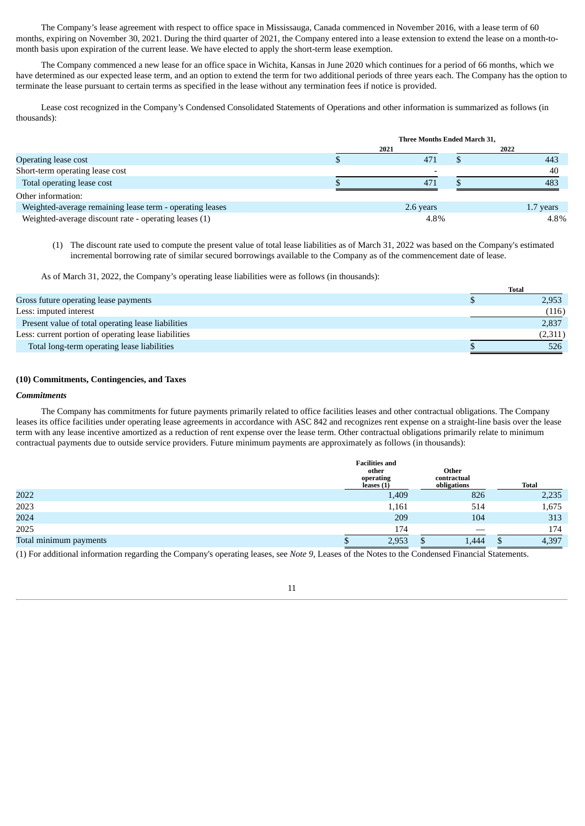The Company's lease agreement with respect to office space in Mississauga, Canada commenced in November 2016, with a lease term of 60 months, expiring on November 30, 2021. During the third quarter of 2021, the Company entered into a lease extension to extend the lease on a month-tomonth basis upon expiration of the current lease. We have elected to apply the short-term lease exemption.

The Company commenced a new lease for an office space in Wichita, Kansas in June 2020 which continues for a period of 66 months, which we have determined as our expected lease term, and an option to extend the term for two additional periods of three years each. The Company has the option to terminate the lease pursuant to certain terms as specified in the lease without any termination fees if notice is provided.

Lease cost recognized in the Company's Condensed Consolidated Statements of Operations and other information is summarized as follows (in thousands):

|                                                          | Three Months Ended March 31, |  |           |  |  |  |
|----------------------------------------------------------|------------------------------|--|-----------|--|--|--|
|                                                          | 2021                         |  | 2022      |  |  |  |
| Operating lease cost                                     | 471                          |  | 443       |  |  |  |
| Short-term operating lease cost                          |                              |  | 40        |  |  |  |
| Total operating lease cost                               | 471                          |  | 483       |  |  |  |
| Other information:                                       |                              |  |           |  |  |  |
| Weighted-average remaining lease term - operating leases | 2.6 years                    |  | 1.7 years |  |  |  |
| Weighted-average discount rate - operating leases (1)    | 4.8%                         |  | 4.8%      |  |  |  |

(1) The discount rate used to compute the present value of total lease liabilities as of March 31, 2022 was based on the Company's estimated incremental borrowing rate of similar secured borrowings available to the Company as of the commencement date of lease.

As of March 31, 2022, the Company's operating lease liabilities were as follows (in thousands):

|                                                      | Total   |
|------------------------------------------------------|---------|
| Gross future operating lease payments                | 2,953   |
| Less: imputed interest                               | (116)   |
| Present value of total operating lease liabilities   | 2,837   |
| Less: current portion of operating lease liabilities | (2,311) |
| Total long-term operating lease liabilities          | 526     |

# **(10) Commitments, Contingencies, and Taxes**

## *Commitments*

The Company has commitments for future payments primarily related to office facilities leases and other contractual obligations. The Company leases its office facilities under operating lease agreements in accordance with ASC 842 and recognizes rent expense on a straight-line basis over the lease term with any lease incentive amortized as a reduction of rent expense over the lease term. Other contractual obligations primarily relate to minimum contractual payments due to outside service providers. Future minimum payments are approximately as follows (in thousands):

|                        | <b>Facilities and</b><br>other<br>operating<br>leases (1) | Other<br>contractual<br>obligations |       | <b>Total</b> |
|------------------------|-----------------------------------------------------------|-------------------------------------|-------|--------------|
| 2022                   | 1,409                                                     |                                     | 826   | 2,235        |
| 2023                   | 1,161                                                     |                                     | 514   | 1,675        |
| 2024                   | 209                                                       |                                     | 104   | 313          |
| 2025                   | 174                                                       |                                     |       | 174          |
| Total minimum payments | 2,953                                                     |                                     | 1,444 | 4,397        |

(1) For additional information regarding the Company's operating leases, see *Note 9,* Leases of the Notes to the Condensed Financial Statements.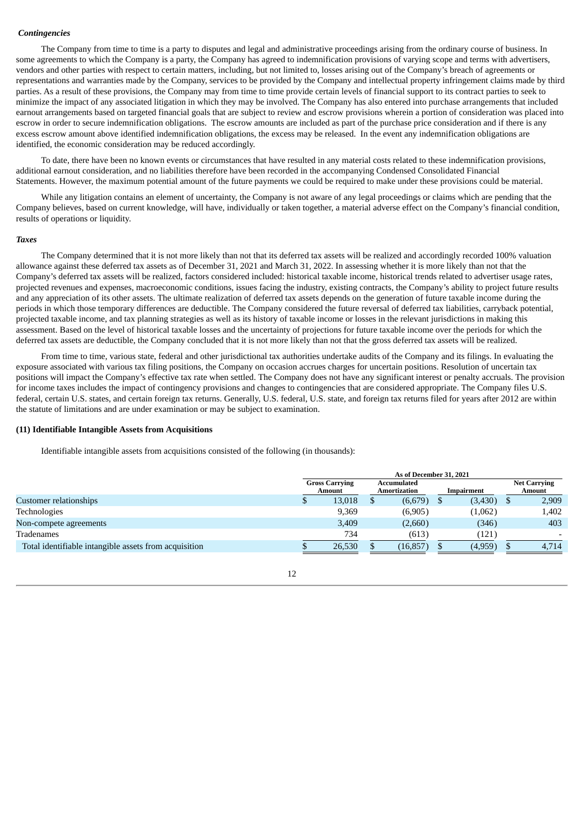#### *Contingencies*

The Company from time to time is a party to disputes and legal and administrative proceedings arising from the ordinary course of business. In some agreements to which the Company is a party, the Company has agreed to indemnification provisions of varying scope and terms with advertisers, vendors and other parties with respect to certain matters, including, but not limited to, losses arising out of the Company's breach of agreements or representations and warranties made by the Company, services to be provided by the Company and intellectual property infringement claims made by third parties. As a result of these provisions, the Company may from time to time provide certain levels of financial support to its contract parties to seek to minimize the impact of any associated litigation in which they may be involved. The Company has also entered into purchase arrangements that included earnout arrangements based on targeted financial goals that are subject to review and escrow provisions wherein a portion of consideration was placed into escrow in order to secure indemnification obligations. The escrow amounts are included as part of the purchase price consideration and if there is any excess escrow amount above identified indemnification obligations, the excess may be released. In the event any indemnification obligations are identified, the economic consideration may be reduced accordingly.

To date, there have been no known events or circumstances that have resulted in any material costs related to these indemnification provisions, additional earnout consideration, and no liabilities therefore have been recorded in the accompanying Condensed Consolidated Financial Statements. However, the maximum potential amount of the future payments we could be required to make under these provisions could be material.

While any litigation contains an element of uncertainty, the Company is not aware of any legal proceedings or claims which are pending that the Company believes, based on current knowledge, will have, individually or taken together, a material adverse effect on the Company's financial condition, results of operations or liquidity.

#### *Taxes*

The Company determined that it is not more likely than not that its deferred tax assets will be realized and accordingly recorded 100% valuation allowance against these deferred tax assets as of December 31, 2021 and March 31, 2022. In assessing whether it is more likely than not that the Company's deferred tax assets will be realized, factors considered included: historical taxable income, historical trends related to advertiser usage rates, projected revenues and expenses, macroeconomic conditions, issues facing the industry, existing contracts, the Company's ability to project future results and any appreciation of its other assets. The ultimate realization of deferred tax assets depends on the generation of future taxable income during the periods in which those temporary differences are deductible. The Company considered the future reversal of deferred tax liabilities, carryback potential, projected taxable income, and tax planning strategies as well as its history of taxable income or losses in the relevant jurisdictions in making this assessment. Based on the level of historical taxable losses and the uncertainty of projections for future taxable income over the periods for which the deferred tax assets are deductible, the Company concluded that it is not more likely than not that the gross deferred tax assets will be realized.

From time to time, various state, federal and other jurisdictional tax authorities undertake audits of the Company and its filings. In evaluating the exposure associated with various tax filing positions, the Company on occasion accrues charges for uncertain positions. Resolution of uncertain tax positions will impact the Company's effective tax rate when settled. The Company does not have any significant interest or penalty accruals. The provision for income taxes includes the impact of contingency provisions and changes to contingencies that are considered appropriate. The Company files U.S. federal, certain U.S. states, and certain foreign tax returns. Generally, U.S. federal, U.S. state, and foreign tax returns filed for years after 2012 are within the statute of limitations and are under examination or may be subject to examination.

#### **(11) Identifiable Intangible Assets from Acquisitions**

Identifiable intangible assets from acquisitions consisted of the following (in thousands):

|                                                       | As of December 31, 2021 |                                 |  |                             |  |            |  |                               |
|-------------------------------------------------------|-------------------------|---------------------------------|--|-----------------------------|--|------------|--|-------------------------------|
|                                                       |                         | <b>Gross Carrying</b><br>Amount |  | Accumulated<br>Amortization |  | Impairment |  | <b>Net Carrying</b><br>Amount |
| Customer relationships                                |                         | 13,018                          |  | (6,679)                     |  | (3,430)    |  | 2,909                         |
| Technologies                                          |                         | 9,369                           |  | (6,905)                     |  | (1,062)    |  | 1,402                         |
| Non-compete agreements                                |                         | 3,409                           |  | (2,660)                     |  | (346)      |  | 403                           |
| Tradenames                                            |                         | 734                             |  | (613)                       |  | (121)      |  | $\overline{\phantom{a}}$      |
| Total identifiable intangible assets from acquisition |                         | 26,530                          |  | (16, 857)                   |  | (4,959)    |  | 4.714                         |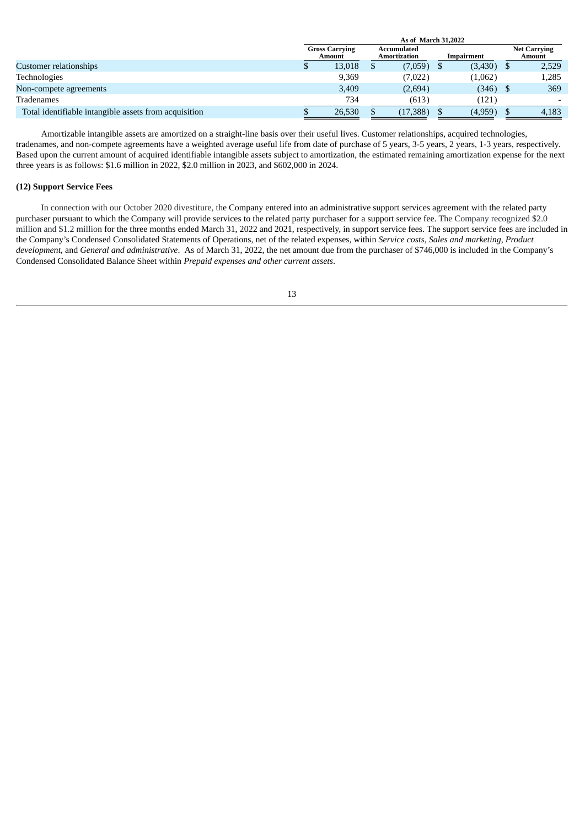|                                                       | As of March 31,2022             |  |                             |  |            |  |                               |  |
|-------------------------------------------------------|---------------------------------|--|-----------------------------|--|------------|--|-------------------------------|--|
|                                                       | <b>Gross Carrying</b><br>Amount |  | Accumulated<br>Amortization |  | Impairment |  | <b>Net Carrying</b><br>Amount |  |
| Customer relationships                                | 13,018                          |  | (7,059)                     |  | (3,430)    |  | 2,529                         |  |
| Technologies                                          | 9,369                           |  | (7,022)                     |  | (1,062)    |  | 1,285                         |  |
| Non-compete agreements                                | 3,409                           |  | (2,694)                     |  | (346)      |  | 369                           |  |
| Tradenames                                            | 734                             |  | (613)                       |  | (121)      |  |                               |  |
| Total identifiable intangible assets from acquisition | 26,530                          |  | (17, 388)                   |  | (4,959)    |  | 4,183                         |  |

Amortizable intangible assets are amortized on a straight-line basis over their useful lives. Customer relationships, acquired technologies, tradenames, and non-compete agreements have a weighted average useful life from date of purchase of 5 years, 3-5 years, 2 years, 1-3 years, respectively. Based upon the current amount of acquired identifiable intangible assets subject to amortization, the estimated remaining amortization expense for the next three years is as follows: \$1.6 million in 2022, \$2.0 million in 2023, and \$602,000 in 2024.

# **(12) Support Service Fees**

In connection with our October 2020 divestiture, the Company entered into an administrative support services agreement with the related party purchaser pursuant to which the Company will provide services to the related party purchaser for a support service fee. The Company recognized \$2.0 million and \$1.2 million for the three months ended March 31, 2022 and 2021, respectively, in support service fees. The support service fees are included in the Company's Condensed Consolidated Statements of Operations, net of the related expenses, within *Service costs*, *Sales and marketing*, *Product development*, and *General and administrative*. As of March 31, 2022, the net amount due from the purchaser of \$746,000 is included in the Company's Condensed Consolidated Balance Sheet within *Prepaid expenses and other current assets*.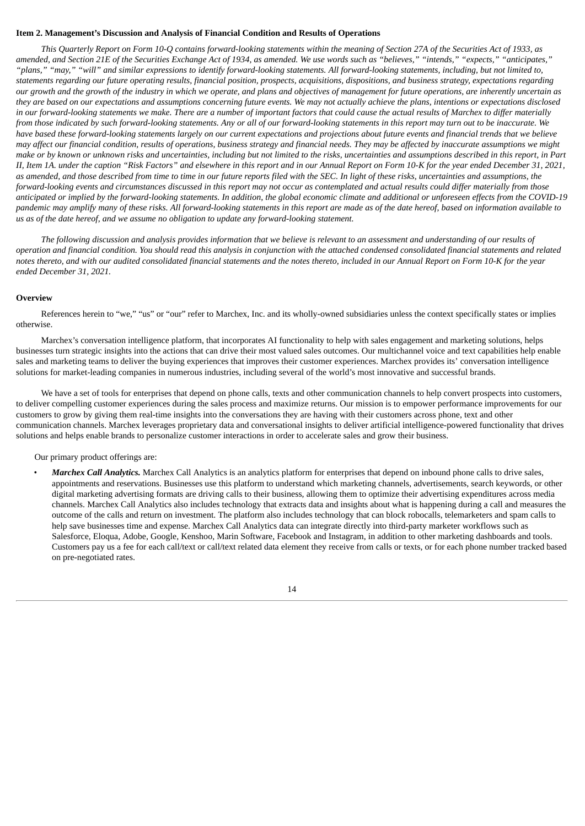#### <span id="page-15-0"></span>**Item 2. Management's Discussion and Analysis of Financial Condition and Results of Operations**

This Quarterly Report on Form 10-Q contains forward-looking statements within the meaning of Section 27A of the Securities Act of 1933, as amended, and Section 21E of the Securities Exchange Act of 1934, as amended. We use words such as "believes," "intends," "expects," "anticipates," "plans," "may," "will" and similar expressions to identify forward-looking statements. All forward-looking statements, including, but not limited to, statements regarding our future operating results, financial position, prospects, acquisitions, dispositions, and business strategy, expectations regarding our growth and the growth of the industry in which we operate, and plans and objectives of management for future operations, are inherently uncertain as they are based on our expectations and assumptions concerning future events. We may not actually achieve the plans, intentions or expectations disclosed in our forward-looking statements we make. There are a number of important factors that could cause the actual results of Marchex to differ materially from those indicated by such forward-looking statements. Any or all of our forward-looking statements in this report may turn out to be inaccurate. We have based these forward-looking statements largely on our current expectations and projections about future events and financial trends that we believe may affect our financial condition, results of operations, business strategy and financial needs. They may be affected by inaccurate assumptions we might make or by known or unknown risks and uncertainties, including but not limited to the risks, uncertainties and assumptions described in this report, in Part II, Item 1A. under the caption "Risk Factors" and elsewhere in this report and in our Annual Report on Form 10-K for the year ended December 31, 2021, as amended, and those described from time to time in our future reports filed with the SEC. In light of these risks, uncertainties and assumptions, the forward-looking events and circumstances discussed in this report may not occur as contemplated and actual results could differ materially from those anticipated or implied by the forward-looking statements. In addition, the global economic climate and additional or unforeseen effects from the COVID-19 pandemic may amplify many of these risks. All forward-looking statements in this report are made as of the date hereof, based on information available to *us as of the date hereof, and we assume no obligation to update any forward-looking statement.*

The following discussion and analysis provides information that we believe is relevant to an assessment and understanding of our results of operation and financial condition. You should read this analysis in conjunction with the attached condensed consolidated financial statements and related notes thereto, and with our audited consolidated financial statements and the notes thereto, included in our Annual Report on Form 10-K for the year *ended December 31, 2021.*

#### **Overview**

References herein to "we," "us" or "our" refer to Marchex, Inc. and its wholly-owned subsidiaries unless the context specifically states or implies otherwise.

Marchex's conversation intelligence platform, that incorporates AI functionality to help with sales engagement and marketing solutions, helps businesses turn strategic insights into the actions that can drive their most valued sales outcomes. Our multichannel voice and text capabilities help enable sales and marketing teams to deliver the buying experiences that improves their customer experiences. Marchex provides its' conversation intelligence solutions for market-leading companies in numerous industries, including several of the world's most innovative and successful brands.

We have a set of tools for enterprises that depend on phone calls, texts and other communication channels to help convert prospects into customers, to deliver compelling customer experiences during the sales process and maximize returns. Our mission is to empower performance improvements for our customers to grow by giving them real-time insights into the conversations they are having with their customers across phone, text and other communication channels. Marchex leverages proprietary data and conversational insights to deliver artificial intelligence-powered functionality that drives solutions and helps enable brands to personalize customer interactions in order to accelerate sales and grow their business.

# Our primary product offerings are:

• *Marchex Call Analytics.* Marchex Call Analytics is an analytics platform for enterprises that depend on inbound phone calls to drive sales, appointments and reservations. Businesses use this platform to understand which marketing channels, advertisements, search keywords, or other digital marketing advertising formats are driving calls to their business, allowing them to optimize their advertising expenditures across media channels. Marchex Call Analytics also includes technology that extracts data and insights about what is happening during a call and measures the outcome of the calls and return on investment. The platform also includes technology that can block robocalls, telemarketers and spam calls to help save businesses time and expense. Marchex Call Analytics data can integrate directly into third-party marketer workflows such as Salesforce, Eloqua, Adobe, Google, Kenshoo, Marin Software, Facebook and Instagram, in addition to other marketing dashboards and tools. Customers pay us a fee for each call/text or call/text related data element they receive from calls or texts, or for each phone number tracked based on pre-negotiated rates.

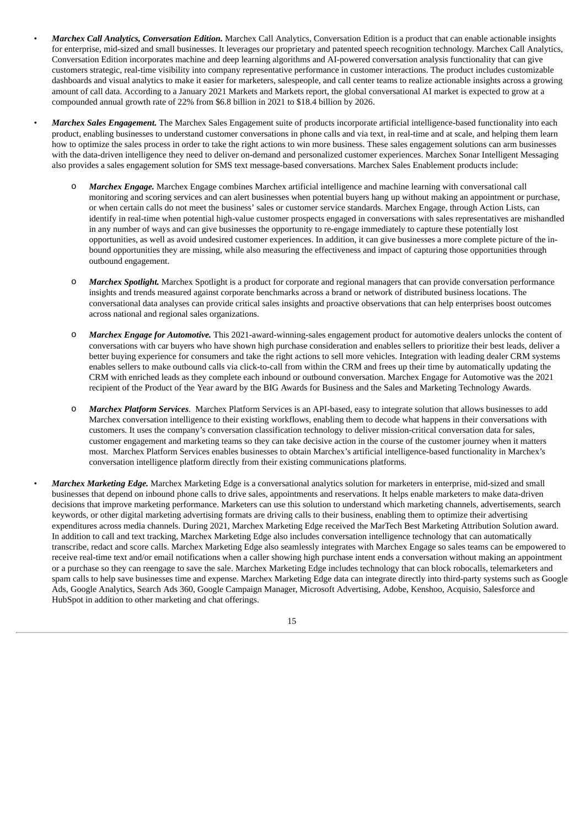- *Marchex Call Analytics, Conversation Edition.* Marchex Call Analytics, Conversation Edition is a product that can enable actionable insights for enterprise, mid-sized and small businesses. It leverages our proprietary and patented speech recognition technology. Marchex Call Analytics, Conversation Edition incorporates machine and deep learning algorithms and AI-powered conversation analysis functionality that can give customers strategic, real-time visibility into company representative performance in customer interactions. The product includes customizable dashboards and visual analytics to make it easier for marketers, salespeople, and call center teams to realize actionable insights across a growing amount of call data. According to a January 2021 Markets and Markets report, the global conversational AI market is expected to grow at a compounded annual growth rate of 22% from \$6.8 billion in 2021 to \$18.4 billion by 2026.
- *Marchex Sales Engagement.* The Marchex Sales Engagement suite of products incorporate artificial intelligence-based functionality into each product, enabling businesses to understand customer conversations in phone calls and via text, in real-time and at scale, and helping them learn how to optimize the sales process in order to take the right actions to win more business. These sales engagement solutions can arm businesses with the data-driven intelligence they need to deliver on-demand and personalized customer experiences. Marchex Sonar Intelligent Messaging also provides a sales engagement solution for SMS text message-based conversations. Marchex Sales Enablement products include:
	- Marchex *Engage*. Marchex Engage combines Marchex artificial intelligence and machine learning with conversational call monitoring and scoring services and can alert businesses when potential buyers hang up without making an appointment or purchase, or when certain calls do not meet the business' sales or customer service standards. Marchex Engage, through Action Lists, can identify in real-time when potential high-value customer prospects engaged in conversations with sales representatives are mishandled in any number of ways and can give businesses the opportunity to re-engage immediately to capture these potentially lost opportunities, as well as avoid undesired customer experiences. In addition, it can give businesses a more complete picture of the inbound opportunities they are missing, while also measuring the effectiveness and impact of capturing those opportunities through outbound engagement.
	- o *Marchex Spotlight.* Marchex Spotlight is a product for corporate and regional managers that can provide conversation performance insights and trends measured against corporate benchmarks across a brand or network of distributed business locations. The conversational data analyses can provide critical sales insights and proactive observations that can help enterprises boost outcomes across national and regional sales organizations.
	- o *Marchex Engage for Automotive.* This 2021-award-winning-sales engagement product for automotive dealers unlocks the content of conversations with car buyers who have shown high purchase consideration and enables sellers to prioritize their best leads, deliver a better buying experience for consumers and take the right actions to sell more vehicles. Integration with leading dealer CRM systems enables sellers to make outbound calls via click-to-call from within the CRM and frees up their time by automatically updating the CRM with enriched leads as they complete each inbound or outbound conversation. Marchex Engage for Automotive was the 2021 recipient of the Product of the Year award by the BIG Awards for Business and the Sales and Marketing Technology Awards.
	- o *Marchex Platform Services*. Marchex Platform Services is an API-based, easy to integrate solution that allows businesses to add Marchex conversation intelligence to their existing workflows, enabling them to decode what happens in their conversations with customers. It uses the company's conversation classification technology to deliver mission-critical conversation data for sales, customer engagement and marketing teams so they can take decisive action in the course of the customer journey when it matters most. Marchex Platform Services enables businesses to obtain Marchex's artificial intelligence-based functionality in Marchex's conversation intelligence platform directly from their existing communications platforms.
- *Marchex Marketing Edge.* Marchex Marketing Edge is a conversational analytics solution for marketers in enterprise, mid-sized and small businesses that depend on inbound phone calls to drive sales, appointments and reservations. It helps enable marketers to make data-driven decisions that improve marketing performance. Marketers can use this solution to understand which marketing channels, advertisements, search keywords, or other digital marketing advertising formats are driving calls to their business, enabling them to optimize their advertising expenditures across media channels. During 2021, Marchex Marketing Edge received the MarTech Best Marketing Attribution Solution award. In addition to call and text tracking, Marchex Marketing Edge also includes conversation intelligence technology that can automatically transcribe, redact and score calls. Marchex Marketing Edge also seamlessly integrates with Marchex Engage so sales teams can be empowered to receive real-time text and/or email notifications when a caller showing high purchase intent ends a conversation without making an appointment or a purchase so they can reengage to save the sale. Marchex Marketing Edge includes technology that can block robocalls, telemarketers and spam calls to help save businesses time and expense. Marchex Marketing Edge data can integrate directly into third-party systems such as Google Ads, Google Analytics, Search Ads 360, Google Campaign Manager, Microsoft Advertising, Adobe, Kenshoo, Acquisio, Salesforce and HubSpot in addition to other marketing and chat offerings.

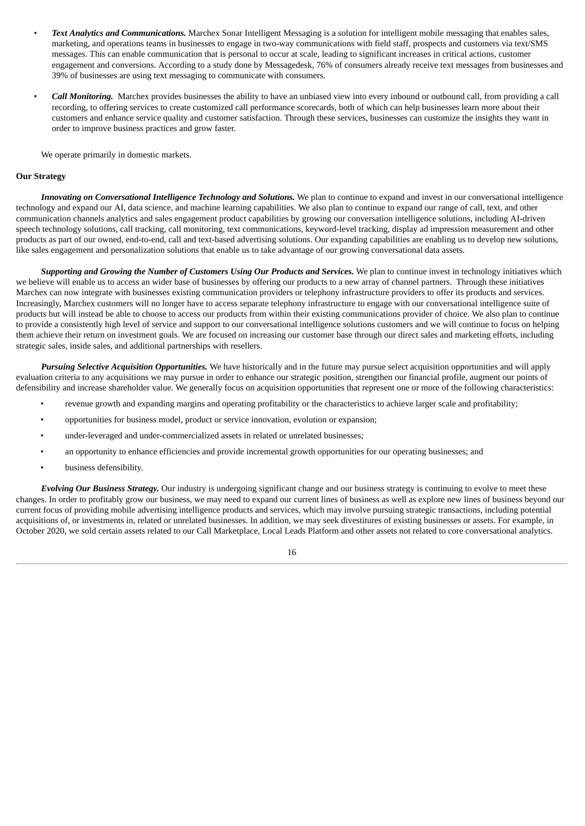- *Text Analytics and Communications.* Marchex Sonar Intelligent Messaging is a solution for intelligent mobile messaging that enables sales, marketing, and operations teams in businesses to engage in two-way communications with field staff, prospects and customers via text/SMS messages. This can enable communication that is personal to occur at scale, leading to significant increases in critical actions, customer engagement and conversions. According to a study done by Messagedesk, 76% of consumers already receive text messages from businesses and 39% of businesses are using text messaging to communicate with consumers.
- *Call Monitoring.* Marchex provides businesses the ability to have an unbiased view into every inbound or outbound call, from providing a call recording, to offering services to create customized call performance scorecards, both of which can help businesses learn more about their customers and enhance service quality and customer satisfaction. Through these services, businesses can customize the insights they want in order to improve business practices and grow faster.

We operate primarily in domestic markets.

# **Our Strategy**

*Innovating on Conversational Intelligence Technology and Solutions.* We plan to continue to expand and invest in our conversational intelligence technology and expand our AI, data science, and machine learning capabilities. We also plan to continue to expand our range of call, text, and other communication channels analytics and sales engagement product capabilities by growing our conversation intelligence solutions, including AI-driven speech technology solutions, call tracking, call monitoring, text communications, keyword-level tracking, display ad impression measurement and other products as part of our owned, end-to-end, call and text-based advertising solutions. Our expanding capabilities are enabling us to develop new solutions, like sales engagement and personalization solutions that enable us to take advantage of our growing conversational data assets.

*Supporting and Growing the Number of Customers Using Our Products and Services.* We plan to continue invest in technology initiatives which we believe will enable us to access an wider base of businesses by offering our products to a new array of channel partners. Through these initiatives Marchex can now integrate with businesses existing communication providers or telephony infrastructure providers to offer its products and services. Increasingly, Marchex customers will no longer have to access separate telephony infrastructure to engage with our conversational intelligence suite of products but will instead be able to choose to access our products from within their existing communications provider of choice. We also plan to continue to provide a consistently high level of service and support to our conversational intelligence solutions customers and we will continue to focus on helping them achieve their return on investment goals. We are focused on increasing our customer base through our direct sales and marketing efforts, including strategic sales, inside sales, and additional partnerships with resellers.

*Pursuing Selective Acquisition Opportunities.* We have historically and in the future may pursue select acquisition opportunities and will apply evaluation criteria to any acquisitions we may pursue in order to enhance our strategic position, strengthen our financial profile, augment our points of defensibility and increase shareholder value. We generally focus on acquisition opportunities that represent one or more of the following characteristics:

- revenue growth and expanding margins and operating profitability or the characteristics to achieve larger scale and profitability;
- opportunities for business model, product or service innovation, evolution or expansion;
- under-leveraged and under-commercialized assets in related or unrelated businesses;
- an opportunity to enhance efficiencies and provide incremental growth opportunities for our operating businesses; and
- business defensibility.

*Evolving Our Business Strategy.* Our industry is undergoing significant change and our business strategy is continuing to evolve to meet these changes. In order to profitably grow our business, we may need to expand our current lines of business as well as explore new lines of business beyond our current focus of providing mobile advertising intelligence products and services, which may involve pursuing strategic transactions, including potential acquisitions of, or investments in, related or unrelated businesses. In addition, we may seek divestitures of existing businesses or assets. For example, in October 2020, we sold certain assets related to our Call Marketplace, Local Leads Platform and other assets not related to core conversational analytics.

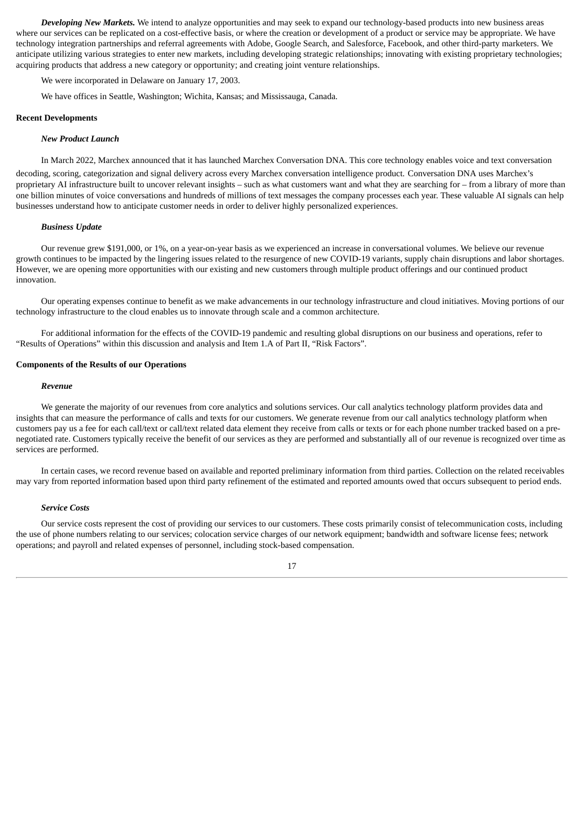*Developing New Markets.* We intend to analyze opportunities and may seek to expand our technology-based products into new business areas where our services can be replicated on a cost-effective basis, or where the creation or development of a product or service may be appropriate. We have technology integration partnerships and referral agreements with Adobe, Google Search, and Salesforce, Facebook, and other third-party marketers. We anticipate utilizing various strategies to enter new markets, including developing strategic relationships; innovating with existing proprietary technologies; acquiring products that address a new category or opportunity; and creating joint venture relationships.

We were incorporated in Delaware on January 17, 2003.

We have offices in Seattle, Washington; Wichita, Kansas; and Mississauga, Canada.

#### **Recent Developments**

#### *New Product Launch*

In March 2022, Marchex announced that it has launched Marchex Conversation DNA. This core technology enables voice and text conversation decoding, scoring, categorization and signal delivery across every Marchex conversation intelligence product. Conversation DNA uses Marchex's proprietary AI infrastructure built to uncover relevant insights – such as what customers want and what they are searching for – from a library of more than one billion minutes of voice conversations and hundreds of millions of text messages the company processes each year. These valuable AI signals can help businesses understand how to anticipate customer needs in order to deliver highly personalized experiences.

#### *Business Update*

Our revenue grew \$191,000, or 1%, on a year-on-year basis as we experienced an increase in conversational volumes. We believe our revenue growth continues to be impacted by the lingering issues related to the resurgence of new COVID-19 variants, supply chain disruptions and labor shortages. However, we are opening more opportunities with our existing and new customers through multiple product offerings and our continued product innovation.

Our operating expenses continue to benefit as we make advancements in our technology infrastructure and cloud initiatives. Moving portions of our technology infrastructure to the cloud enables us to innovate through scale and a common architecture.

For additional information for the effects of the COVID-19 pandemic and resulting global disruptions on our business and operations, refer to "Results of Operations" within this discussion and analysis and Item 1.A of Part II, "Risk Factors".

#### **Components of the Results of our Operations**

#### *Revenue*

We generate the majority of our revenues from core analytics and solutions services. Our call analytics technology platform provides data and insights that can measure the performance of calls and texts for our customers. We generate revenue from our call analytics technology platform when customers pay us a fee for each call/text or call/text related data element they receive from calls or texts or for each phone number tracked based on a prenegotiated rate. Customers typically receive the benefit of our services as they are performed and substantially all of our revenue is recognized over time as services are performed.

In certain cases, we record revenue based on available and reported preliminary information from third parties. Collection on the related receivables may vary from reported information based upon third party refinement of the estimated and reported amounts owed that occurs subsequent to period ends.

#### *Service Costs*

Our service costs represent the cost of providing our services to our customers. These costs primarily consist of telecommunication costs, including the use of phone numbers relating to our services; colocation service charges of our network equipment; bandwidth and software license fees; network operations; and payroll and related expenses of personnel, including stock-based compensation.

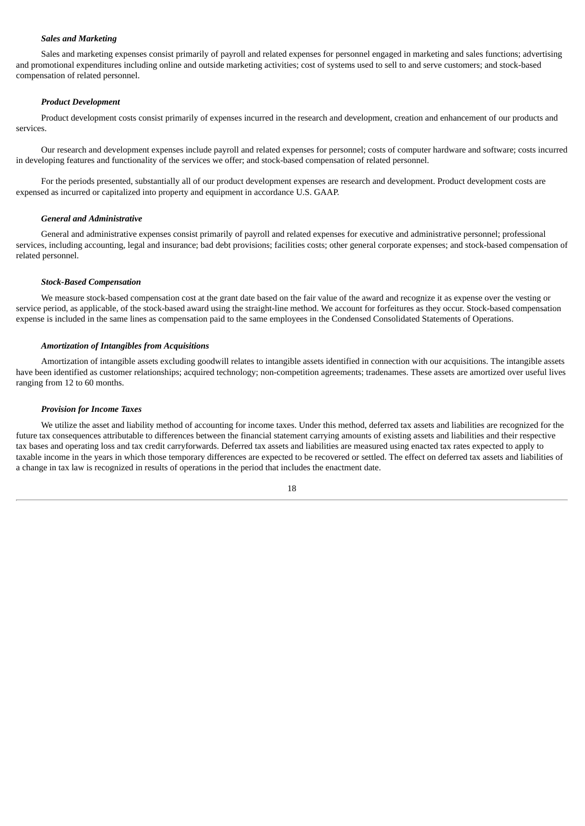# *Sales and Marketing*

Sales and marketing expenses consist primarily of payroll and related expenses for personnel engaged in marketing and sales functions; advertising and promotional expenditures including online and outside marketing activities; cost of systems used to sell to and serve customers; and stock-based compensation of related personnel.

# *Product Development*

Product development costs consist primarily of expenses incurred in the research and development, creation and enhancement of our products and services.

Our research and development expenses include payroll and related expenses for personnel; costs of computer hardware and software; costs incurred in developing features and functionality of the services we offer; and stock-based compensation of related personnel.

For the periods presented, substantially all of our product development expenses are research and development. Product development costs are expensed as incurred or capitalized into property and equipment in accordance U.S. GAAP.

#### *General and Administrative*

General and administrative expenses consist primarily of payroll and related expenses for executive and administrative personnel; professional services, including accounting, legal and insurance; bad debt provisions; facilities costs; other general corporate expenses; and stock-based compensation of related personnel.

#### *Stock-Based Compensation*

We measure stock-based compensation cost at the grant date based on the fair value of the award and recognize it as expense over the vesting or service period, as applicable, of the stock-based award using the straight-line method. We account for forfeitures as they occur. Stock-based compensation expense is included in the same lines as compensation paid to the same employees in the Condensed Consolidated Statements of Operations.

#### *Amortization of Intangibles from Acquisitions*

Amortization of intangible assets excluding goodwill relates to intangible assets identified in connection with our acquisitions. The intangible assets have been identified as customer relationships; acquired technology; non-competition agreements; tradenames. These assets are amortized over useful lives ranging from 12 to 60 months.

#### *Provision for Income Taxes*

We utilize the asset and liability method of accounting for income taxes. Under this method, deferred tax assets and liabilities are recognized for the future tax consequences attributable to differences between the financial statement carrying amounts of existing assets and liabilities and their respective tax bases and operating loss and tax credit carryforwards. Deferred tax assets and liabilities are measured using enacted tax rates expected to apply to taxable income in the years in which those temporary differences are expected to be recovered or settled. The effect on deferred tax assets and liabilities of a change in tax law is recognized in results of operations in the period that includes the enactment date.

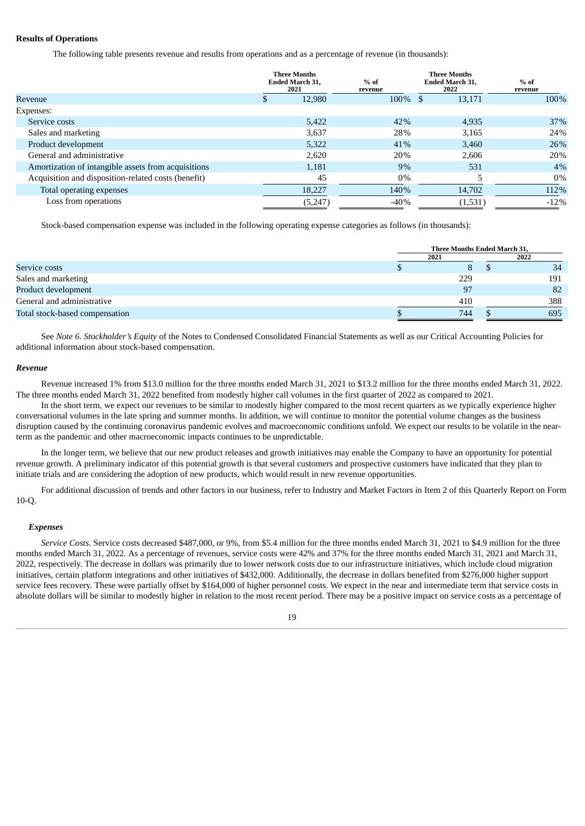# **Results of Operations**

The following table presents revenue and results from operations and as a percentage of revenue (in thousands):

|                                                     | <b>Three Months</b><br><b>Ended March 31,</b><br>2021 | $%$ of<br>revenue | <b>Three Months</b><br>Ended March 31,<br>2022 | $%$ of<br>revenue |
|-----------------------------------------------------|-------------------------------------------------------|-------------------|------------------------------------------------|-------------------|
| Revenue                                             | 12,980                                                | 100% \$           | 13,171                                         | 100%              |
| Expenses:                                           |                                                       |                   |                                                |                   |
| Service costs                                       | 5,422                                                 | 42%               | 4,935                                          | 37%               |
| Sales and marketing                                 | 3,637                                                 | 28%               | 3,165                                          | 24%               |
| Product development                                 | 5,322                                                 | 41%               | 3,460                                          | 26%               |
| General and administrative                          | 2,620                                                 | 20%               | 2.606                                          | 20%               |
| Amortization of intangible assets from acquisitions | 1,181                                                 | 9%                | 531                                            | 4%                |
| Acquisition and disposition-related costs (benefit) | 45                                                    | $0\%$             |                                                | $0\%$             |
| Total operating expenses                            | 18,227                                                | 140%              | 14,702                                         | 112%              |
| Loss from operations                                | (5,247)                                               | $-40%$            | (1,531)                                        | $-12%$            |

Stock-based compensation expense was included in the following operating expense categories as follows (in thousands):

|                                |      | <b>Three Months Ended March 31.</b> |      |  |  |  |
|--------------------------------|------|-------------------------------------|------|--|--|--|
|                                | 2021 |                                     | 2022 |  |  |  |
| Service costs                  |      |                                     | 34   |  |  |  |
| Sales and marketing            | 229  |                                     | 191  |  |  |  |
| Product development            | 97   |                                     | 82   |  |  |  |
| General and administrative     | 410  |                                     | 388  |  |  |  |
| Total stock-based compensation | 744  |                                     | 695  |  |  |  |

See *Note 6. Stockholder's Equity* of the Notes to Condensed Consolidated Financial Statements as well as our Critical Accounting Policies for additional information about stock-based compensation.

#### *Revenue*

Revenue increased 1% from \$13.0 million for the three months ended March 31, 2021 to \$13.2 million for the three months ended March 31, 2022. The three months ended March 31, 2022 benefited from modestly higher call volumes in the first quarter of 2022 as compared to 2021.

In the short term, we expect our revenues to be similar to modestly higher compared to the most recent quarters as we typically experience higher conversational volumes in the late spring and summer months. In addition, we will continue to monitor the potential volume changes as the business disruption caused by the continuing coronavirus pandemic evolves and macroeconomic conditions unfold. We expect our results to be volatile in the nearterm as the pandemic and other macroeconomic impacts continues to be unpredictable.

In the longer term, we believe that our new product releases and growth initiatives may enable the Company to have an opportunity for potential revenue growth. A preliminary indicator of this potential growth is that several customers and prospective customers have indicated that they plan to initiate trials and are considering the adoption of new products, which would result in new revenue opportunities.

For additional discussion of trends and other factors in our business, refer to Industry and Market Factors in Item 2 of this Quarterly Report on Form 10-Q.

#### *Expenses*

*Service Costs.* Service costs decreased \$487,000, or 9%, from \$5.4 million for the three months ended March 31, 2021 to \$4.9 million for the three months ended March 31, 2022. As a percentage of revenues, service costs were 42% and 37% for the three months ended March 31, 2021 and March 31, 2022, respectively. The decrease in dollars was primarily due to lower network costs due to our infrastructure initiatives, which include cloud migration initiatives, certain platform integrations and other initiatives of \$432,000. Additionally, the decrease in dollars benefited from \$276,000 higher support service fees recovery. These were partially offset by \$164,000 of higher personnel costs. We expect in the near and intermediate term that service costs in absolute dollars will be similar to modestly higher in relation to the most recent period. There may be a positive impact on service costs as a percentage of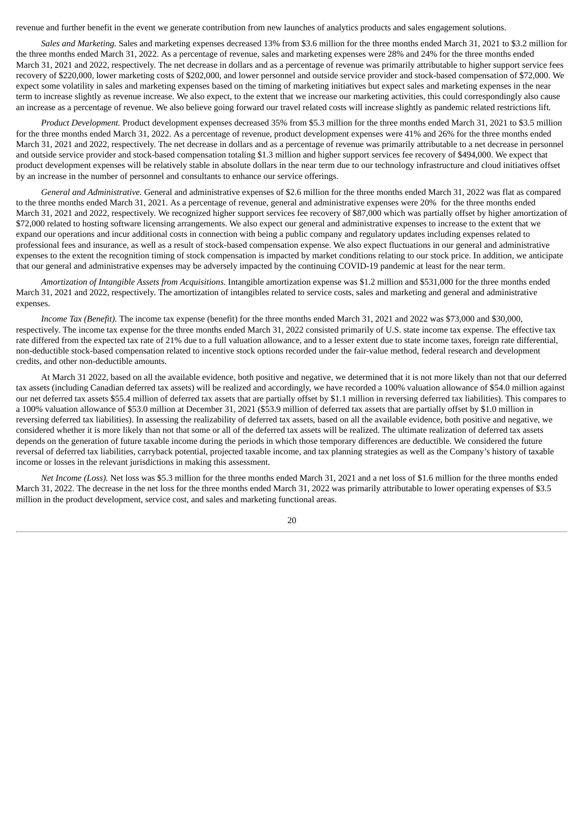revenue and further benefit in the event we generate contribution from new launches of analytics products and sales engagement solutions.

*Sales and Marketing.* Sales and marketing expenses decreased 13% from \$3.6 million for the three months ended March 31, 2021 to \$3.2 million for the three months ended March 31, 2022. As a percentage of revenue, sales and marketing expenses were 28% and 24% for the three months ended March 31, 2021 and 2022, respectively. The net decrease in dollars and as a percentage of revenue was primarily attributable to higher support service fees recovery of \$220,000, lower marketing costs of \$202,000, and lower personnel and outside service provider and stock-based compensation of \$72,000. We expect some volatility in sales and marketing expenses based on the timing of marketing initiatives but expect sales and marketing expenses in the near term to increase slightly as revenue increase. We also expect, to the extent that we increase our marketing activities, this could correspondingly also cause an increase as a percentage of revenue. We also believe going forward our travel related costs will increase slightly as pandemic related restrictions lift.

*Product Development.* Product development expenses decreased 35% from \$5.3 million for the three months ended March 31, 2021 to \$3.5 million for the three months ended March 31, 2022. As a percentage of revenue, product development expenses were 41% and 26% for the three months ended March 31, 2021 and 2022, respectively. The net decrease in dollars and as a percentage of revenue was primarily attributable to a net decrease in personnel and outside service provider and stock-based compensation totaling \$1.3 million and higher support services fee recovery of \$494,000. We expect that product development expenses will be relatively stable in absolute dollars in the near term due to our technology infrastructure and cloud initiatives offset by an increase in the number of personnel and consultants to enhance our service offerings.

*General and Administrative.* General and administrative expenses of \$2.6 million for the three months ended March 31, 2022 was flat as compared to the three months ended March 31, 2021. As a percentage of revenue, general and administrative expenses were 20% for the three months ended March 31, 2021 and 2022, respectively. We recognized higher support services fee recovery of \$87,000 which was partially offset by higher amortization of \$72,000 related to hosting software licensing arrangements. We also expect our general and administrative expenses to increase to the extent that we expand our operations and incur additional costs in connection with being a public company and regulatory updates including expenses related to professional fees and insurance, as well as a result of stock-based compensation expense. We also expect fluctuations in our general and administrative expenses to the extent the recognition timing of stock compensation is impacted by market conditions relating to our stock price. In addition, we anticipate that our general and administrative expenses may be adversely impacted by the continuing COVID-19 pandemic at least for the near term.

*Amortization of Intangible Assets from Acquisitions*. Intangible amortization expense was \$1.2 million and \$531,000 for the three months ended March 31, 2021 and 2022, respectively. The amortization of intangibles related to service costs, sales and marketing and general and administrative expenses.

*Income Tax (Benefit).* The income tax expense (benefit) for the three months ended March 31, 2021 and 2022 was \$73,000 and \$30,000, respectively. The income tax expense for the three months ended March 31, 2022 consisted primarily of U.S. state income tax expense. The effective tax rate differed from the expected tax rate of 21% due to a full valuation allowance, and to a lesser extent due to state income taxes, foreign rate differential, non-deductible stock-based compensation related to incentive stock options recorded under the fair-value method, federal research and development credits, and other non-deductible amounts.

At March 31 2022, based on all the available evidence, both positive and negative, we determined that it is not more likely than not that our deferred tax assets (including Canadian deferred tax assets) will be realized and accordingly, we have recorded a 100% valuation allowance of \$54.0 million against our net deferred tax assets \$55.4 million of deferred tax assets that are partially offset by \$1.1 million in reversing deferred tax liabilities). This compares to a 100% valuation allowance of \$53.0 million at December 31, 2021 (\$53.9 million of deferred tax assets that are partially offset by \$1.0 million in reversing deferred tax liabilities). In assessing the realizability of deferred tax assets, based on all the available evidence, both positive and negative, we considered whether it is more likely than not that some or all of the deferred tax assets will be realized. The ultimate realization of deferred tax assets depends on the generation of future taxable income during the periods in which those temporary differences are deductible. We considered the future reversal of deferred tax liabilities, carryback potential, projected taxable income, and tax planning strategies as well as the Company's history of taxable income or losses in the relevant jurisdictions in making this assessment.

*Net Income (Loss).* Net loss was \$5.3 million for the three months ended March 31, 2021 and a net loss of \$1.6 million for the three months ended March 31, 2022. The decrease in the net loss for the three months ended March 31, 2022 was primarily attributable to lower operating expenses of \$3.5 million in the product development, service cost, and sales and marketing functional areas.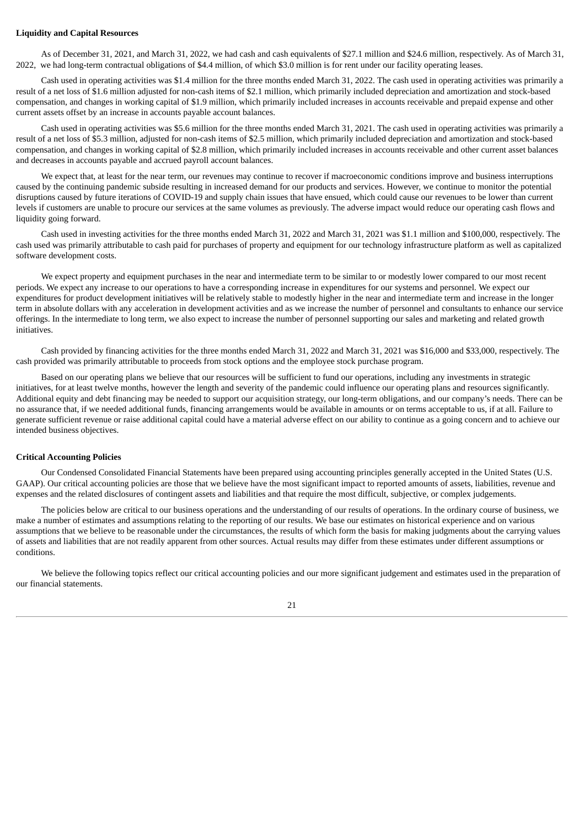#### **Liquidity and Capital Resources**

As of December 31, 2021, and March 31, 2022, we had cash and cash equivalents of \$27.1 million and \$24.6 million, respectively. As of March 31, 2022, we had long-term contractual obligations of \$4.4 million, of which \$3.0 million is for rent under our facility operating leases.

Cash used in operating activities was \$1.4 million for the three months ended March 31, 2022. The cash used in operating activities was primarily a result of a net loss of \$1.6 million adjusted for non-cash items of \$2.1 million, which primarily included depreciation and amortization and stock-based compensation, and changes in working capital of \$1.9 million, which primarily included increases in accounts receivable and prepaid expense and other current assets offset by an increase in accounts payable account balances.

Cash used in operating activities was \$5.6 million for the three months ended March 31, 2021. The cash used in operating activities was primarily a result of a net loss of \$5.3 million, adjusted for non-cash items of \$2.5 million, which primarily included depreciation and amortization and stock-based compensation, and changes in working capital of \$2.8 million, which primarily included increases in accounts receivable and other current asset balances and decreases in accounts payable and accrued payroll account balances.

We expect that, at least for the near term, our revenues may continue to recover if macroeconomic conditions improve and business interruptions caused by the continuing pandemic subside resulting in increased demand for our products and services. However, we continue to monitor the potential disruptions caused by future iterations of COVID-19 and supply chain issues that have ensued, which could cause our revenues to be lower than current levels if customers are unable to procure our services at the same volumes as previously. The adverse impact would reduce our operating cash flows and liquidity going forward.

Cash used in investing activities for the three months ended March 31, 2022 and March 31, 2021 was \$1.1 million and \$100,000, respectively. The cash used was primarily attributable to cash paid for purchases of property and equipment for our technology infrastructure platform as well as capitalized software development costs.

We expect property and equipment purchases in the near and intermediate term to be similar to or modestly lower compared to our most recent periods. We expect any increase to our operations to have a corresponding increase in expenditures for our systems and personnel. We expect our expenditures for product development initiatives will be relatively stable to modestly higher in the near and intermediate term and increase in the longer term in absolute dollars with any acceleration in development activities and as we increase the number of personnel and consultants to enhance our service offerings. In the intermediate to long term, we also expect to increase the number of personnel supporting our sales and marketing and related growth initiatives.

Cash provided by financing activities for the three months ended March 31, 2022 and March 31, 2021 was \$16,000 and \$33,000, respectively. The cash provided was primarily attributable to proceeds from stock options and the employee stock purchase program.

Based on our operating plans we believe that our resources will be sufficient to fund our operations, including any investments in strategic initiatives, for at least twelve months, however the length and severity of the pandemic could influence our operating plans and resources significantly. Additional equity and debt financing may be needed to support our acquisition strategy, our long-term obligations, and our company's needs. There can be no assurance that, if we needed additional funds, financing arrangements would be available in amounts or on terms acceptable to us, if at all. Failure to generate sufficient revenue or raise additional capital could have a material adverse effect on our ability to continue as a going concern and to achieve our intended business objectives.

#### **Critical Accounting Policies**

Our Condensed Consolidated Financial Statements have been prepared using accounting principles generally accepted in the United States (U.S. GAAP). Our critical accounting policies are those that we believe have the most significant impact to reported amounts of assets, liabilities, revenue and expenses and the related disclosures of contingent assets and liabilities and that require the most difficult, subjective, or complex judgements.

The policies below are critical to our business operations and the understanding of our results of operations. In the ordinary course of business, we make a number of estimates and assumptions relating to the reporting of our results. We base our estimates on historical experience and on various assumptions that we believe to be reasonable under the circumstances, the results of which form the basis for making judgments about the carrying values of assets and liabilities that are not readily apparent from other sources. Actual results may differ from these estimates under different assumptions or conditions.

We believe the following topics reflect our critical accounting policies and our more significant judgement and estimates used in the preparation of our financial statements.

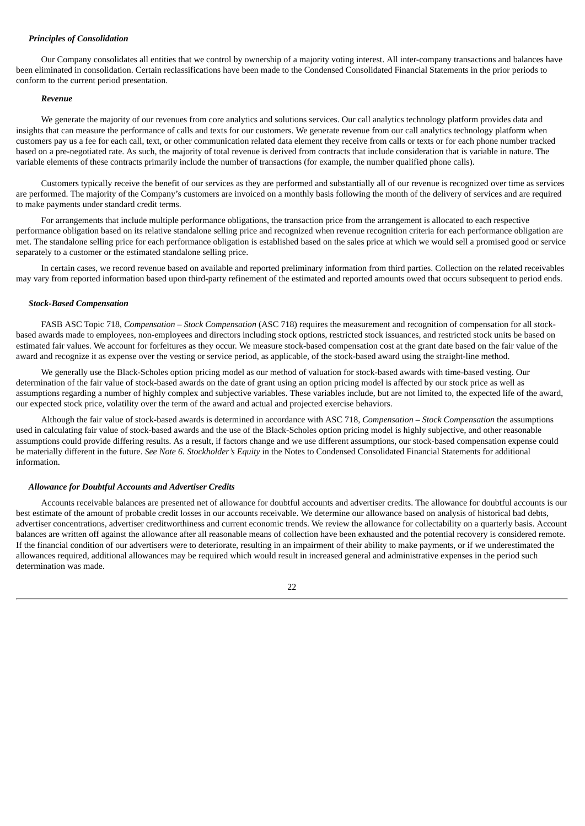## *Principles of Consolidation*

Our Company consolidates all entities that we control by ownership of a majority voting interest. All inter-company transactions and balances have been eliminated in consolidation. Certain reclassifications have been made to the Condensed Consolidated Financial Statements in the prior periods to conform to the current period presentation.

#### *Revenue*

We generate the majority of our revenues from core analytics and solutions services. Our call analytics technology platform provides data and insights that can measure the performance of calls and texts for our customers. We generate revenue from our call analytics technology platform when customers pay us a fee for each call, text, or other communication related data element they receive from calls or texts or for each phone number tracked based on a pre-negotiated rate. As such, the majority of total revenue is derived from contracts that include consideration that is variable in nature. The variable elements of these contracts primarily include the number of transactions (for example, the number qualified phone calls).

Customers typically receive the benefit of our services as they are performed and substantially all of our revenue is recognized over time as services are performed. The majority of the Company's customers are invoiced on a monthly basis following the month of the delivery of services and are required to make payments under standard credit terms.

For arrangements that include multiple performance obligations, the transaction price from the arrangement is allocated to each respective performance obligation based on its relative standalone selling price and recognized when revenue recognition criteria for each performance obligation are met. The standalone selling price for each performance obligation is established based on the sales price at which we would sell a promised good or service separately to a customer or the estimated standalone selling price.

In certain cases, we record revenue based on available and reported preliminary information from third parties. Collection on the related receivables may vary from reported information based upon third-party refinement of the estimated and reported amounts owed that occurs subsequent to period ends.

#### *Stock-Based Compensation*

FASB ASC Topic 718, *Compensation – Stock Compensation* (ASC 718) requires the measurement and recognition of compensation for all stockbased awards made to employees, non-employees and directors including stock options, restricted stock issuances, and restricted stock units be based on estimated fair values. We account for forfeitures as they occur. We measure stock-based compensation cost at the grant date based on the fair value of the award and recognize it as expense over the vesting or service period, as applicable, of the stock-based award using the straight-line method.

We generally use the Black-Scholes option pricing model as our method of valuation for stock-based awards with time-based vesting. Our determination of the fair value of stock-based awards on the date of grant using an option pricing model is affected by our stock price as well as assumptions regarding a number of highly complex and subjective variables. These variables include, but are not limited to, the expected life of the award, our expected stock price, volatility over the term of the award and actual and projected exercise behaviors.

Although the fair value of stock-based awards is determined in accordance with ASC 718, *Compensation – Stock Compensation* the assumptions used in calculating fair value of stock-based awards and the use of the Black-Scholes option pricing model is highly subjective, and other reasonable assumptions could provide differing results. As a result, if factors change and we use different assumptions, our stock-based compensation expense could be materially different in the future. *See Note 6. Stockholder's Equity* in the Notes to Condensed Consolidated Financial Statements for additional information.

#### *Allowance for Doubtful Accounts and Advertiser Credits*

Accounts receivable balances are presented net of allowance for doubtful accounts and advertiser credits. The allowance for doubtful accounts is our best estimate of the amount of probable credit losses in our accounts receivable. We determine our allowance based on analysis of historical bad debts, advertiser concentrations, advertiser creditworthiness and current economic trends. We review the allowance for collectability on a quarterly basis. Account balances are written off against the allowance after all reasonable means of collection have been exhausted and the potential recovery is considered remote. If the financial condition of our advertisers were to deteriorate, resulting in an impairment of their ability to make payments, or if we underestimated the allowances required, additional allowances may be required which would result in increased general and administrative expenses in the period such determination was made.

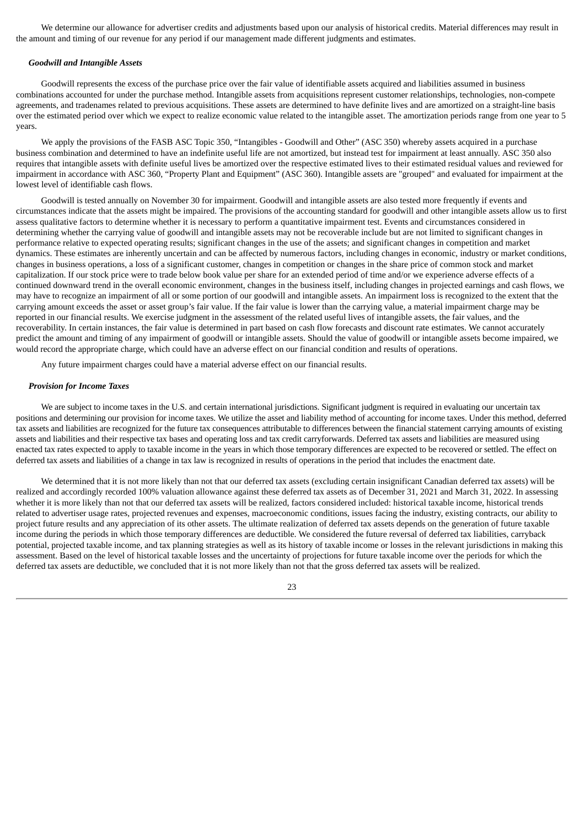We determine our allowance for advertiser credits and adjustments based upon our analysis of historical credits. Material differences may result in the amount and timing of our revenue for any period if our management made different judgments and estimates.

#### *Goodwill and Intangible Assets*

Goodwill represents the excess of the purchase price over the fair value of identifiable assets acquired and liabilities assumed in business combinations accounted for under the purchase method. Intangible assets from acquisitions represent customer relationships, technologies, non-compete agreements, and tradenames related to previous acquisitions. These assets are determined to have definite lives and are amortized on a straight-line basis over the estimated period over which we expect to realize economic value related to the intangible asset. The amortization periods range from one year to 5 years.

We apply the provisions of the FASB ASC Topic 350, "Intangibles - Goodwill and Other" (ASC 350) whereby assets acquired in a purchase business combination and determined to have an indefinite useful life are not amortized, but instead test for impairment at least annually. ASC 350 also requires that intangible assets with definite useful lives be amortized over the respective estimated lives to their estimated residual values and reviewed for impairment in accordance with ASC 360, "Property Plant and Equipment" (ASC 360). Intangible assets are "grouped" and evaluated for impairment at the lowest level of identifiable cash flows.

Goodwill is tested annually on November 30 for impairment. Goodwill and intangible assets are also tested more frequently if events and circumstances indicate that the assets might be impaired. The provisions of the accounting standard for goodwill and other intangible assets allow us to first assess qualitative factors to determine whether it is necessary to perform a quantitative impairment test. Events and circumstances considered in determining whether the carrying value of goodwill and intangible assets may not be recoverable include but are not limited to significant changes in performance relative to expected operating results; significant changes in the use of the assets; and significant changes in competition and market dynamics. These estimates are inherently uncertain and can be affected by numerous factors, including changes in economic, industry or market conditions, changes in business operations, a loss of a significant customer, changes in competition or changes in the share price of common stock and market capitalization. If our stock price were to trade below book value per share for an extended period of time and/or we experience adverse effects of a continued downward trend in the overall economic environment, changes in the business itself, including changes in projected earnings and cash flows, we may have to recognize an impairment of all or some portion of our goodwill and intangible assets. An impairment loss is recognized to the extent that the carrying amount exceeds the asset or asset group's fair value. If the fair value is lower than the carrying value, a material impairment charge may be reported in our financial results. We exercise judgment in the assessment of the related useful lives of intangible assets, the fair values, and the recoverability. In certain instances, the fair value is determined in part based on cash flow forecasts and discount rate estimates. We cannot accurately predict the amount and timing of any impairment of goodwill or intangible assets. Should the value of goodwill or intangible assets become impaired, we would record the appropriate charge, which could have an adverse effect on our financial condition and results of operations.

Any future impairment charges could have a material adverse effect on our financial results.

#### *Provision for Income Taxes*

We are subject to income taxes in the U.S. and certain international jurisdictions. Significant judgment is required in evaluating our uncertain tax positions and determining our provision for income taxes. We utilize the asset and liability method of accounting for income taxes. Under this method, deferred tax assets and liabilities are recognized for the future tax consequences attributable to differences between the financial statement carrying amounts of existing assets and liabilities and their respective tax bases and operating loss and tax credit carryforwards. Deferred tax assets and liabilities are measured using enacted tax rates expected to apply to taxable income in the years in which those temporary differences are expected to be recovered or settled. The effect on deferred tax assets and liabilities of a change in tax law is recognized in results of operations in the period that includes the enactment date.

We determined that it is not more likely than not that our deferred tax assets (excluding certain insignificant Canadian deferred tax assets) will be realized and accordingly recorded 100% valuation allowance against these deferred tax assets as of December 31, 2021 and March 31, 2022. In assessing whether it is more likely than not that our deferred tax assets will be realized, factors considered included: historical taxable income, historical trends related to advertiser usage rates, projected revenues and expenses, macroeconomic conditions, issues facing the industry, existing contracts, our ability to project future results and any appreciation of its other assets. The ultimate realization of deferred tax assets depends on the generation of future taxable income during the periods in which those temporary differences are deductible. We considered the future reversal of deferred tax liabilities, carryback potential, projected taxable income, and tax planning strategies as well as its history of taxable income or losses in the relevant jurisdictions in making this assessment. Based on the level of historical taxable losses and the uncertainty of projections for future taxable income over the periods for which the deferred tax assets are deductible, we concluded that it is not more likely than not that the gross deferred tax assets will be realized.

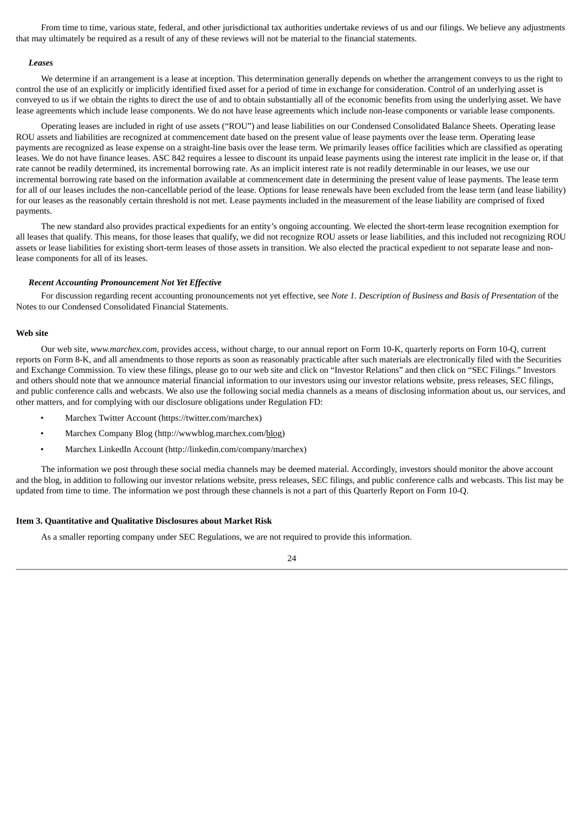From time to time, various state, federal, and other jurisdictional tax authorities undertake reviews of us and our filings. We believe any adjustments that may ultimately be required as a result of any of these reviews will not be material to the financial statements.

#### *Leases*

We determine if an arrangement is a lease at inception. This determination generally depends on whether the arrangement conveys to us the right to control the use of an explicitly or implicitly identified fixed asset for a period of time in exchange for consideration. Control of an underlying asset is conveyed to us if we obtain the rights to direct the use of and to obtain substantially all of the economic benefits from using the underlying asset. We have lease agreements which include lease components. We do not have lease agreements which include non-lease components or variable lease components.

Operating leases are included in right of use assets ("ROU") and lease liabilities on our Condensed Consolidated Balance Sheets. Operating lease ROU assets and liabilities are recognized at commencement date based on the present value of lease payments over the lease term. Operating lease payments are recognized as lease expense on a straight-line basis over the lease term. We primarily leases office facilities which are classified as operating leases. We do not have finance leases. ASC 842 requires a lessee to discount its unpaid lease payments using the interest rate implicit in the lease or, if that rate cannot be readily determined, its incremental borrowing rate. As an implicit interest rate is not readily determinable in our leases, we use our incremental borrowing rate based on the information available at commencement date in determining the present value of lease payments. The lease term for all of our leases includes the non-cancellable period of the lease. Options for lease renewals have been excluded from the lease term (and lease liability) for our leases as the reasonably certain threshold is not met. Lease payments included in the measurement of the lease liability are comprised of fixed payments.

The new standard also provides practical expedients for an entity's ongoing accounting. We elected the short-term lease recognition exemption for all leases that qualify. This means, for those leases that qualify, we did not recognize ROU assets or lease liabilities, and this included not recognizing ROU assets or lease liabilities for existing short-term leases of those assets in transition. We also elected the practical expedient to not separate lease and nonlease components for all of its leases.

#### *Recent Accounting Pronouncement Not Yet Effective*

For discussion regarding recent accounting pronouncements not yet effective, see *Note 1. Description of Business and Basis of Presentation* of the Notes to our Condensed Consolidated Financial Statements.

#### **Web site**

Our web site, *www.marchex.com,* provides access, without charge, to our annual report on Form 10-K, quarterly reports on Form 10-Q, current reports on Form 8-K, and all amendments to those reports as soon as reasonably practicable after such materials are electronically filed with the Securities and Exchange Commission. To view these filings, please go to our web site and click on "Investor Relations" and then click on "SEC Filings." Investors and others should note that we announce material financial information to our investors using our investor relations website, press releases, SEC filings, and public conference calls and webcasts. We also use the following social media channels as a means of disclosing information about us, our services, and other matters, and for complying with our disclosure obligations under Regulation FD:

- Marchex Twitter Account (https://twitter.com/marchex)
- Marchex Company Blog (http://wwwblog.marchex.com/blog)
- Marchex LinkedIn Account (http://linkedin.com/company/marchex)

The information we post through these social media channels may be deemed material. Accordingly, investors should monitor the above account and the blog, in addition to following our investor relations website, press releases, SEC filings, and public conference calls and webcasts. This list may be updated from time to time. The information we post through these channels is not a part of this Quarterly Report on Form 10-Q.

# <span id="page-25-0"></span>**Item 3. Quantitative and Qualitative Disclosures about Market Risk**

As a smaller reporting company under SEC Regulations, we are not required to provide this information.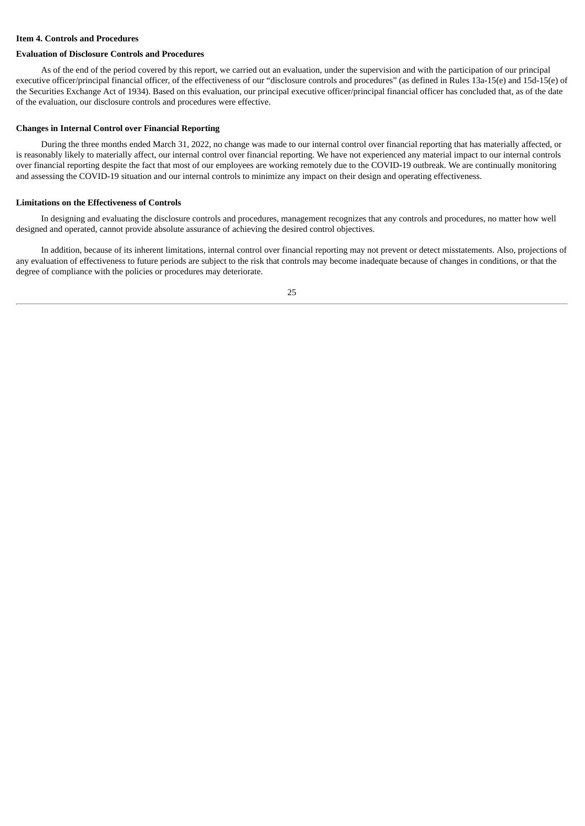# <span id="page-26-0"></span>**Item 4. Controls and Procedures**

#### **Evaluation of Disclosure Controls and Procedures**

As of the end of the period covered by this report, we carried out an evaluation, under the supervision and with the participation of our principal executive officer/principal financial officer, of the effectiveness of our "disclosure controls and procedures" (as defined in Rules 13a-15(e) and 15d-15(e) of the Securities Exchange Act of 1934). Based on this evaluation, our principal executive officer/principal financial officer has concluded that, as of the date of the evaluation, our disclosure controls and procedures were effective.

#### **Changes in Internal Control over Financial Reporting**

During the three months ended March 31, 2022, no change was made to our internal control over financial reporting that has materially affected, or is reasonably likely to materially affect, our internal control over financial reporting. We have not experienced any material impact to our internal controls over financial reporting despite the fact that most of our employees are working remotely due to the COVID-19 outbreak. We are continually monitoring and assessing the COVID-19 situation and our internal controls to minimize any impact on their design and operating effectiveness.

#### **Limitations on the Effectiveness of Controls**

In designing and evaluating the disclosure controls and procedures, management recognizes that any controls and procedures, no matter how well designed and operated, cannot provide absolute assurance of achieving the desired control objectives.

In addition, because of its inherent limitations, internal control over financial reporting may not prevent or detect misstatements. Also, projections of any evaluation of effectiveness to future periods are subject to the risk that controls may become inadequate because of changes in conditions, or that the degree of compliance with the policies or procedures may deteriorate.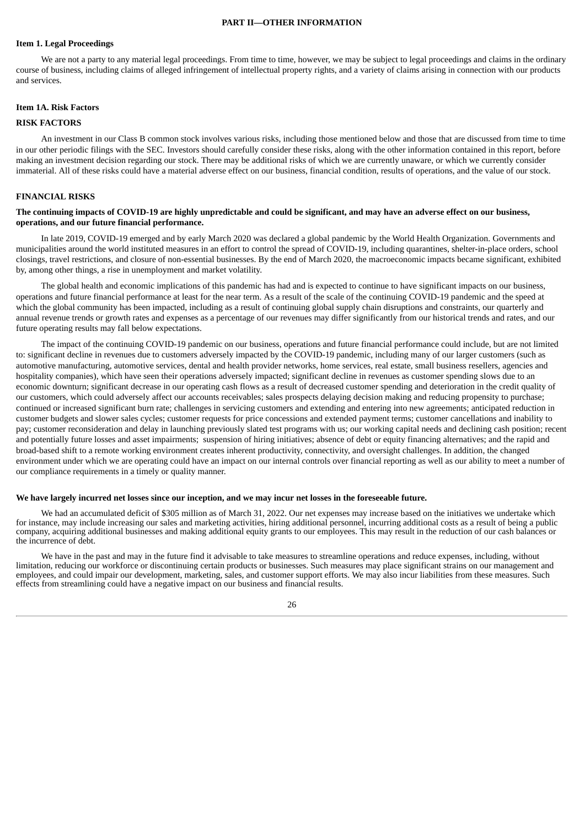#### **PART II—OTHER INFORMATION**

#### <span id="page-27-1"></span><span id="page-27-0"></span>**Item 1. Legal Proceedings**

We are not a party to any material legal proceedings. From time to time, however, we may be subject to legal proceedings and claims in the ordinary course of business, including claims of alleged infringement of intellectual property rights, and a variety of claims arising in connection with our products and services.

#### <span id="page-27-2"></span>**Item 1A. Risk Factors**

#### **RISK FACTORS**

An investment in our Class B common stock involves various risks, including those mentioned below and those that are discussed from time to time in our other periodic filings with the SEC. Investors should carefully consider these risks, along with the other information contained in this report, before making an investment decision regarding our stock. There may be additional risks of which we are currently unaware, or which we currently consider immaterial. All of these risks could have a material adverse effect on our business, financial condition, results of operations, and the value of our stock.

#### **FINANCIAL RISKS**

#### The continuing impacts of COVID-19 are highly unpredictable and could be significant, and may have an adverse effect on our business, **operations, and our future financial performance.**

In late 2019, COVID-19 emerged and by early March 2020 was declared a global pandemic by the World Health Organization. Governments and municipalities around the world instituted measures in an effort to control the spread of COVID-19, including quarantines, shelter-in-place orders, school closings, travel restrictions, and closure of non-essential businesses. By the end of March 2020, the macroeconomic impacts became significant, exhibited by, among other things, a rise in unemployment and market volatility.

The global health and economic implications of this pandemic has had and is expected to continue to have significant impacts on our business, operations and future financial performance at least for the near term. As a result of the scale of the continuing COVID-19 pandemic and the speed at which the global community has been impacted, including as a result of continuing global supply chain disruptions and constraints, our quarterly and annual revenue trends or growth rates and expenses as a percentage of our revenues may differ significantly from our historical trends and rates, and our future operating results may fall below expectations.

The impact of the continuing COVID-19 pandemic on our business, operations and future financial performance could include, but are not limited to: significant decline in revenues due to customers adversely impacted by the COVID-19 pandemic, including many of our larger customers (such as automotive manufacturing, automotive services, dental and health provider networks, home services, real estate, small business resellers, agencies and hospitality companies), which have seen their operations adversely impacted; significant decline in revenues as customer spending slows due to an economic downturn; significant decrease in our operating cash flows as a result of decreased customer spending and deterioration in the credit quality of our customers, which could adversely affect our accounts receivables; sales prospects delaying decision making and reducing propensity to purchase; continued or increased significant burn rate; challenges in servicing customers and extending and entering into new agreements; anticipated reduction in customer budgets and slower sales cycles; customer requests for price concessions and extended payment terms; customer cancellations and inability to pay; customer reconsideration and delay in launching previously slated test programs with us; our working capital needs and declining cash position; recent and potentially future losses and asset impairments; suspension of hiring initiatives; absence of debt or equity financing alternatives; and the rapid and broad-based shift to a remote working environment creates inherent productivity, connectivity, and oversight challenges. In addition, the changed environment under which we are operating could have an impact on our internal controls over financial reporting as well as our ability to meet a number of our compliance requirements in a timely or quality manner.

#### We have largely incurred net losses since our inception, and we may incur net losses in the foreseeable future.

We had an accumulated deficit of \$305 million as of March 31, 2022. Our net expenses may increase based on the initiatives we undertake which for instance, may include increasing our sales and marketing activities, hiring additional personnel, incurring additional costs as a result of being a public company, acquiring additional businesses and making additional equity grants to our employees. This may result in the reduction of our cash balances or the incurrence of debt.

We have in the past and may in the future find it advisable to take measures to streamline operations and reduce expenses, including, without limitation, reducing our workforce or discontinuing certain products or businesses. Such measures may place significant strains on our management and employees, and could impair our development, marketing, sales, and customer support efforts. We may also incur liabilities from these measures. Such effects from streamlining could have a negative impact on our business and financial results.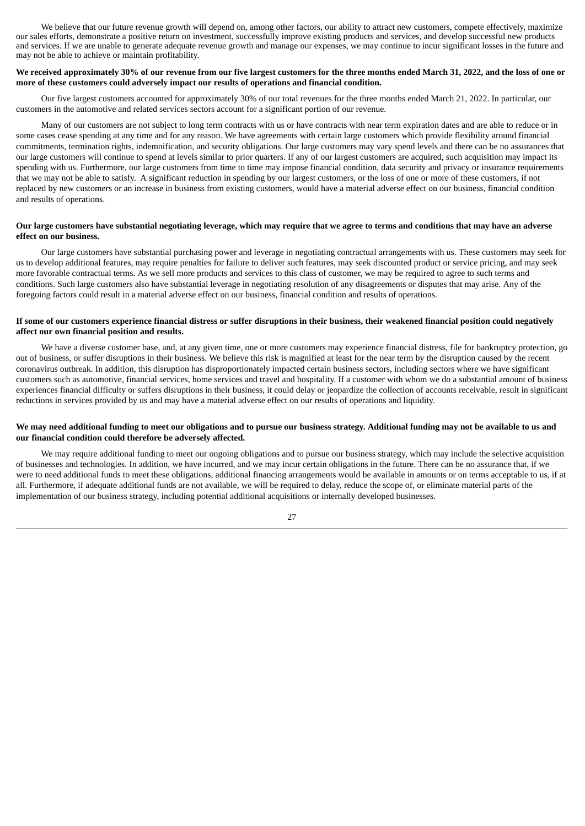We believe that our future revenue growth will depend on, among other factors, our ability to attract new customers, compete effectively, maximize our sales efforts, demonstrate a positive return on investment, successfully improve existing products and services, and develop successful new products and services. If we are unable to generate adequate revenue growth and manage our expenses, we may continue to incur significant losses in the future and may not be able to achieve or maintain profitability.

# We received approximately 30% of our revenue from our five largest customers for the three months ended March 31, 2022, and the loss of one or **more of these customers could adversely impact our results of operations and financial condition.**

Our five largest customers accounted for approximately 30% of our total revenues for the three months ended March 21, 2022. In particular, our customers in the automotive and related services sectors account for a significant portion of our revenue.

Many of our customers are not subject to long term contracts with us or have contracts with near term expiration dates and are able to reduce or in some cases cease spending at any time and for any reason. We have agreements with certain large customers which provide flexibility around financial commitments, termination rights, indemnification, and security obligations. Our large customers may vary spend levels and there can be no assurances that our large customers will continue to spend at levels similar to prior quarters. If any of our largest customers are acquired, such acquisition may impact its spending with us. Furthermore, our large customers from time to time may impose financial condition, data security and privacy or insurance requirements that we may not be able to satisfy. A significant reduction in spending by our largest customers, or the loss of one or more of these customers, if not replaced by new customers or an increase in business from existing customers, would have a material adverse effect on our business, financial condition and results of operations.

# Our large customers have substantial negotiating leverage, which may require that we agree to terms and conditions that may have an adverse **effect on our business.**

Our large customers have substantial purchasing power and leverage in negotiating contractual arrangements with us. These customers may seek for us to develop additional features, may require penalties for failure to deliver such features, may seek discounted product or service pricing, and may seek more favorable contractual terms. As we sell more products and services to this class of customer, we may be required to agree to such terms and conditions. Such large customers also have substantial leverage in negotiating resolution of any disagreements or disputes that may arise. Any of the foregoing factors could result in a material adverse effect on our business, financial condition and results of operations.

# If some of our customers experience financial distress or suffer disruptions in their business, their weakened financial position could negatively **affect our own financial position and results.**

We have a diverse customer base, and, at any given time, one or more customers may experience financial distress, file for bankruptcy protection, go out of business, or suffer disruptions in their business. We believe this risk is magnified at least for the near term by the disruption caused by the recent coronavirus outbreak. In addition, this disruption has disproportionately impacted certain business sectors, including sectors where we have significant customers such as automotive, financial services, home services and travel and hospitality. If a customer with whom we do a substantial amount of business experiences financial difficulty or suffers disruptions in their business, it could delay or jeopardize the collection of accounts receivable, result in significant reductions in services provided by us and may have a material adverse effect on our results of operations and liquidity.

# We may need additional funding to meet our obligations and to pursue our business strategy. Additional funding may not be available to us and **our financial condition could therefore be adversely affected.**

We may require additional funding to meet our ongoing obligations and to pursue our business strategy, which may include the selective acquisition of businesses and technologies. In addition, we have incurred, and we may incur certain obligations in the future. There can be no assurance that, if we were to need additional funds to meet these obligations, additional financing arrangements would be available in amounts or on terms acceptable to us, if at all. Furthermore, if adequate additional funds are not available, we will be required to delay, reduce the scope of, or eliminate material parts of the implementation of our business strategy, including potential additional acquisitions or internally developed businesses.

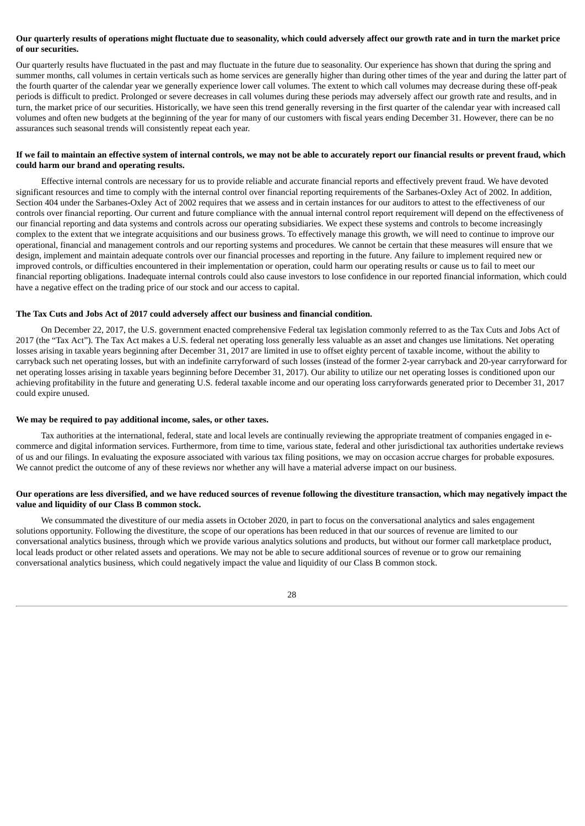# Our quarterly results of operations might fluctuate due to seasonality, which could adversely affect our growth rate and in turn the market price **of our securities.**

Our quarterly results have fluctuated in the past and may fluctuate in the future due to seasonality. Our experience has shown that during the spring and summer months, call volumes in certain verticals such as home services are generally higher than during other times of the year and during the latter part of the fourth quarter of the calendar year we generally experience lower call volumes. The extent to which call volumes may decrease during these off-peak periods is difficult to predict. Prolonged or severe decreases in call volumes during these periods may adversely affect our growth rate and results, and in turn, the market price of our securities. Historically, we have seen this trend generally reversing in the first quarter of the calendar year with increased call volumes and often new budgets at the beginning of the year for many of our customers with fiscal years ending December 31. However, there can be no assurances such seasonal trends will consistently repeat each year.

# If we fail to maintain an effective system of internal controls, we may not be able to accurately report our financial results or prevent fraud, which **could harm our brand and operating results.**

Effective internal controls are necessary for us to provide reliable and accurate financial reports and effectively prevent fraud. We have devoted significant resources and time to comply with the internal control over financial reporting requirements of the Sarbanes-Oxley Act of 2002. In addition, Section 404 under the Sarbanes-Oxley Act of 2002 requires that we assess and in certain instances for our auditors to attest to the effectiveness of our controls over financial reporting. Our current and future compliance with the annual internal control report requirement will depend on the effectiveness of our financial reporting and data systems and controls across our operating subsidiaries. We expect these systems and controls to become increasingly complex to the extent that we integrate acquisitions and our business grows. To effectively manage this growth, we will need to continue to improve our operational, financial and management controls and our reporting systems and procedures. We cannot be certain that these measures will ensure that we design, implement and maintain adequate controls over our financial processes and reporting in the future. Any failure to implement required new or improved controls, or difficulties encountered in their implementation or operation, could harm our operating results or cause us to fail to meet our financial reporting obligations. Inadequate internal controls could also cause investors to lose confidence in our reported financial information, which could have a negative effect on the trading price of our stock and our access to capital.

#### **The Tax Cuts and Jobs Act of 2017 could adversely affect our business and financial condition.**

On December 22, 2017, the U.S. government enacted comprehensive Federal tax legislation commonly referred to as the Tax Cuts and Jobs Act of 2017 (the "Tax Act"). The Tax Act makes a U.S. federal net operating loss generally less valuable as an asset and changes use limitations. Net operating losses arising in taxable years beginning after December 31, 2017 are limited in use to offset eighty percent of taxable income, without the ability to carryback such net operating losses, but with an indefinite carryforward of such losses (instead of the former 2-year carryback and 20-year carryforward for net operating losses arising in taxable years beginning before December 31, 2017). Our ability to utilize our net operating losses is conditioned upon our achieving profitability in the future and generating U.S. federal taxable income and our operating loss carryforwards generated prior to December 31, 2017 could expire unused.

#### **We may be required to pay additional income, sales, or other taxes.**

Tax authorities at the international, federal, state and local levels are continually reviewing the appropriate treatment of companies engaged in ecommerce and digital information services. Furthermore, from time to time, various state, federal and other jurisdictional tax authorities undertake reviews of us and our filings. In evaluating the exposure associated with various tax filing positions, we may on occasion accrue charges for probable exposures. We cannot predict the outcome of any of these reviews nor whether any will have a material adverse impact on our business.

## Our operations are less diversified, and we have reduced sources of revenue following the divestiture transaction, which may negatively impact the **value and liquidity of our Class B common stock.**

We consummated the divestiture of our media assets in October 2020, in part to focus on the conversational analytics and sales engagement solutions opportunity. Following the divestiture, the scope of our operations has been reduced in that our sources of revenue are limited to our conversational analytics business, through which we provide various analytics solutions and products, but without our former call marketplace product, local leads product or other related assets and operations. We may not be able to secure additional sources of revenue or to grow our remaining conversational analytics business, which could negatively impact the value and liquidity of our Class B common stock.

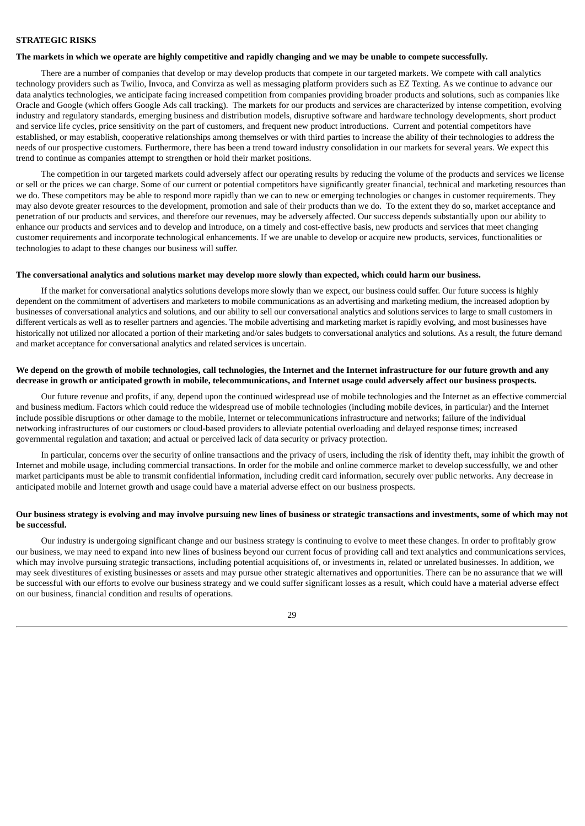# **STRATEGIC RISKS**

#### The markets in which we operate are highly competitive and rapidly changing and we may be unable to compete successfully.

There are a number of companies that develop or may develop products that compete in our targeted markets. We compete with call analytics technology providers such as Twilio, Invoca, and Convirza as well as messaging platform providers such as EZ Texting. As we continue to advance our data analytics technologies, we anticipate facing increased competition from companies providing broader products and solutions, such as companies like Oracle and Google (which offers Google Ads call tracking). The markets for our products and services are characterized by intense competition, evolving industry and regulatory standards, emerging business and distribution models, disruptive software and hardware technology developments, short product and service life cycles, price sensitivity on the part of customers, and frequent new product introductions. Current and potential competitors have established, or may establish, cooperative relationships among themselves or with third parties to increase the ability of their technologies to address the needs of our prospective customers. Furthermore, there has been a trend toward industry consolidation in our markets for several years. We expect this trend to continue as companies attempt to strengthen or hold their market positions.

The competition in our targeted markets could adversely affect our operating results by reducing the volume of the products and services we license or sell or the prices we can charge. Some of our current or potential competitors have significantly greater financial, technical and marketing resources than we do. These competitors may be able to respond more rapidly than we can to new or emerging technologies or changes in customer requirements. They may also devote greater resources to the development, promotion and sale of their products than we do. To the extent they do so, market acceptance and penetration of our products and services, and therefore our revenues, may be adversely affected. Our success depends substantially upon our ability to enhance our products and services and to develop and introduce, on a timely and cost-effective basis, new products and services that meet changing customer requirements and incorporate technological enhancements. If we are unable to develop or acquire new products, services, functionalities or technologies to adapt to these changes our business will suffer.

#### The conversational analytics and solutions market may develop more slowly than expected, which could harm our business.

If the market for conversational analytics solutions develops more slowly than we expect, our business could suffer. Our future success is highly dependent on the commitment of advertisers and marketers to mobile communications as an advertising and marketing medium, the increased adoption by businesses of conversational analytics and solutions, and our ability to sell our conversational analytics and solutions services to large to small customers in different verticals as well as to reseller partners and agencies. The mobile advertising and marketing market is rapidly evolving, and most businesses have historically not utilized nor allocated a portion of their marketing and/or sales budgets to conversational analytics and solutions. As a result, the future demand and market acceptance for conversational analytics and related services is uncertain.

# We depend on the growth of mobile technologies, call technologies, the Internet and the Internet infrastructure for our future growth and any decrease in growth or anticipated growth in mobile, telecommunications, and Internet usage could adversely affect our business prospects.

Our future revenue and profits, if any, depend upon the continued widespread use of mobile technologies and the Internet as an effective commercial and business medium. Factors which could reduce the widespread use of mobile technologies (including mobile devices, in particular) and the Internet include possible disruptions or other damage to the mobile, Internet or telecommunications infrastructure and networks; failure of the individual networking infrastructures of our customers or cloud-based providers to alleviate potential overloading and delayed response times; increased governmental regulation and taxation; and actual or perceived lack of data security or privacy protection.

In particular, concerns over the security of online transactions and the privacy of users, including the risk of identity theft, may inhibit the growth of Internet and mobile usage, including commercial transactions. In order for the mobile and online commerce market to develop successfully, we and other market participants must be able to transmit confidential information, including credit card information, securely over public networks. Any decrease in anticipated mobile and Internet growth and usage could have a material adverse effect on our business prospects.

# Our business strategy is evolving and may involve pursuing new lines of business or strategic transactions and investments, some of which may not **be successful.**

Our industry is undergoing significant change and our business strategy is continuing to evolve to meet these changes. In order to profitably grow our business, we may need to expand into new lines of business beyond our current focus of providing call and text analytics and communications services, which may involve pursuing strategic transactions, including potential acquisitions of, or investments in, related or unrelated businesses. In addition, we may seek divestitures of existing businesses or assets and may pursue other strategic alternatives and opportunities. There can be no assurance that we will be successful with our efforts to evolve our business strategy and we could suffer significant losses as a result, which could have a material adverse effect on our business, financial condition and results of operations.

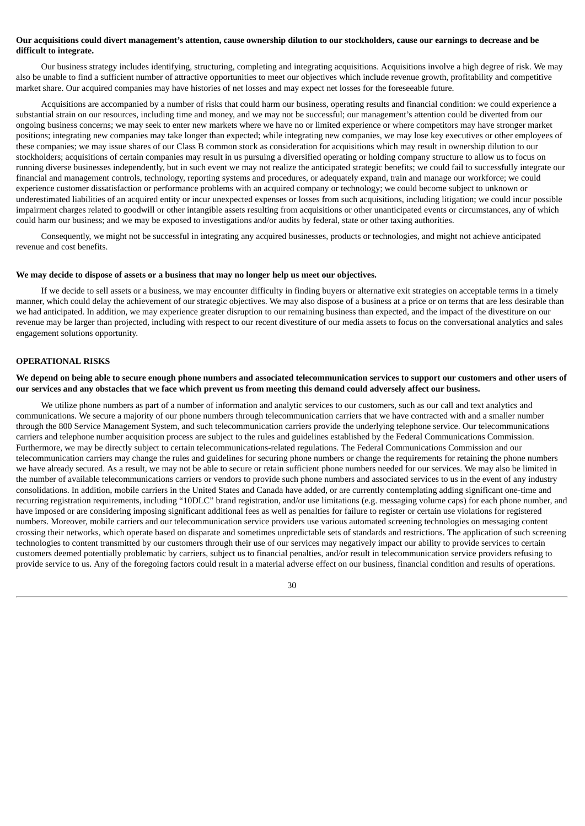# Our acquisitions could divert management's attention, cause ownership dilution to our stockholders, cause our earnings to decrease and be **difficult to integrate.**

Our business strategy includes identifying, structuring, completing and integrating acquisitions. Acquisitions involve a high degree of risk. We may also be unable to find a sufficient number of attractive opportunities to meet our objectives which include revenue growth, profitability and competitive market share. Our acquired companies may have histories of net losses and may expect net losses for the foreseeable future.

Acquisitions are accompanied by a number of risks that could harm our business, operating results and financial condition: we could experience a substantial strain on our resources, including time and money, and we may not be successful; our management's attention could be diverted from our ongoing business concerns; we may seek to enter new markets where we have no or limited experience or where competitors may have stronger market positions; integrating new companies may take longer than expected; while integrating new companies, we may lose key executives or other employees of these companies; we may issue shares of our Class B common stock as consideration for acquisitions which may result in ownership dilution to our stockholders; acquisitions of certain companies may result in us pursuing a diversified operating or holding company structure to allow us to focus on running diverse businesses independently, but in such event we may not realize the anticipated strategic benefits; we could fail to successfully integrate our financial and management controls, technology, reporting systems and procedures, or adequately expand, train and manage our workforce; we could experience customer dissatisfaction or performance problems with an acquired company or technology; we could become subject to unknown or underestimated liabilities of an acquired entity or incur unexpected expenses or losses from such acquisitions, including litigation; we could incur possible impairment charges related to goodwill or other intangible assets resulting from acquisitions or other unanticipated events or circumstances, any of which could harm our business; and we may be exposed to investigations and/or audits by federal, state or other taxing authorities.

Consequently, we might not be successful in integrating any acquired businesses, products or technologies, and might not achieve anticipated revenue and cost benefits.

#### We may decide to dispose of assets or a business that may no longer help us meet our objectives.

If we decide to sell assets or a business, we may encounter difficulty in finding buyers or alternative exit strategies on acceptable terms in a timely manner, which could delay the achievement of our strategic objectives. We may also dispose of a business at a price or on terms that are less desirable than we had anticipated. In addition, we may experience greater disruption to our remaining business than expected, and the impact of the divestiture on our revenue may be larger than projected, including with respect to our recent divestiture of our media assets to focus on the conversational analytics and sales engagement solutions opportunity.

## **OPERATIONAL RISKS**

## We depend on being able to secure enough phone numbers and associated telecommunication services to support our customers and other users of our services and any obstacles that we face which prevent us from meeting this demand could adversely affect our business.

We utilize phone numbers as part of a number of information and analytic services to our customers, such as our call and text analytics and communications. We secure a majority of our phone numbers through telecommunication carriers that we have contracted with and a smaller number through the 800 Service Management System, and such telecommunication carriers provide the underlying telephone service. Our telecommunications carriers and telephone number acquisition process are subject to the rules and guidelines established by the Federal Communications Commission. Furthermore, we may be directly subject to certain telecommunications-related regulations. The Federal Communications Commission and our telecommunication carriers may change the rules and guidelines for securing phone numbers or change the requirements for retaining the phone numbers we have already secured. As a result, we may not be able to secure or retain sufficient phone numbers needed for our services. We may also be limited in the number of available telecommunications carriers or vendors to provide such phone numbers and associated services to us in the event of any industry consolidations. In addition, mobile carriers in the United States and Canada have added, or are currently contemplating adding significant one-time and recurring registration requirements, including "10DLC" brand registration, and/or use limitations (e.g. messaging volume caps) for each phone number, and have imposed or are considering imposing significant additional fees as well as penalties for failure to register or certain use violations for registered numbers. Moreover, mobile carriers and our telecommunication service providers use various automated screening technologies on messaging content crossing their networks, which operate based on disparate and sometimes unpredictable sets of standards and restrictions. The application of such screening technologies to content transmitted by our customers through their use of our services may negatively impact our ability to provide services to certain customers deemed potentially problematic by carriers, subject us to financial penalties, and/or result in telecommunication service providers refusing to provide service to us. Any of the foregoing factors could result in a material adverse effect on our business, financial condition and results of operations.

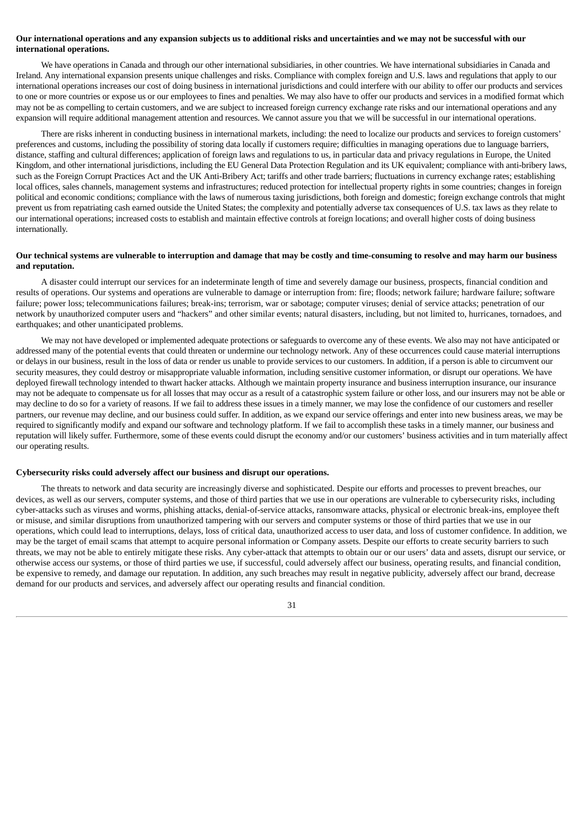# Our international operations and any expansion subjects us to additional risks and uncertainties and we may not be successful with our **international operations.**

We have operations in Canada and through our other international subsidiaries, in other countries. We have international subsidiaries in Canada and Ireland. Any international expansion presents unique challenges and risks. Compliance with complex foreign and U.S. laws and regulations that apply to our international operations increases our cost of doing business in international jurisdictions and could interfere with our ability to offer our products and services to one or more countries or expose us or our employees to fines and penalties. We may also have to offer our products and services in a modified format which may not be as compelling to certain customers, and we are subject to increased foreign currency exchange rate risks and our international operations and any expansion will require additional management attention and resources. We cannot assure you that we will be successful in our international operations.

There are risks inherent in conducting business in international markets, including: the need to localize our products and services to foreign customers' preferences and customs, including the possibility of storing data locally if customers require; difficulties in managing operations due to language barriers, distance, staffing and cultural differences; application of foreign laws and regulations to us, in particular data and privacy regulations in Europe, the United Kingdom, and other international jurisdictions, including the EU General Data Protection Regulation and its UK equivalent; compliance with anti-bribery laws, such as the Foreign Corrupt Practices Act and the UK Anti-Bribery Act; tariffs and other trade barriers; fluctuations in currency exchange rates; establishing local offices, sales channels, management systems and infrastructures; reduced protection for intellectual property rights in some countries; changes in foreign political and economic conditions; compliance with the laws of numerous taxing jurisdictions, both foreign and domestic; foreign exchange controls that might prevent us from repatriating cash earned outside the United States; the complexity and potentially adverse tax consequences of U.S. tax laws as they relate to our international operations; increased costs to establish and maintain effective controls at foreign locations; and overall higher costs of doing business internationally.

## Our technical systems are vulnerable to interruption and damage that may be costly and time-consuming to resolve and may harm our business **and reputation.**

A disaster could interrupt our services for an indeterminate length of time and severely damage our business, prospects, financial condition and results of operations. Our systems and operations are vulnerable to damage or interruption from: fire; floods; network failure; hardware failure; software failure; power loss; telecommunications failures; break-ins; terrorism, war or sabotage; computer viruses; denial of service attacks; penetration of our network by unauthorized computer users and "hackers" and other similar events; natural disasters, including, but not limited to, hurricanes, tornadoes, and earthquakes; and other unanticipated problems.

We may not have developed or implemented adequate protections or safeguards to overcome any of these events. We also may not have anticipated or addressed many of the potential events that could threaten or undermine our technology network. Any of these occurrences could cause material interruptions or delays in our business, result in the loss of data or render us unable to provide services to our customers. In addition, if a person is able to circumvent our security measures, they could destroy or misappropriate valuable information, including sensitive customer information, or disrupt our operations. We have deployed firewall technology intended to thwart hacker attacks. Although we maintain property insurance and business interruption insurance, our insurance may not be adequate to compensate us for all losses that may occur as a result of a catastrophic system failure or other loss, and our insurers may not be able or may decline to do so for a variety of reasons. If we fail to address these issues in a timely manner, we may lose the confidence of our customers and reseller partners, our revenue may decline, and our business could suffer. In addition, as we expand our service offerings and enter into new business areas, we may be required to significantly modify and expand our software and technology platform. If we fail to accomplish these tasks in a timely manner, our business and reputation will likely suffer. Furthermore, some of these events could disrupt the economy and/or our customers' business activities and in turn materially affect our operating results.

#### **Cybersecurity risks could adversely affect our business and disrupt our operations.**

The threats to network and data security are increasingly diverse and sophisticated. Despite our efforts and processes to prevent breaches, our devices, as well as our servers, computer systems, and those of third parties that we use in our operations are vulnerable to cybersecurity risks, including cyber-attacks such as viruses and worms, phishing attacks, denial-of-service attacks, ransomware attacks, physical or electronic break-ins, employee theft or misuse, and similar disruptions from unauthorized tampering with our servers and computer systems or those of third parties that we use in our operations, which could lead to interruptions, delays, loss of critical data, unauthorized access to user data, and loss of customer confidence. In addition, we may be the target of email scams that attempt to acquire personal information or Company assets. Despite our efforts to create security barriers to such threats, we may not be able to entirely mitigate these risks. Any cyber-attack that attempts to obtain our or our users' data and assets, disrupt our service, or otherwise access our systems, or those of third parties we use, if successful, could adversely affect our business, operating results, and financial condition, be expensive to remedy, and damage our reputation. In addition, any such breaches may result in negative publicity, adversely affect our brand, decrease demand for our products and services, and adversely affect our operating results and financial condition.

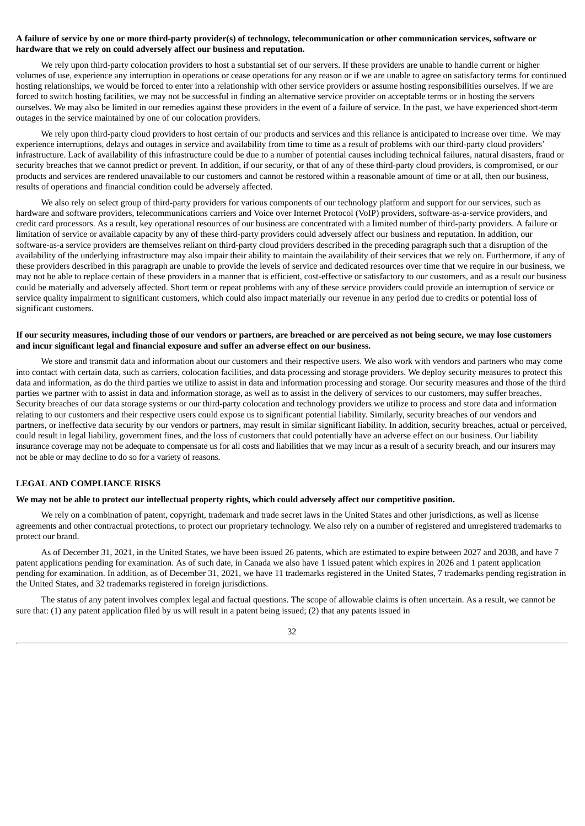# A failure of service by one or more third-party provider(s) of technology, telecommunication or other communication services, software or **hardware that we rely on could adversely affect our business and reputation.**

We rely upon third-party colocation providers to host a substantial set of our servers. If these providers are unable to handle current or higher volumes of use, experience any interruption in operations or cease operations for any reason or if we are unable to agree on satisfactory terms for continued hosting relationships, we would be forced to enter into a relationship with other service providers or assume hosting responsibilities ourselves. If we are forced to switch hosting facilities, we may not be successful in finding an alternative service provider on acceptable terms or in hosting the servers ourselves. We may also be limited in our remedies against these providers in the event of a failure of service. In the past, we have experienced short-term outages in the service maintained by one of our colocation providers.

We rely upon third-party cloud providers to host certain of our products and services and this reliance is anticipated to increase over time. We may experience interruptions, delays and outages in service and availability from time to time as a result of problems with our third-party cloud providers' infrastructure. Lack of availability of this infrastructure could be due to a number of potential causes including technical failures, natural disasters, fraud or security breaches that we cannot predict or prevent. In addition, if our security, or that of any of these third-party cloud providers, is compromised, or our products and services are rendered unavailable to our customers and cannot be restored within a reasonable amount of time or at all, then our business, results of operations and financial condition could be adversely affected.

We also rely on select group of third-party providers for various components of our technology platform and support for our services, such as hardware and software providers, telecommunications carriers and Voice over Internet Protocol (VoIP) providers, software-as-a-service providers, and credit card processors. As a result, key operational resources of our business are concentrated with a limited number of third-party providers. A failure or limitation of service or available capacity by any of these third-party providers could adversely affect our business and reputation. In addition, our software-as-a service providers are themselves reliant on third-party cloud providers described in the preceding paragraph such that a disruption of the availability of the underlying infrastructure may also impair their ability to maintain the availability of their services that we rely on. Furthermore, if any of these providers described in this paragraph are unable to provide the levels of service and dedicated resources over time that we require in our business, we may not be able to replace certain of these providers in a manner that is efficient, cost-effective or satisfactory to our customers, and as a result our business could be materially and adversely affected. Short term or repeat problems with any of these service providers could provide an interruption of service or service quality impairment to significant customers, which could also impact materially our revenue in any period due to credits or potential loss of significant customers.

#### If our security measures, including those of our vendors or partners, are breached or are perceived as not being secure, we may lose customers **and incur significant legal and financial exposure and suffer an adverse effect on our business.**

We store and transmit data and information about our customers and their respective users. We also work with vendors and partners who may come into contact with certain data, such as carriers, colocation facilities, and data processing and storage providers. We deploy security measures to protect this data and information, as do the third parties we utilize to assist in data and information processing and storage. Our security measures and those of the third parties we partner with to assist in data and information storage, as well as to assist in the delivery of services to our customers, may suffer breaches. Security breaches of our data storage systems or our third-party colocation and technology providers we utilize to process and store data and information relating to our customers and their respective users could expose us to significant potential liability. Similarly, security breaches of our vendors and partners, or ineffective data security by our vendors or partners, may result in similar significant liability. In addition, security breaches, actual or perceived, could result in legal liability, government fines, and the loss of customers that could potentially have an adverse effect on our business. Our liability insurance coverage may not be adequate to compensate us for all costs and liabilities that we may incur as a result of a security breach, and our insurers may not be able or may decline to do so for a variety of reasons.

#### **LEGAL AND COMPLIANCE RISKS**

# We may not be able to protect our intellectual property rights, which could adversely affect our competitive position.

We rely on a combination of patent, copyright, trademark and trade secret laws in the United States and other jurisdictions, as well as license agreements and other contractual protections, to protect our proprietary technology. We also rely on a number of registered and unregistered trademarks to protect our brand.

As of December 31, 2021, in the United States, we have been issued 26 patents, which are estimated to expire between 2027 and 2038, and have 7 patent applications pending for examination. As of such date, in Canada we also have 1 issued patent which expires in 2026 and 1 patent application pending for examination. In addition, as of December 31, 2021, we have 11 trademarks registered in the United States, 7 trademarks pending registration in the United States, and 32 trademarks registered in foreign jurisdictions.

The status of any patent involves complex legal and factual questions. The scope of allowable claims is often uncertain. As a result, we cannot be sure that: (1) any patent application filed by us will result in a patent being issued; (2) that any patents issued in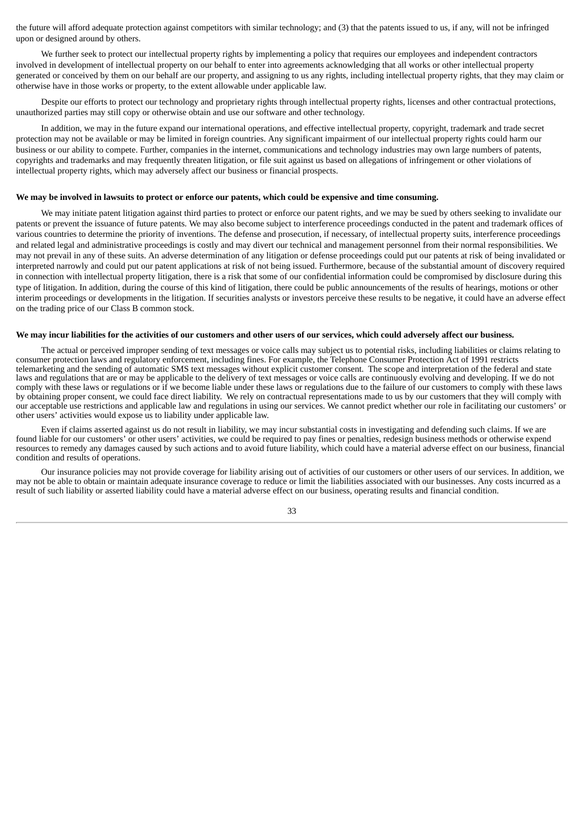the future will afford adequate protection against competitors with similar technology; and (3) that the patents issued to us, if any, will not be infringed upon or designed around by others.

We further seek to protect our intellectual property rights by implementing a policy that requires our employees and independent contractors involved in development of intellectual property on our behalf to enter into agreements acknowledging that all works or other intellectual property generated or conceived by them on our behalf are our property, and assigning to us any rights, including intellectual property rights, that they may claim or otherwise have in those works or property, to the extent allowable under applicable law.

Despite our efforts to protect our technology and proprietary rights through intellectual property rights, licenses and other contractual protections, unauthorized parties may still copy or otherwise obtain and use our software and other technology.

In addition, we may in the future expand our international operations, and effective intellectual property, copyright, trademark and trade secret protection may not be available or may be limited in foreign countries. Any significant impairment of our intellectual property rights could harm our business or our ability to compete. Further, companies in the internet, communications and technology industries may own large numbers of patents, copyrights and trademarks and may frequently threaten litigation, or file suit against us based on allegations of infringement or other violations of intellectual property rights, which may adversely affect our business or financial prospects.

# We may be involved in lawsuits to protect or enforce our patents, which could be expensive and time consuming.

We may initiate patent litigation against third parties to protect or enforce our patent rights, and we may be sued by others seeking to invalidate our patents or prevent the issuance of future patents. We may also become subject to interference proceedings conducted in the patent and trademark offices of various countries to determine the priority of inventions. The defense and prosecution, if necessary, of intellectual property suits, interference proceedings and related legal and administrative proceedings is costly and may divert our technical and management personnel from their normal responsibilities. We may not prevail in any of these suits. An adverse determination of any litigation or defense proceedings could put our patents at risk of being invalidated or interpreted narrowly and could put our patent applications at risk of not being issued. Furthermore, because of the substantial amount of discovery required in connection with intellectual property litigation, there is a risk that some of our confidential information could be compromised by disclosure during this type of litigation. In addition, during the course of this kind of litigation, there could be public announcements of the results of hearings, motions or other interim proceedings or developments in the litigation. If securities analysts or investors perceive these results to be negative, it could have an adverse effect on the trading price of our Class B common stock.

#### We may incur liabilities for the activities of our customers and other users of our services, which could adversely affect our business.

The actual or perceived improper sending of text messages or voice calls may subject us to potential risks, including liabilities or claims relating to consumer protection laws and regulatory enforcement, including fines. For example, the Telephone Consumer Protection Act of 1991 restricts telemarketing and the sending of automatic SMS text messages without explicit customer consent. The scope and interpretation of the federal and state laws and regulations that are or may be applicable to the delivery of text messages or voice calls are continuously evolving and developing. If we do not comply with these laws or regulations or if we become liable under these laws or regulations due to the failure of our customers to comply with these laws by obtaining proper consent, we could face direct liability. We rely on contractual representations made to us by our customers that they will comply with our acceptable use restrictions and applicable law and regulations in using our services. We cannot predict whether our role in facilitating our customers' or other users' activities would expose us to liability under applicable law.

Even if claims asserted against us do not result in liability, we may incur substantial costs in investigating and defending such claims. If we are found liable for our customers' or other users' activities, we could be required to pay fines or penalties, redesign business methods or otherwise expend resources to remedy any damages caused by such actions and to avoid future liability, which could have a material adverse effect on our business, financial condition and results of operations.

Our insurance policies may not provide coverage for liability arising out of activities of our customers or other users of our services. In addition, we may not be able to obtain or maintain adequate insurance coverage to reduce or limit the liabilities associated with our businesses. Any costs incurred as a result of such liability or asserted liability could have a material adverse effect on our business, operating results and financial condition.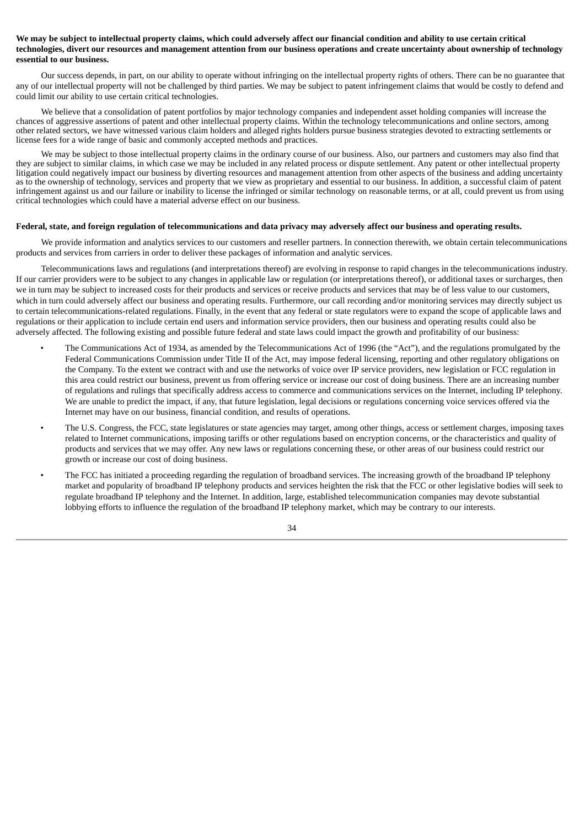# We may be subject to intellectual property claims, which could adversely affect our financial condition and ability to use certain critical technologies, divert our resources and management attention from our business operations and create uncertainty about ownership of technology **essential to our business.**

Our success depends, in part, on our ability to operate without infringing on the intellectual property rights of others. There can be no guarantee that any of our intellectual property will not be challenged by third parties. We may be subject to patent infringement claims that would be costly to defend and could limit our ability to use certain critical technologies.

We believe that a consolidation of patent portfolios by major technology companies and independent asset holding companies will increase the chances of aggressive assertions of patent and other intellectual property claims. Within the technology telecommunications and online sectors, among other related sectors, we have witnessed various claim holders and alleged rights holders pursue business strategies devoted to extracting settlements or license fees for a wide range of basic and commonly accepted methods and practices.

We may be subject to those intellectual property claims in the ordinary course of our business. Also, our partners and customers may also find that they are subject to similar claims, in which case we may be included in any related process or dispute settlement. Any patent or other intellectual property litigation could negatively impact our business by diverting resources and management attention from other aspects of the business and adding uncertainty as to the ownership of technology, services and property that we view as proprietary and essential to our business. In addition, a successful claim of patent infringement against us and our failure or inability to license the infringed or similar technology on reasonable terms, or at all, could prevent us from using critical technologies which could have a material adverse effect on our business.

#### Federal, state, and foreign regulation of telecommunications and data privacy may adversely affect our business and operating results.

We provide information and analytics services to our customers and reseller partners. In connection therewith, we obtain certain telecommunications products and services from carriers in order to deliver these packages of information and analytic services.

Telecommunications laws and regulations (and interpretations thereof) are evolving in response to rapid changes in the telecommunications industry. If our carrier providers were to be subject to any changes in applicable law or regulation (or interpretations thereof), or additional taxes or surcharges, then we in turn may be subject to increased costs for their products and services or receive products and services that may be of less value to our customers, which in turn could adversely affect our business and operating results. Furthermore, our call recording and/or monitoring services may directly subject us to certain telecommunications-related regulations. Finally, in the event that any federal or state regulators were to expand the scope of applicable laws and regulations or their application to include certain end users and information service providers, then our business and operating results could also be adversely affected. The following existing and possible future federal and state laws could impact the growth and profitability of our business:

- The Communications Act of 1934, as amended by the Telecommunications Act of 1996 (the "Act"), and the regulations promulgated by the Federal Communications Commission under Title II of the Act, may impose federal licensing, reporting and other regulatory obligations on the Company. To the extent we contract with and use the networks of voice over IP service providers, new legislation or FCC regulation in this area could restrict our business, prevent us from offering service or increase our cost of doing business. There are an increasing number of regulations and rulings that specifically address access to commerce and communications services on the Internet, including IP telephony. We are unable to predict the impact, if any, that future legislation, legal decisions or regulations concerning voice services offered via the Internet may have on our business, financial condition, and results of operations.
- The U.S. Congress, the FCC, state legislatures or state agencies may target, among other things, access or settlement charges, imposing taxes related to Internet communications, imposing tariffs or other regulations based on encryption concerns, or the characteristics and quality of products and services that we may offer. Any new laws or regulations concerning these, or other areas of our business could restrict our growth or increase our cost of doing business.
- The FCC has initiated a proceeding regarding the regulation of broadband services. The increasing growth of the broadband IP telephony market and popularity of broadband IP telephony products and services heighten the risk that the FCC or other legislative bodies will seek to regulate broadband IP telephony and the Internet. In addition, large, established telecommunication companies may devote substantial lobbying efforts to influence the regulation of the broadband IP telephony market, which may be contrary to our interests.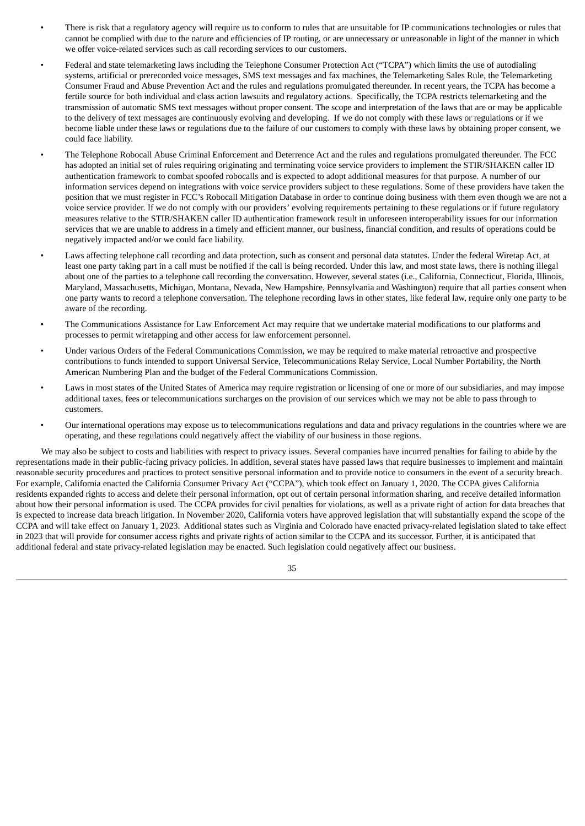- There is risk that a regulatory agency will require us to conform to rules that are unsuitable for IP communications technologies or rules that cannot be complied with due to the nature and efficiencies of IP routing, or are unnecessary or unreasonable in light of the manner in which we offer voice-related services such as call recording services to our customers.
- Federal and state telemarketing laws including the Telephone Consumer Protection Act ("TCPA") which limits the use of autodialing systems, artificial or prerecorded voice messages, SMS text messages and fax machines, the Telemarketing Sales Rule, the Telemarketing Consumer Fraud and Abuse Prevention Act and the rules and regulations promulgated thereunder. In recent years, the TCPA has become a fertile source for both individual and class action lawsuits and regulatory actions. Specifically, the TCPA restricts telemarketing and the transmission of automatic SMS text messages without proper consent. The scope and interpretation of the laws that are or may be applicable to the delivery of text messages are continuously evolving and developing. If we do not comply with these laws or regulations or if we become liable under these laws or regulations due to the failure of our customers to comply with these laws by obtaining proper consent, we could face liability.
- The Telephone Robocall Abuse Criminal Enforcement and Deterrence Act and the rules and regulations promulgated thereunder. The FCC has adopted an initial set of rules requiring originating and terminating voice service providers to implement the STIR/SHAKEN caller ID authentication framework to combat spoofed robocalls and is expected to adopt additional measures for that purpose. A number of our information services depend on integrations with voice service providers subject to these regulations. Some of these providers have taken the position that we must register in FCC's Robocall Mitigation Database in order to continue doing business with them even though we are not a voice service provider. If we do not comply with our providers' evolving requirements pertaining to these regulations or if future regulatory measures relative to the STIR/SHAKEN caller ID authentication framework result in unforeseen interoperability issues for our information services that we are unable to address in a timely and efficient manner, our business, financial condition, and results of operations could be negatively impacted and/or we could face liability.
- Laws affecting telephone call recording and data protection, such as consent and personal data statutes. Under the federal Wiretap Act, at least one party taking part in a call must be notified if the call is being recorded. Under this law, and most state laws, there is nothing illegal about one of the parties to a telephone call recording the conversation. However, several states (i.e., California, Connecticut, Florida, Illinois, Maryland, Massachusetts, Michigan, Montana, Nevada, New Hampshire, Pennsylvania and Washington) require that all parties consent when one party wants to record a telephone conversation. The telephone recording laws in other states, like federal law, require only one party to be aware of the recording.
- The Communications Assistance for Law Enforcement Act may require that we undertake material modifications to our platforms and processes to permit wiretapping and other access for law enforcement personnel.
- Under various Orders of the Federal Communications Commission, we may be required to make material retroactive and prospective contributions to funds intended to support Universal Service, Telecommunications Relay Service, Local Number Portability, the North American Numbering Plan and the budget of the Federal Communications Commission.
- Laws in most states of the United States of America may require registration or licensing of one or more of our subsidiaries, and may impose additional taxes, fees or telecommunications surcharges on the provision of our services which we may not be able to pass through to customers.
- Our international operations may expose us to telecommunications regulations and data and privacy regulations in the countries where we are operating, and these regulations could negatively affect the viability of our business in those regions.

We may also be subject to costs and liabilities with respect to privacy issues. Several companies have incurred penalties for failing to abide by the representations made in their public-facing privacy policies. In addition, several states have passed laws that require businesses to implement and maintain reasonable security procedures and practices to protect sensitive personal information and to provide notice to consumers in the event of a security breach. For example, California enacted the California Consumer Privacy Act ("CCPA"), which took effect on January 1, 2020. The CCPA gives California residents expanded rights to access and delete their personal information, opt out of certain personal information sharing, and receive detailed information about how their personal information is used. The CCPA provides for civil penalties for violations, as well as a private right of action for data breaches that is expected to increase data breach litigation. In November 2020, California voters have approved legislation that will substantially expand the scope of the CCPA and will take effect on January 1, 2023. Additional states such as Virginia and Colorado have enacted privacy-related legislation slated to take effect in 2023 that will provide for consumer access rights and private rights of action similar to the CCPA and its successor. Further, it is anticipated that additional federal and state privacy-related legislation may be enacted. Such legislation could negatively affect our business.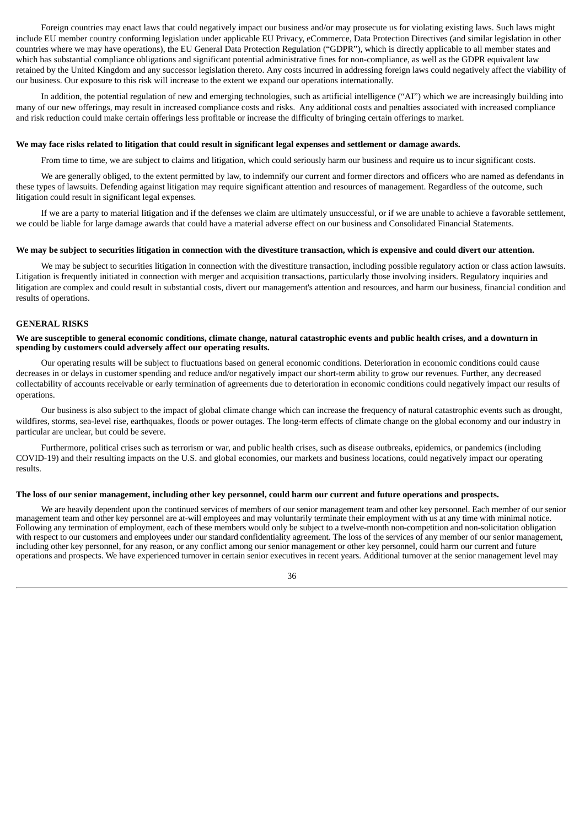Foreign countries may enact laws that could negatively impact our business and/or may prosecute us for violating existing laws. Such laws might include EU member country conforming legislation under applicable EU Privacy, eCommerce, Data Protection Directives (and similar legislation in other countries where we may have operations), the EU General Data Protection Regulation ("GDPR"), which is directly applicable to all member states and which has substantial compliance obligations and significant potential administrative fines for non-compliance, as well as the GDPR equivalent law retained by the United Kingdom and any successor legislation thereto. Any costs incurred in addressing foreign laws could negatively affect the viability of our business. Our exposure to this risk will increase to the extent we expand our operations internationally.

In addition, the potential regulation of new and emerging technologies, such as artificial intelligence ("AI") which we are increasingly building into many of our new offerings, may result in increased compliance costs and risks. Any additional costs and penalties associated with increased compliance and risk reduction could make certain offerings less profitable or increase the difficulty of bringing certain offerings to market.

#### We may face risks related to litigation that could result in significant legal expenses and settlement or damage awards.

From time to time, we are subject to claims and litigation, which could seriously harm our business and require us to incur significant costs.

We are generally obliged, to the extent permitted by law, to indemnify our current and former directors and officers who are named as defendants in these types of lawsuits. Defending against litigation may require significant attention and resources of management. Regardless of the outcome, such litigation could result in significant legal expenses.

If we are a party to material litigation and if the defenses we claim are ultimately unsuccessful, or if we are unable to achieve a favorable settlement, we could be liable for large damage awards that could have a material adverse effect on our business and Consolidated Financial Statements.

#### We may be subject to securities litigation in connection with the divestiture transaction, which is expensive and could divert our attention.

We may be subject to securities litigation in connection with the divestiture transaction, including possible regulatory action or class action lawsuits. Litigation is frequently initiated in connection with merger and acquisition transactions, particularly those involving insiders. Regulatory inquiries and litigation are complex and could result in substantial costs, divert our management's attention and resources, and harm our business, financial condition and results of operations.

#### **GENERAL RISKS**

#### We are susceptible to general economic conditions, climate change, natural catastrophic events and public health crises, and a downturn in **spending by customers could adversely affect our operating results.**

Our operating results will be subject to fluctuations based on general economic conditions. Deterioration in economic conditions could cause decreases in or delays in customer spending and reduce and/or negatively impact our short-term ability to grow our revenues. Further, any decreased collectability of accounts receivable or early termination of agreements due to deterioration in economic conditions could negatively impact our results of operations.

Our business is also subject to the impact of global climate change which can increase the frequency of natural catastrophic events such as drought, wildfires, storms, sea-level rise, earthquakes, floods or power outages. The long-term effects of climate change on the global economy and our industry in particular are unclear, but could be severe.

Furthermore, political crises such as terrorism or war, and public health crises, such as disease outbreaks, epidemics, or pandemics (including COVID-19) and their resulting impacts on the U.S. and global economies, our markets and business locations, could negatively impact our operating results.

#### The loss of our senior management, including other key personnel, could harm our current and future operations and prospects.

We are heavily dependent upon the continued services of members of our senior management team and other key personnel. Each member of our senior management team and other key personnel are at-will employees and may voluntarily terminate their employment with us at any time with minimal notice. Following any termination of employment, each of these members would only be subject to a twelve-month non-competition and non-solicitation obligation with respect to our customers and employees under our standard confidentiality agreement. The loss of the services of any member of our senior management, including other key personnel, for any reason, or any conflict among our senior management or other key personnel, could harm our current and future operations and prospects. We have experienced turnover in certain senior executives in recent years. Additional turnover at the senior management level may

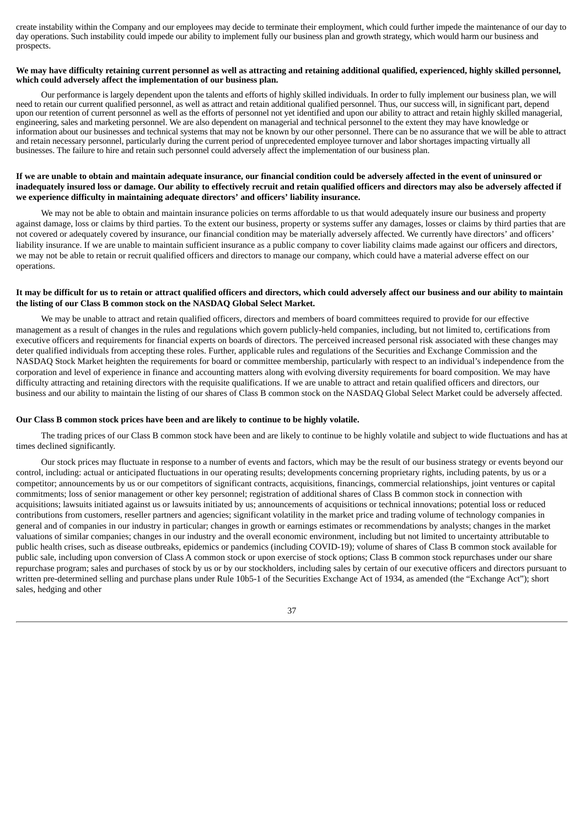create instability within the Company and our employees may decide to terminate their employment, which could further impede the maintenance of our day to day operations. Such instability could impede our ability to implement fully our business plan and growth strategy, which would harm our business and prospects.

#### We may have difficulty retaining current personnel as well as attracting and retaining additional qualified, experienced, highly skilled personnel, **which could adversely affect the implementation of our business plan.**

Our performance is largely dependent upon the talents and efforts of highly skilled individuals. In order to fully implement our business plan, we will need to retain our current qualified personnel, as well as attract and retain additional qualified personnel. Thus, our success will, in significant part, depend upon our retention of current personnel as well as the efforts of personnel not yet identified and upon our ability to attract and retain highly skilled managerial, engineering, sales and marketing personnel. We are also dependent on managerial and technical personnel to the extent they may have knowledge or information about our businesses and technical systems that may not be known by our other personnel. There can be no assurance that we will be able to attract and retain necessary personnel, particularly during the current period of unprecedented employee turnover and labor shortages impacting virtually all businesses. The failure to hire and retain such personnel could adversely affect the implementation of our business plan.

# If we are unable to obtain and maintain adequate insurance, our financial condition could be adversely affected in the event of uninsured or inadequately insured loss or damage. Our ability to effectively recruit and retain qualified officers and directors may also be adversely affected if **we experience difficulty in maintaining adequate directors' and officers' liability insurance.**

We may not be able to obtain and maintain insurance policies on terms affordable to us that would adequately insure our business and property against damage, loss or claims by third parties. To the extent our business, property or systems suffer any damages, losses or claims by third parties that are not covered or adequately covered by insurance, our financial condition may be materially adversely affected. We currently have directors' and officers' liability insurance. If we are unable to maintain sufficient insurance as a public company to cover liability claims made against our officers and directors, we may not be able to retain or recruit qualified officers and directors to manage our company, which could have a material adverse effect on our operations.

# It may be difficult for us to retain or attract qualified officers and directors, which could adversely affect our business and our ability to maintain **the listing of our Class B common stock on the NASDAQ Global Select Market.**

We may be unable to attract and retain qualified officers, directors and members of board committees required to provide for our effective management as a result of changes in the rules and regulations which govern publicly-held companies, including, but not limited to, certifications from executive officers and requirements for financial experts on boards of directors. The perceived increased personal risk associated with these changes may deter qualified individuals from accepting these roles. Further, applicable rules and regulations of the Securities and Exchange Commission and the NASDAQ Stock Market heighten the requirements for board or committee membership, particularly with respect to an individual's independence from the corporation and level of experience in finance and accounting matters along with evolving diversity requirements for board composition. We may have difficulty attracting and retaining directors with the requisite qualifications. If we are unable to attract and retain qualified officers and directors, our business and our ability to maintain the listing of our shares of Class B common stock on the NASDAQ Global Select Market could be adversely affected.

#### **Our Class B common stock prices have been and are likely to continue to be highly volatile.**

The trading prices of our Class B common stock have been and are likely to continue to be highly volatile and subject to wide fluctuations and has at times declined significantly.

Our stock prices may fluctuate in response to a number of events and factors, which may be the result of our business strategy or events beyond our control, including: actual or anticipated fluctuations in our operating results; developments concerning proprietary rights, including patents, by us or a competitor; announcements by us or our competitors of significant contracts, acquisitions, financings, commercial relationships, joint ventures or capital commitments; loss of senior management or other key personnel; registration of additional shares of Class B common stock in connection with acquisitions; lawsuits initiated against us or lawsuits initiated by us; announcements of acquisitions or technical innovations; potential loss or reduced contributions from customers, reseller partners and agencies; significant volatility in the market price and trading volume of technology companies in general and of companies in our industry in particular; changes in growth or earnings estimates or recommendations by analysts; changes in the market valuations of similar companies; changes in our industry and the overall economic environment, including but not limited to uncertainty attributable to public health crises, such as disease outbreaks, epidemics or pandemics (including COVID-19); volume of shares of Class B common stock available for public sale, including upon conversion of Class A common stock or upon exercise of stock options; Class B common stock repurchases under our share repurchase program; sales and purchases of stock by us or by our stockholders, including sales by certain of our executive officers and directors pursuant to written pre-determined selling and purchase plans under Rule 10b5-1 of the Securities Exchange Act of 1934, as amended (the "Exchange Act"); short sales, hedging and other

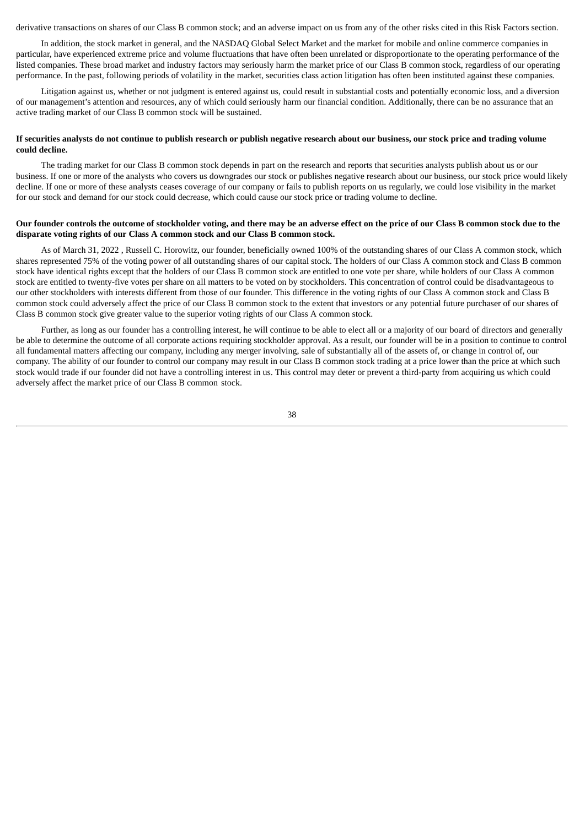derivative transactions on shares of our Class B common stock; and an adverse impact on us from any of the other risks cited in this Risk Factors section.

In addition, the stock market in general, and the NASDAQ Global Select Market and the market for mobile and online commerce companies in particular, have experienced extreme price and volume fluctuations that have often been unrelated or disproportionate to the operating performance of the listed companies. These broad market and industry factors may seriously harm the market price of our Class B common stock, regardless of our operating performance. In the past, following periods of volatility in the market, securities class action litigation has often been instituted against these companies.

Litigation against us, whether or not judgment is entered against us, could result in substantial costs and potentially economic loss, and a diversion of our management's attention and resources, any of which could seriously harm our financial condition. Additionally, there can be no assurance that an active trading market of our Class B common stock will be sustained.

# If securities analysts do not continue to publish research or publish negative research about our business, our stock price and trading volume **could decline.**

The trading market for our Class B common stock depends in part on the research and reports that securities analysts publish about us or our business. If one or more of the analysts who covers us downgrades our stock or publishes negative research about our business, our stock price would likely decline. If one or more of these analysts ceases coverage of our company or fails to publish reports on us regularly, we could lose visibility in the market for our stock and demand for our stock could decrease, which could cause our stock price or trading volume to decline.

# Our founder controls the outcome of stockholder voting, and there may be an adverse effect on the price of our Class B common stock due to the **disparate voting rights of our Class A common stock and our Class B common stock.**

As of March 31, 2022 , Russell C. Horowitz, our founder, beneficially owned 100% of the outstanding shares of our Class A common stock, which shares represented 75% of the voting power of all outstanding shares of our capital stock. The holders of our Class A common stock and Class B common stock have identical rights except that the holders of our Class B common stock are entitled to one vote per share, while holders of our Class A common stock are entitled to twenty-five votes per share on all matters to be voted on by stockholders. This concentration of control could be disadvantageous to our other stockholders with interests different from those of our founder. This difference in the voting rights of our Class A common stock and Class B common stock could adversely affect the price of our Class B common stock to the extent that investors or any potential future purchaser of our shares of Class B common stock give greater value to the superior voting rights of our Class A common stock.

Further, as long as our founder has a controlling interest, he will continue to be able to elect all or a majority of our board of directors and generally be able to determine the outcome of all corporate actions requiring stockholder approval. As a result, our founder will be in a position to continue to control all fundamental matters affecting our company, including any merger involving, sale of substantially all of the assets of, or change in control of, our company. The ability of our founder to control our company may result in our Class B common stock trading at a price lower than the price at which such stock would trade if our founder did not have a controlling interest in us. This control may deter or prevent a third-party from acquiring us which could adversely affect the market price of our Class B common stock.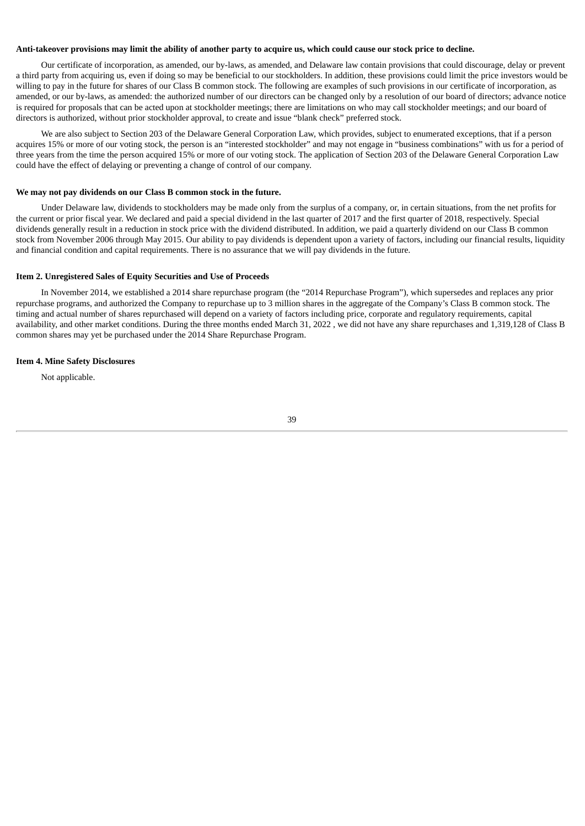## Anti-takeover provisions may limit the ability of another party to acquire us, which could cause our stock price to decline.

Our certificate of incorporation, as amended, our by-laws, as amended, and Delaware law contain provisions that could discourage, delay or prevent a third party from acquiring us, even if doing so may be beneficial to our stockholders. In addition, these provisions could limit the price investors would be willing to pay in the future for shares of our Class B common stock. The following are examples of such provisions in our certificate of incorporation, as amended, or our by-laws, as amended: the authorized number of our directors can be changed only by a resolution of our board of directors; advance notice is required for proposals that can be acted upon at stockholder meetings; there are limitations on who may call stockholder meetings; and our board of directors is authorized, without prior stockholder approval, to create and issue "blank check" preferred stock.

We are also subject to Section 203 of the Delaware General Corporation Law, which provides, subject to enumerated exceptions, that if a person acquires 15% or more of our voting stock, the person is an "interested stockholder" and may not engage in "business combinations" with us for a period of three years from the time the person acquired 15% or more of our voting stock. The application of Section 203 of the Delaware General Corporation Law could have the effect of delaying or preventing a change of control of our company.

#### **We may not pay dividends on our Class B common stock in the future.**

Under Delaware law, dividends to stockholders may be made only from the surplus of a company, or, in certain situations, from the net profits for the current or prior fiscal year. We declared and paid a special dividend in the last quarter of 2017 and the first quarter of 2018, respectively. Special dividends generally result in a reduction in stock price with the dividend distributed. In addition, we paid a quarterly dividend on our Class B common stock from November 2006 through May 2015. Our ability to pay dividends is dependent upon a variety of factors, including our financial results, liquidity and financial condition and capital requirements. There is no assurance that we will pay dividends in the future.

#### <span id="page-40-0"></span>**Item 2. Unregistered Sales of Equity Securities and Use of Proceeds**

In November 2014, we established a 2014 share repurchase program (the "2014 Repurchase Program"), which supersedes and replaces any prior repurchase programs, and authorized the Company to repurchase up to 3 million shares in the aggregate of the Company's Class B common stock. The timing and actual number of shares repurchased will depend on a variety of factors including price, corporate and regulatory requirements, capital availability, and other market conditions. During the three months ended March 31, 2022 , we did not have any share repurchases and 1,319,128 of Class B common shares may yet be purchased under the 2014 Share Repurchase Program.

#### <span id="page-40-1"></span>**Item 4. Mine Safety Disclosures**

Not applicable.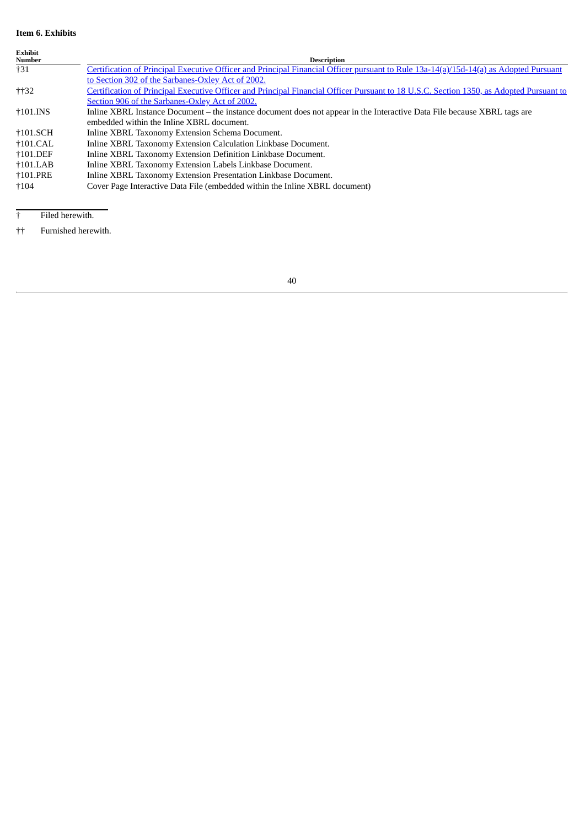# <span id="page-41-0"></span>**Item 6. Exhibits**

| <b>Exhibit</b><br>Number | <b>Description</b>                                                                                                                      |
|--------------------------|-----------------------------------------------------------------------------------------------------------------------------------------|
| $+31$                    | Certification of Principal Executive Officer and Principal Financial Officer pursuant to Rule 13a-14(a)/15d-14(a) as Adopted Pursuant   |
|                          | to Section 302 of the Sarbanes-Oxley Act of 2002.                                                                                       |
| $+132$                   | Certification of Principal Executive Officer and Principal Financial Officer Pursuant to 18 U.S.C. Section 1350, as Adopted Pursuant to |
|                          | Section 906 of the Sarbanes-Oxley Act of 2002.                                                                                          |
| $\dagger$ 101.INS        | Inline XBRL Instance Document – the instance document does not appear in the Interactive Data File because XBRL tags are                |
|                          | embedded within the Inline XBRL document.                                                                                               |
| †101.SCH                 | Inline XBRL Taxonomy Extension Schema Document.                                                                                         |
| $+101$ .CAL              | Inline XBRL Taxonomy Extension Calculation Linkbase Document.                                                                           |
| $\dagger$ 101.DEF        | Inline XBRL Taxonomy Extension Definition Linkbase Document.                                                                            |
| $\dagger$ 101.LAB        | Inline XBRL Taxonomy Extension Labels Linkbase Document.                                                                                |
| <b>+101.PRE</b>          | Inline XBRL Taxonomy Extension Presentation Linkbase Document.                                                                          |
| $+104$                   | Cover Page Interactive Data File (embedded within the Inline XBRL document)                                                             |

† Filed herewith.

†† Furnished herewith.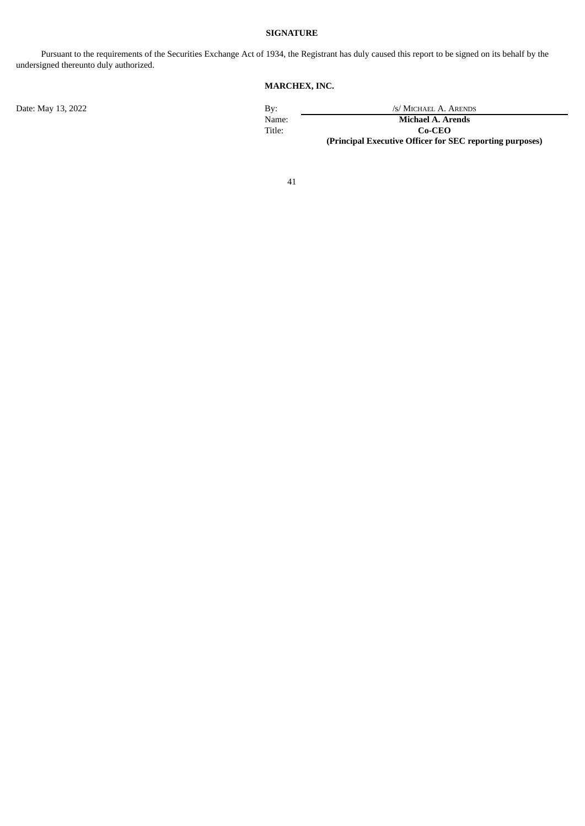# **SIGNATURE**

<span id="page-42-0"></span>Pursuant to the requirements of the Securities Exchange Act of 1934, the Registrant has duly caused this report to be signed on its behalf by the undersigned thereunto duly authorized.

# **MARCHEX, INC.**

Date: May 13, 2022 By: /s/ MICHAEL A. ARENDS<br>Name: /s/ MICHAEL A. ARENDS<br>Michael A. Arends Name: **Michael A. Arends**<br>Title: **Co-CEO** Co-CEO **(Principal Executive Officer for SEC reporting purposes)**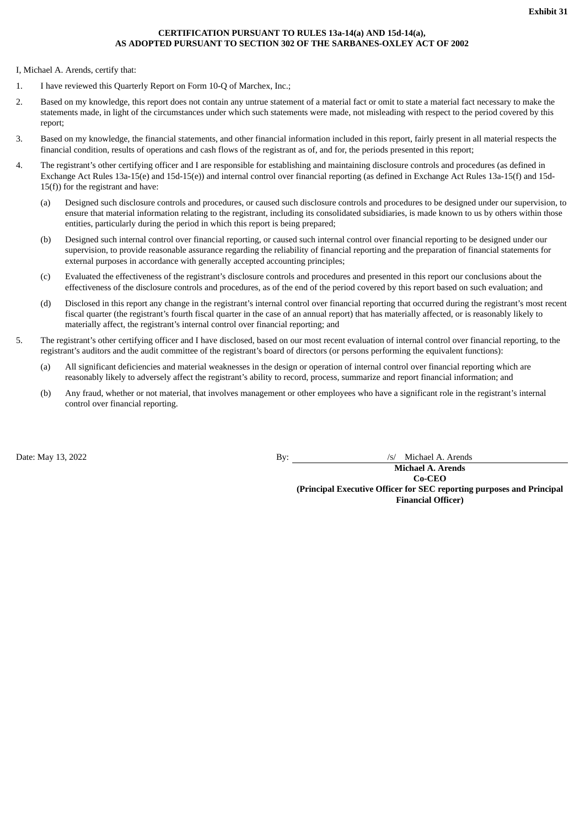# **CERTIFICATION PURSUANT TO RULES 13a-14(a) AND 15d-14(a), AS ADOPTED PURSUANT TO SECTION 302 OF THE SARBANES-OXLEY ACT OF 2002**

<span id="page-43-0"></span>I, Michael A. Arends, certify that:

- 1. I have reviewed this Quarterly Report on Form 10-Q of Marchex, Inc.;
- 2. Based on my knowledge, this report does not contain any untrue statement of a material fact or omit to state a material fact necessary to make the statements made, in light of the circumstances under which such statements were made, not misleading with respect to the period covered by this report;
- 3. Based on my knowledge, the financial statements, and other financial information included in this report, fairly present in all material respects the financial condition, results of operations and cash flows of the registrant as of, and for, the periods presented in this report;
- 4. The registrant's other certifying officer and I are responsible for establishing and maintaining disclosure controls and procedures (as defined in Exchange Act Rules 13a-15(e) and 15d-15(e)) and internal control over financial reporting (as defined in Exchange Act Rules 13a-15(f) and 15d-15(f)) for the registrant and have:
	- (a) Designed such disclosure controls and procedures, or caused such disclosure controls and procedures to be designed under our supervision, to ensure that material information relating to the registrant, including its consolidated subsidiaries, is made known to us by others within those entities, particularly during the period in which this report is being prepared;
	- (b) Designed such internal control over financial reporting, or caused such internal control over financial reporting to be designed under our supervision, to provide reasonable assurance regarding the reliability of financial reporting and the preparation of financial statements for external purposes in accordance with generally accepted accounting principles;
	- (c) Evaluated the effectiveness of the registrant's disclosure controls and procedures and presented in this report our conclusions about the effectiveness of the disclosure controls and procedures, as of the end of the period covered by this report based on such evaluation; and
	- (d) Disclosed in this report any change in the registrant's internal control over financial reporting that occurred during the registrant's most recent fiscal quarter (the registrant's fourth fiscal quarter in the case of an annual report) that has materially affected, or is reasonably likely to materially affect, the registrant's internal control over financial reporting; and
- 5. The registrant's other certifying officer and I have disclosed, based on our most recent evaluation of internal control over financial reporting, to the registrant's auditors and the audit committee of the registrant's board of directors (or persons performing the equivalent functions):
	- (a) All significant deficiencies and material weaknesses in the design or operation of internal control over financial reporting which are reasonably likely to adversely affect the registrant's ability to record, process, summarize and report financial information; and
	- (b) Any fraud, whether or not material, that involves management or other employees who have a significant role in the registrant's internal control over financial reporting.

Date: May 13, 2022 By: *By: /s/ Michael A. Arends* 

**Michael A. Arends Co-CEO (Principal Executive Officer for SEC reporting purposes and Principal Financial Officer)**